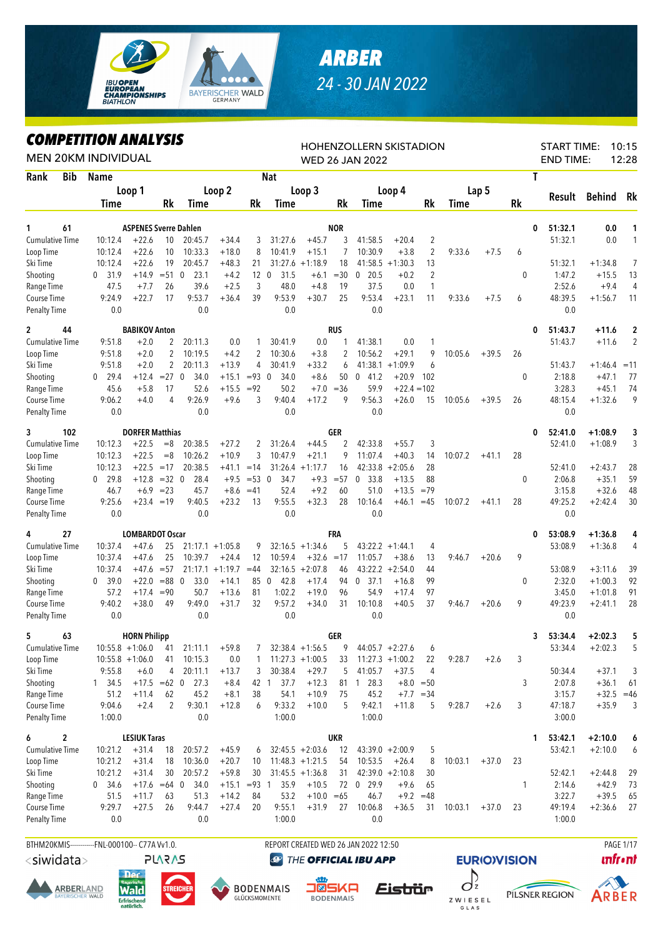

## *ARBER 24 - 30 JAN 2022*

## *COMPETITION ANALYSIS*

|                                  |            | <i><b>COMPEILION ANALYSIS</b></i><br><b>MEN 20KM INDIVIDUAL</b> |                              |                      |                                 |                    |                     |                     |                    |              | HOHENZOLLERN SKISTADION<br><b>WED 26 JAN 2022</b> |                    |                     |             |         |              | <b>END TIME:</b>  | <b>START TIME:</b> | 10:15<br>12:28    |
|----------------------------------|------------|-----------------------------------------------------------------|------------------------------|----------------------|---------------------------------|--------------------|---------------------|---------------------|--------------------|--------------|---------------------------------------------------|--------------------|---------------------|-------------|---------|--------------|-------------------|--------------------|-------------------|
| Rank                             | <b>Bib</b> | <b>Name</b>                                                     |                              |                      |                                 |                    |                     | <b>Nat</b>          |                    |              |                                                   |                    |                     |             |         |              | T                 |                    |                   |
|                                  |            |                                                                 | Loop 1                       |                      |                                 | Loop 2             |                     |                     | Loop 3             |              |                                                   | Loop 4             |                     |             | Lap 5   |              |                   |                    |                   |
|                                  |            | <b>Time</b>                                                     |                              | Rk                   | Time                            |                    | Rk                  | Time                |                    | Rk           | Time                                              |                    | Rk                  | <b>Time</b> |         | Rk           | Result            | Behind             | Rk                |
|                                  |            |                                                                 |                              |                      |                                 |                    |                     |                     |                    |              |                                                   |                    |                     |             |         |              |                   |                    |                   |
| 1                                | 61         |                                                                 | <b>ASPENES Sverre Dahlen</b> |                      |                                 |                    |                     |                     |                    | <b>NOR</b>   |                                                   |                    |                     |             |         |              | 51:32.1<br>0      | 0.0                | 1                 |
| <b>Cumulative Time</b>           |            | 10:12.4                                                         | $+22.6$<br>$+22.6$           | 10<br>10             | 20:45.7<br>10:33.3              | $+34.4$<br>$+18.0$ | 3<br>8              | 31:27.6<br>10:41.9  | $+45.7$<br>$+15.1$ | 3<br>7       | 41:58.5<br>10:30.9                                | $+20.4$<br>$+3.8$  | 2<br>$\overline{2}$ | 9:33.6      | $+7.5$  |              | 51:32.1           | 0.0                | $\mathbf{1}$      |
| Loop Time<br>Ski Time            |            | 10:12.4<br>10:12.4                                              | $+22.6$                      | 19                   | 20:45.7                         | $+48.3$            | 21                  | 31:27.6             | $+1:18.9$          | 18           |                                                   | $41:58.5 + 1:30.3$ | 13                  |             |         | 6            | 51:32.1           | $+1:34.8$          | $\overline{7}$    |
| Shooting                         |            | 31.9<br>$\mathbf{0}$                                            | $+14.9$                      | $= 51$               | 23.1<br>$\mathbf 0$             | $+4.2$             | 12                  | $\mathbf 0$<br>31.5 | $+6.1$             | $=30$        | 20.5<br>0                                         | $+0.2$             | $\overline{2}$      |             |         | 0            | 1:47.2            | $+15.5$            | 13                |
| Range Time                       |            | 47.5                                                            | $+7.7$                       | 26                   | 39.6                            | $+2.5$             | 3                   | 48.0                | $+4.8$             | 19           | 37.5                                              | 0.0                | 1                   |             |         |              | 2:52.6            | $+9.4$             | 4                 |
| Course Time                      |            | 9:24.9                                                          | $+22.7$                      | 17                   | 9:53.7                          | $+36.4$            | 39                  | 9:53.9              | $+30.7$            | 25           | 9:53.4                                            | $+23.1$            | 11                  | 9:33.6      | $+7.5$  | 6            | 48:39.5           | $+1:56.7$          | 11                |
| <b>Penalty Time</b>              |            | 0.0                                                             |                              |                      | 0.0                             |                    |                     | 0.0                 |                    |              | 0.0                                               |                    |                     |             |         |              |                   | 0.0                |                   |
| $\mathbf{2}$                     | 44         |                                                                 | <b>BABIKOV Anton</b>         |                      |                                 |                    |                     |                     |                    | <b>RUS</b>   |                                                   |                    |                     |             |         |              | 51:43.7<br>0      | $+11.6$            | $\mathbf{2}$      |
| <b>Cumulative Time</b>           |            | 9:51.8                                                          | $+2.0$                       | $\overline{2}$       | 20:11.3                         | 0.0                | 1                   | 30:41.9             | 0.0                | 1            | 41:38.1                                           | 0.0                | 1                   |             |         |              | 51:43.7           | $+11.6$            | $\overline{2}$    |
| Loop Time                        |            | 9:51.8                                                          | $+2.0$                       | $\overline{c}$       | 10:19.5                         | $+4.2$             | 2                   | 10:30.6             | $+3.8$             | 2            | 10:56.2                                           | $+29.1$            | 9                   | 10:05.6     | $+39.5$ | 26           |                   |                    |                   |
| Ski Time                         |            | 9:51.8                                                          | $+2.0$                       | 2                    | 20:11.3                         | $+13.9$            | 4                   | 30:41.9             | $+33.2$            | 6            | 41:38.1                                           | $+1:09.9$          | 6                   |             |         |              | 51:43.7           | $+1:46.4$          | $=11$             |
| Shooting                         |            | 29.4<br>0                                                       | $+12.4$                      | $= 27$ 0             | 34.0                            | $+15.1$            | $= 93 \ 0$          | 34.0                | $+8.6$             | 50           | $\mathbf 0$<br>41.2                               | $+20.9$            | 102                 |             |         | 0            | 2:18.8            | $+47.1$            | 77                |
| Range Time                       |            | 45.6                                                            | $+5.8$                       | 17                   | 52.6                            | $+15.5 = 92$       |                     | 50.2                | $+7.0$             | $=36$        | 59.9                                              | $+22.4 = 102$      |                     |             |         |              | 3:28.3            | $+45.1$            | 74                |
| <b>Course Time</b>               |            | 9:06.2                                                          | $+4.0$                       | 4                    | 9:26.9                          | $+9.6$             | 3                   | 9:40.4              | $+17.2$            | 9            | 9:56.3                                            | +26.0              | 15                  | 10:05.6     | $+39.5$ | 26           | 48:15.4           | $+1:32.6$          | 9                 |
| <b>Penalty Time</b>              |            | 0.0                                                             |                              |                      | 0.0                             |                    |                     | 0.0                 |                    |              | 0.0                                               |                    |                     |             |         |              |                   | 0.0                |                   |
| 3                                | 102        |                                                                 | <b>DORFER Matthias</b>       |                      |                                 |                    |                     |                     |                    | <b>GER</b>   |                                                   |                    |                     |             |         |              | 52:41.0<br>0      | $+1:08.9$          | 3                 |
| <b>Cumulative Time</b>           |            | 10:12.3                                                         | $+22.5$                      | $= 8$                | 20:38.5                         | $+27.2$            | 2                   | 31:26.4             | $+44.5$            | 2            | 42:33.8                                           | $+55.7$            | 3                   |             |         |              | 52:41.0           | $+1:08.9$          | 3                 |
| Loop Time                        |            | 10:12.3                                                         | $+22.5$                      | $=8$                 | 10:26.2                         | $+10.9$            | 3                   | 10:47.9             | $+21.1$            | 9            | 11:07.4                                           | $+40.3$            | 14                  | 10:07.2     | $+41.1$ | 28           |                   |                    |                   |
| Ski Time                         |            | 10:12.3                                                         | $+22.5$                      | $=17$                | 20:38.5                         | $+41.1$            | $=14$               |                     | $31:26.4 +1:17.7$  | 16           | 42:33.8                                           | $+2:05.6$          | 28                  |             |         |              | 52:41.0           | $+2:43.7$          | 28                |
| Shooting                         |            | $0$ 29.8<br>46.7                                                | $+12.8$<br>$+6.9$            | $=32$ 0<br>$= 23$    | 28.4<br>45.7                    | $+9.5$<br>$+8.6$   | $= 53 \ 0$<br>$=41$ | 34.7<br>52.4        | $+9.3$<br>$+9.2$   | $= 57$<br>60 | $\mathbf 0$<br>33.8<br>51.0                       | $+13.5$<br>$+13.5$ | 88<br>$=79$         |             |         | $\mathbf{0}$ | 2:06.8<br>3:15.8  | $+35.1$<br>$+32.6$ | 59<br>48          |
| Range Time<br><b>Course Time</b> |            | 9:25.6                                                          | $+23.4 = 19$                 |                      | 9:40.5                          | $+23.2$            | 13                  | 9:55.5              | $+32.3$            | 28           | 10:16.4                                           | $+46.1$            | $=45$               | 10:07.2     | $+41.1$ | 28           | 49:25.2           | +2:42.4            | 30                |
| <b>Penalty Time</b>              |            | 0.0                                                             |                              |                      | 0.0                             |                    |                     | 0.0                 |                    |              | 0.0                                               |                    |                     |             |         |              |                   | 0.0                |                   |
| 4                                | 27         |                                                                 | <b>LOMBARDOT Oscar</b>       |                      |                                 |                    |                     |                     |                    | FRA          |                                                   |                    |                     |             |         |              | 53:08.9<br>0      | $+1:36.8$          | 4                 |
| <b>Cumulative Time</b>           |            | 10:37.4                                                         | $+47.6$                      | 25                   |                                 | $21:17.1 + 1:05.8$ | 9                   |                     | $32:16.5 + 1:34.6$ | 5            |                                                   | $43:22.2 +1:44.1$  | 4                   |             |         |              | 53:08.9           | $+1:36.8$          | 4                 |
| Loop Time                        |            | 10:37.4                                                         | $+47.6$                      | 25                   | 10:39.7                         | $+24.4$            | 12                  | 10:59.4             | $+32.6$            | $=17$        | 11:05.7                                           | $+38.6$            | 13                  | 9:46.7      | $+20.6$ | 9            |                   |                    |                   |
| Ski Time                         |            | 10:37.4                                                         | $+47.6 = 57$                 |                      |                                 | $21:17.1 + 1:19.7$ | $=44$               | 32:16.5             | $+2:07.8$          | 46           |                                                   | $43:22.2 +2:54.0$  | 44                  |             |         |              | 53:08.9           | $+3:11.6$          | 39                |
| Shooting                         |            | 39.0<br>$\mathbf{0}$                                            | $+22.0$                      | $= 88$ 0             | 33.0                            | $+14.1$            | 85 0                | 42.8                | $+17.4$            | 94           | 37.1<br>0                                         | $+16.8$            | 99                  |             |         | 0            | 2:32.0            | $+1:00.3$          | 92                |
| Range Time                       |            | 57.2                                                            | $+17.4$                      | $= 90$               | 50.7                            | $+13.6$            | 81                  | 1:02.2              | $+19.0$            | 96           | 54.9                                              | $+17.4$            | 97                  |             |         |              | 3:45.0            | $+1:01.8$          | 91                |
| Course Time                      |            | 9:40.2                                                          | $+38.0$                      | 49                   | 9:49.0                          | $+31.7$            | 32                  | 9:57.2              | $+34.0$            | 31           | 10:10.8                                           | $+40.5$            | 37                  | 9:46.7      | $+20.6$ | 9            | 49:23.9           | $+2:41.1$          | 28                |
| <b>Penalty Time</b>              |            | 0.0                                                             |                              |                      | 0.0                             |                    |                     | 0.0                 |                    |              | 0.0                                               |                    |                     |             |         |              |                   | 0.0                |                   |
| 5                                | 63         |                                                                 | <b>HORN Philipp</b>          |                      |                                 |                    |                     |                     |                    | GER          |                                                   |                    |                     |             |         |              | 53:34.4<br>3      | $+2:02.3$          | 5                 |
| Cumulative Time                  |            | $10:55.8 + 1:06.0$                                              |                              |                      | 41 21:11.1                      | $+59.8$            | 7                   |                     | $32:38.4 +1:56.5$  | 9            |                                                   | $44:05.7 +2:27.6$  | 6                   |             |         |              | 53:34.4           | $+2:02.3$          | 5                 |
| Loop Time                        |            | $10:55.8 + 1:06.0$                                              |                              | 41                   | 10:15.3                         | 0.0                | 1                   |                     | $11:27.3 +1:00.5$  | 33           |                                                   | $11:27.3 +1:00.2$  | 22                  | 9:28.7      | $+2.6$  | 3            |                   |                    |                   |
| Ski Time                         |            | 9:55.8                                                          | $+6.0$                       | 4                    | 20:11.1                         | $+13.7$            | 3                   | 30:38.4             | $+29.7$            | 5            | 41:05.7                                           | $+37.5$            | 4                   |             |         |              | 50:34.4           | $+37.1$            | 3                 |
| Shooting                         |            | 1, 34.5                                                         |                              |                      | $+17.5 = 62 \quad 0 \quad 27.3$ | $+8.4$             | 42 1                | 37.7                | $+12.3$            | 81           | 128.3                                             |                    | $+8.0 = 50$         |             |         | 3            | 2:07.8            | $+36.1$            | 61                |
| Range Time<br>Course Time        |            | 51.2<br>9:04.6                                                  | $+11.4$<br>$+2.4$            | 62<br>$\overline{2}$ | 45.2<br>9:30.1                  | $+8.1$<br>$+12.8$  | 38<br>6             | 54.1<br>9:33.2      | $+10.9$<br>$+10.0$ | 75<br>5      | 45.2<br>9:42.1                                    | $+11.8$            | $+7.7 = 34$<br>5    | 9:28.7      | $+2.6$  | 3            | 3:15.7<br>47:18.7 | $+35.9$            | $+32.5 = 46$<br>3 |
| <b>Penalty Time</b>              |            | 1:00.0                                                          |                              |                      | 0.0                             |                    |                     | 1:00.0              |                    |              | 1:00.0                                            |                    |                     |             |         |              | 3:00.0            |                    |                   |
| 6                                | 2          |                                                                 | <b>LESIUK Taras</b>          |                      |                                 |                    |                     |                     |                    | <b>UKR</b>   |                                                   |                    |                     |             |         |              | 53:42.1<br>1      | $+2:10.0$          | 6                 |
| <b>Cumulative Time</b>           |            | 10:21.2                                                         | $+31.4$                      | 18                   | 20:57.2                         | $+45.9$            | 6                   |                     | $32:45.5 + 2:03.6$ | 12           |                                                   | $43:39.0 +2:00.9$  | 5                   |             |         |              | 53:42.1           | $+2:10.0$          | 6                 |
| Loop Time                        |            | 10:21.2                                                         | $+31.4$                      | 18                   | 10:36.0                         | $+20.7$            | 10                  |                     | $11:48.3 + 1:21.5$ | 54           | 10:53.5                                           | $+26.4$            | 8                   | 10:03.1     | $+37.0$ | 23           |                   |                    |                   |
| Ski Time                         |            | 10:21.2                                                         | $+31.4$                      | 30                   | 20:57.2                         | $+59.8$            | 30                  |                     | $31:45.5 + 1:36.8$ | 31           |                                                   | $42:39.0 +2:10.8$  | 30                  |             |         |              | 52:42.1           | $+2:44.8$          | 29                |
| Shooting                         |            | 34.6<br>0                                                       | $+17.6 = 64$ 0               |                      | 34.0                            | $+15.1$            | $= 93 \quad 1$      | 35.9                | $+10.5$            | 72           | $0$ 29.9                                          | $+9.6$             | 65                  |             |         | $\mathbf{1}$ | 2:14.6            | $+42.9$            | 73                |
| Range Time                       |            | 51.5                                                            | $+11.7$                      | 63                   | 51.3                            | $+14.2$            | 84                  | 53.2                | $+10.0$            | $=65$        | 46.7                                              | $+9.2$             | $=48$               |             |         |              | 3:22.7            | $+39.5$            | 65                |
| Course Time                      |            | 9:29.7                                                          | $+27.5$                      | 26                   | 9:44.7                          | $+27.4$            | 20                  | 9:55.1              | $+31.9$            | 27           | 10:06.8                                           | $+36.5$            | 31                  | 10:03.1     | $+37.0$ | 23           | 49:19.4           | $+2:36.6$          | 27                |
| <b>Penalty Time</b>              |            | 0.0                                                             |                              |                      | 0.0                             |                    |                     | 1:00.0              |                    |              | 0.0                                               |                    |                     |             |         |              | 1:00.0            |                    |                   |
|                                  |            |                                                                 |                              |                      |                                 |                    |                     |                     |                    |              |                                                   |                    |                     |             |         |              |                   |                    |                   |



<siwidata>





**PLARAS** 







THE OFFICIAL IBU APP







G L A S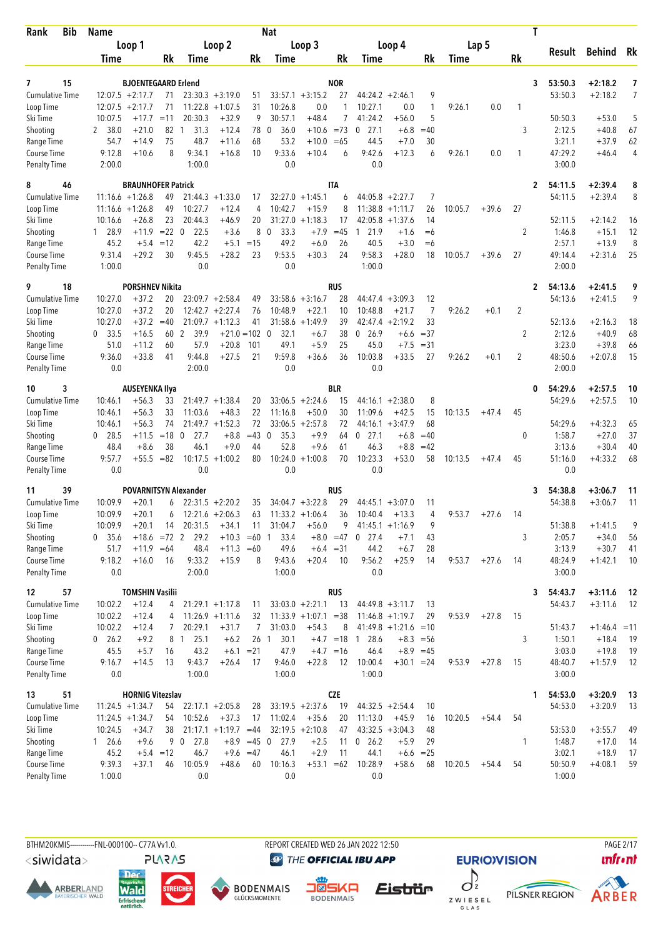| <b>Bib</b><br>Rank                 | <b>Name</b>          |                                                  |             |                        |                                          |                 | Nat                 |                                              |                   |                      |                                          |                |         |         |           | T            |                    |                        |                     |
|------------------------------------|----------------------|--------------------------------------------------|-------------|------------------------|------------------------------------------|-----------------|---------------------|----------------------------------------------|-------------------|----------------------|------------------------------------------|----------------|---------|---------|-----------|--------------|--------------------|------------------------|---------------------|
|                                    |                      | Loop 1                                           |             |                        | Loop 2                                   |                 |                     | Loop 3                                       |                   |                      | Loop 4                                   |                |         | Lap 5   |           |              |                    |                        |                     |
|                                    | Time                 |                                                  | Rk          | Time                   |                                          | Rk              | Time                |                                              | Rk                | Time                 |                                          | Rk             | Time    |         | <b>Rk</b> |              | Result             | Behind                 | Rk                  |
|                                    |                      |                                                  |             |                        |                                          |                 |                     |                                              |                   |                      |                                          |                |         |         |           |              |                    |                        |                     |
| 7<br>15<br><b>Cumulative Time</b>  |                      | <b>BJOENTEGAARD Erlend</b><br>$12:07.5 + 2:17.7$ | 71          |                        | $23:30.3 + 3:19.0$                       | 51              |                     | $33:57.1 + 3:15.2$                           | <b>NOR</b><br>27  |                      | $44:24.2 +2:46.1$                        | 9              |         |         |           | 3            | 53:50.3<br>53:50.3 | $+2:18.2$<br>$+2:18.2$ | 7<br>$\overline{7}$ |
| Loop Time                          | 12:07.5              | $+2:17.7$                                        | 71          | 11:22.8                | $+1:07.5$                                | 31              | 10:26.8             | 0.0                                          | 1                 | 10:27.1              | 0.0                                      | $\mathbf{1}$   | 9:26.1  | 0.0     | 1         |              |                    |                        |                     |
| Ski Time                           | 10:07.5              | $+17.7$                                          | $=11$       | 20:30.3                | $+32.9$                                  | 9               | 30:57.1             | $+48.4$                                      | 7                 | 41:24.2              | $+56.0$                                  | 5              |         |         |           |              | 50:50.3            | $+53.0$                | 5                   |
| Shooting                           | 2 38.0               | $+21.0$                                          | 82 1        | 31.3                   | $+12.4$                                  | 78              | 36.0<br>$\Omega$    | $+10.6$                                      | $= 73$            | 27.1<br>0            | $+6.8$                                   | $=40$          |         |         | 3         |              | 2:12.5             | $+40.8$                | 67                  |
| Range Time                         | 54.7                 | $+14.9$                                          | 75          | 48.7                   | $+11.6$                                  | 68              | 53.2                | $+10.0 = 65$                                 |                   | 44.5                 | $+7.0$                                   | 30             |         |         |           |              | 3:21.1             | $+37.9$                | 62                  |
| Course Time                        | 9:12.8               | $+10.6$                                          | 8           | 9:34.1                 | $+16.8$                                  | 10              | 9:33.6              | $+10.4$                                      | 6                 | 9:42.6               | $+12.3$                                  | 6              | 9:26.1  | 0.0     | 1         |              | 47:29.2            | $+46.4$                | 4                   |
| <b>Penalty Time</b>                | 2:00.0               |                                                  |             | 1:00.0                 |                                          |                 | 0.0                 |                                              |                   | 0.0                  |                                          |                |         |         |           |              | 3:00.0             |                        |                     |
| 8<br>46                            |                      | <b>BRAUNHOFER Patrick</b>                        |             |                        |                                          |                 |                     |                                              | ITA               |                      |                                          |                |         |         |           | 2            | 54:11.5            | $+2:39.4$              | 8                   |
| <b>Cumulative Time</b>             |                      | $11:16.6 + 1:26.8$                               | 49          |                        | $21:44.3 + 1:33.0$                       | 17              |                     | $32:27.0 +1:45.1$                            | 6                 |                      | $44:05.8 + 2:27.7$                       | 7              |         |         |           |              | 54:11.5            | $+2:39.4$              | 8                   |
| Loop Time                          |                      | $11:16.6 + 1:26.8$                               | 49          | 10:27.7                | $+12.4$                                  | 4               | 10:42.7             | $+15.9$                                      | 8                 | 11:38.8              | $+1:11.7$                                | 26             | 10:05.7 | $+39.6$ | 27        |              |                    |                        |                     |
| Ski Time                           | 10:16.6              | $+26.8$                                          | 23          | 20:44.3                | $+46.9$                                  | 20              | 31:27.0             | $+1:18.3$                                    | 17                | 42:05.8              | $+1:37.6$                                | 14             |         |         |           |              | 52:11.5            | $+2:14.2$              | 16                  |
| Shooting                           | 1 28.9               | $+11.9$                                          | $= 22 \ 0$  | 22.5                   | $+3.6$                                   | 8               | $\mathbf 0$<br>33.3 | $+7.9$                                       | $=45$             | 21.9<br>1            | $+1.6$                                   | $= 6$          |         |         | 2         |              | 1:46.8             | $+15.1$                | 12                  |
| Range Time                         | 45.2                 | $+5.4$                                           | $=12$       | 42.2                   | $+5.1$                                   | $=15$           | 49.2                | $+6.0$                                       | 26                | 40.5                 | $+3.0$                                   | $=6$           |         |         |           |              | 2:57.1             | $+13.9$                | 8                   |
| Course Time<br><b>Penalty Time</b> | 9:31.4<br>1:00.0     | $+29.2$                                          | 30          | 9:45.5<br>0.0          | $+28.2$                                  | 23              | 9:53.5<br>0.0       | $+30.3$                                      | 24                | 9:58.3<br>1:00.0     | $+28.0$                                  | 18             | 10:05.7 | $+39.6$ | 27        |              | 49:14.4<br>2:00.0  | $+2:31.6$              | 25                  |
|                                    |                      |                                                  |             |                        |                                          |                 |                     |                                              |                   |                      |                                          |                |         |         |           |              |                    |                        |                     |
| 18<br>9                            |                      | <b>PORSHNEV Nikita</b>                           |             |                        |                                          |                 |                     |                                              | <b>RUS</b>        |                      |                                          |                |         |         |           | $\mathbf{2}$ | 54:13.6            | $+2:41.5$              | 9                   |
| <b>Cumulative Time</b>             | 10:27.0              | $+37.2$                                          | 20          |                        | $23:09.7 + 2:58.4$                       | 49              |                     | $33:58.6 + 3:16.7$                           | 28                |                      | $44:47.4 + 3:09.3$                       | 12             |         |         |           |              | 54:13.6            | $+2:41.5$              | 9                   |
| Loop Time                          | 10:27.0              | $+37.2$                                          | 20          |                        | $12:42.7 + 2:27.4$                       | 76              | 10:48.9             | $+22.1$                                      | 10                | 10:48.8              | $+21.7$                                  | $\overline{7}$ | 9:26.2  | $+0.1$  | 2         |              |                    |                        |                     |
| Ski Time<br>Shooting               | 10:27.0<br>33.5<br>0 | $+37.2$<br>$+16.5$                               | $=40$<br>60 | -2<br>39.9             | $21:09.7 + 1:12.3$<br>$+21.0 = 102$ 0    | 41              | 31:58.6<br>32.1     | $+1:49.9$<br>$+6.7$                          | 39<br>38          | 26.9<br>$\mathbf 0$  | $42:47.4 + 2:19.2$<br>$+6.6$             | 33<br>$= 37$   |         |         | 2         |              | 52:13.6<br>2:12.6  | $+2:16.3$<br>$+40.9$   | 18<br>68            |
| Range Time                         | 51.0                 | $+11.2$                                          | 60          | 57.9                   | $+20.8$                                  | 101             | 49.1                | $+5.9$                                       | 25                | 45.0                 | $+7.5$                                   | $= 31$         |         |         |           |              | 3:23.0             | $+39.8$                | 66                  |
| Course Time                        | 9:36.0               | $+33.8$                                          | 41          | 9:44.8                 | $+27.5$                                  | 21              | 9:59.8              | $+36.6$                                      | 36                | 10:03.8              | $+33.5$                                  | 27             | 9:26.2  | $+0.1$  | 2         |              | 48:50.6            | $+2:07.8$              | 15                  |
| <b>Penalty Time</b>                | 0.0                  |                                                  |             | 2:00.0                 |                                          |                 | 0.0                 |                                              |                   | 0.0                  |                                          |                |         |         |           |              | 2:00.0             |                        |                     |
| 10<br>3                            |                      | <b>AUSEYENKA Ilya</b>                            |             |                        |                                          |                 |                     |                                              | <b>BLR</b>        |                      |                                          |                |         |         |           | 0            | 54:29.6            | $+2:57.5$              | 10                  |
| <b>Cumulative Time</b>             | 10:46.1              | $+56.3$                                          | 33          |                        | $21:49.7 + 1:38.4$                       | 20              |                     | $33:06.5 +2:24.6$                            | 15                |                      | $44:16.1 + 2:38.0$                       | 8              |         |         |           |              | 54:29.6            | $+2:57.5$              | 10                  |
| Loop Time                          | 10:46.1              | $+56.3$                                          | 33          | 11:03.6                | $+48.3$                                  | 22              | 11:16.8             | $+50.0$                                      | 30                | 11:09.6              | $+42.5$                                  | 15             | 10:13.5 | $+47.4$ | 45        |              |                    |                        |                     |
| Ski Time                           | 10:46.1              | $+56.3$                                          | 74          |                        | $21:49.7 + 1:52.3$                       | 72              |                     | $33:06.5 + 2:57.8$                           | 72                |                      | $44:16.1 + 3:47.9$                       | 68             |         |         |           |              | 54:29.6            | $+4:32.3$              | 65                  |
| Shooting                           | $0$ 28.5             | $+11.5$                                          | $=18$       | $\overline{0}$<br>27.7 | $+8.8$                                   | $=43$           | 35.3<br>$\mathbf 0$ | $+9.9$                                       | 64                | $\mathbf{0}$<br>27.1 | $+6.8$                                   | $=40$          |         |         | 0         |              | 1:58.7             | $+27.0$                | 37                  |
| Range Time                         | 48.4                 | $+8.6$                                           | 38          | 46.1                   | $+9.0$                                   | 44              | 52.8                | $+9.6$                                       | 61                | 46.3                 | $+8.8$                                   | $=42$          |         |         |           |              | 3:13.6             | $+30.4$                | 40                  |
| Course Time                        | 9:57.7               | $+55.5$                                          | $= 82$      | 10:17.5                | $+1:00.2$                                | 80              | 10:24.0             | $+1:00.8$                                    | 70                | 10:23.3              | $+53.0$                                  | 58             | 10:13.5 | $+47.4$ | 45        |              | 51:16.0            | $+4:33.2$              | 68                  |
| <b>Penalty Time</b>                | 0.0                  |                                                  |             | 0.0                    |                                          |                 | 0.0                 |                                              |                   | 0.0                  |                                          |                |         |         |           |              | 0.0                |                        |                     |
| 39<br>11                           |                      | <b>POVARNITSYN Alexander</b>                     |             |                        |                                          |                 |                     |                                              | RUS               |                      |                                          |                |         |         |           | 3            | 54:38.8            | $+3:06.7$              | 11                  |
| <b>Cumulative Time</b>             | 10:09.9              | +20.1                                            | 6           |                        | $22:31.5 + 2:20.2$                       | 35              |                     | $34:04.7 + 3:22.8$                           | 29                | 44:45.1              | $+3:07.0$                                | 11             |         |         |           |              | 54:38.8            | $+3:06.7$              | 11                  |
| Loop Time                          | 10:09.9              | $+20.1$                                          | 6           |                        | $12:21.6 + 2:06.3$                       | 63              |                     | $11:33.2 +1:06.4$                            | 36                | 10:40.4              | $+13.3$                                  | 4              | 9:53.7  | $+27.6$ | -14       |              |                    |                        |                     |
| Ski Time                           | 10:09.9              | $+20.1$                                          | 14          | 20:31.5                | $+34.1$                                  | 11              | 31:04.7             | $+56.0$                                      | 9                 |                      | $41:45.1 + 1:16.9$                       | 9              |         |         |           |              | 51:38.8            | $+1:41.5$              | 9                   |
| Shooting                           | 0 35.6               |                                                  |             | $+18.6$ =72 2 29.2     | $+10.3 = 60$ 1                           |                 | 33.4                |                                              | $+8.0 = 47$       | $0$ 27.4             | $+7.1$                                   | 43             |         |         | 3         |              | 2:05.7             | $+34.0$                | 56                  |
| Range Time<br>Course Time          | 51.7<br>9:18.2       | $+11.9 = 64$<br>$+16.0$                          | 16          | 48.4<br>9:33.2         | $+11.3 = 60$<br>$+15.9$                  | 8               | 49.6<br>9:43.6      | $+20.4$                                      | $+6.4 = 31$<br>10 | 44.2<br>9:56.2       | $+6.7$<br>$+25.9$                        | 28<br>14       | 9:53.7  | $+27.6$ | -14       |              | 3:13.9<br>48:24.9  | $+30.7$<br>$+1:42.1$   | 41<br>10            |
| <b>Penalty Time</b>                | 0.0                  |                                                  |             | 2:00.0                 |                                          |                 | 1:00.0              |                                              |                   | 0.0                  |                                          |                |         |         |           |              | 3:00.0             |                        |                     |
|                                    |                      |                                                  |             |                        |                                          |                 |                     |                                              |                   |                      |                                          |                |         |         |           |              |                    |                        |                     |
| 12<br>57                           |                      | <b>TOMSHIN Vasilii</b>                           |             |                        |                                          |                 |                     |                                              | <b>RUS</b>        |                      |                                          |                |         |         |           | 3            | 54:43.7            | $+3:11.6$              | -12                 |
| Cumulative Time<br>Loop Time       | 10:02.2<br>10:02.2   | $+12.4$<br>$+12.4$                               | 4<br>4      |                        | $21:29.1 + 1:17.8$<br>$11:26.9 + 1:11.6$ | 11<br>32        |                     | $33:03.0 + 2:21.1$<br>$11:33.9 +1:07.1 = 38$ | 13                |                      | $44:49.8 + 3:11.7$<br>$11:46.8 + 1:19.7$ | 13<br>29       | 9:53.9  | $+27.8$ | 15        |              | 54:43.7            | $+3:11.6$              | 12                  |
| Ski Time                           | 10:02.2              | $+12.4$                                          | 7           | 20:29.1                | $+31.7$                                  | 7               | 31:03.0             | $+54.3$                                      | 8                 |                      | $41:49.8 + 1:21.6 = 10$                  |                |         |         |           |              | 51:43.7            | $+1:46.4 = 11$         |                     |
| Shooting                           | $0$ 26.2             | $+9.2$                                           |             | 8 1<br>25.1            | $+6.2$                                   | 26 <sub>1</sub> | 30.1                |                                              |                   | $+4.7$ = 18 1 28.6   | $+8.3 = 56$                              |                |         |         | 3         |              | 1:50.1             | $+18.4$                | 19                  |
| Range Time                         | 45.5                 | $+5.7$                                           | 16          | 43.2                   |                                          | $+6.1 = 21$     | 47.9                |                                              | $+4.7 = 16$       | 46.4                 | $+8.9 = 45$                              |                |         |         |           |              | 3:03.0             | $+19.8$                | 19                  |
| Course Time                        | 9:16.7               | $+14.5$                                          | 13          | 9:43.7                 | $+26.4$                                  | 17              | 9:46.0              | $+22.8$                                      | 12                | 10:00.4              | $+30.1 = 24$                             |                | 9:53.9  | $+27.8$ | 15        |              | 48:40.7            | $+1:57.9$              | 12                  |
| <b>Penalty Time</b>                | 0.0                  |                                                  |             | 1:00.0                 |                                          |                 | 1:00.0              |                                              |                   | 1:00.0               |                                          |                |         |         |           |              | 3:00.0             |                        |                     |
| 51<br>13                           |                      | <b>HORNIG Vitezslav</b>                          |             |                        |                                          |                 |                     |                                              | <b>CZE</b>        |                      |                                          |                |         |         |           | 1            | 54:53.0            | $+3:20.9$              | - 13                |
| Cumulative Time                    |                      | $11:24.5 + 1:34.7$                               | 54          |                        | $22:17.1 + 2:05.8$                       | 28              |                     | $33:19.5 +2:37.6$                            | 19                |                      | $44:32.5 + 2:54.4$                       | 10             |         |         |           |              | 54:53.0            | $+3:20.9$              | 13                  |
| Loop Time                          |                      | $11:24.5 + 1:34.7$                               | 54          | 10:52.6                | $+37.3$                                  | 17              | 11:02.4             | $+35.6$                                      | 20                | 11:13.0              | $+45.9$                                  | 16             | 10:20.5 | $+54.4$ | 54        |              |                    |                        |                     |
| Ski Time                           | 10:24.5              | $+34.7$                                          | 38          |                        | $21:17.1 + 1:19.7 = 44$                  |                 |                     | $32:19.5 + 2:10.8$                           | 47                |                      | $43:32.5 +3:04.3$                        | 48             |         |         |           |              | 53:53.0            | $+3:55.7$              | 49                  |
| Shooting                           | 126.6                | $+9.6$                                           |             | 27.8<br>9 0            |                                          | $+8.9 = 45$ 0   | 27.9                | $+2.5$                                       | 11                | $0\quad 26.2$        | $+5.9$                                   | 29             |         |         | 1         |              | 1:48.7             | $+17.0$                | 14                  |
| Range Time                         | 45.2                 |                                                  | $+5.4 = 12$ | 46.7                   |                                          | $+9.6 = 47$     | 46.1                | $+2.9$                                       | 11                | 44.1                 | $+6.6$                                   | $= 25$         |         |         |           |              | 3:02.1             | $+18.9$                | 17                  |
| Course Time                        | 9:39.3               | $+37.1$                                          | 46          | 10:05.9                | $+48.6$                                  | 60              | 10:16.3             | $+53.1 = 62$                                 |                   | 10:28.9              | $+58.6$                                  | 68             | 10:20.5 | $+54.4$ | 54        |              | 50:50.9            | $+4:08.1$              | 59                  |
| <b>Penalty Time</b>                | 1:00.0               |                                                  |             | 0.0                    |                                          |                 | 0.0                 |                                              |                   | 0.0                  |                                          |                |         |         |           |              | 1:00.0             |                        |                     |

<siwidata>

**ARBERLAND** 







REPORT CREATED WED 26 JAN 2022 12:50

**@** THE OFFICIAL IBU APP

Eistrür



**EURIO)VISION** 







**PAGE 2/17**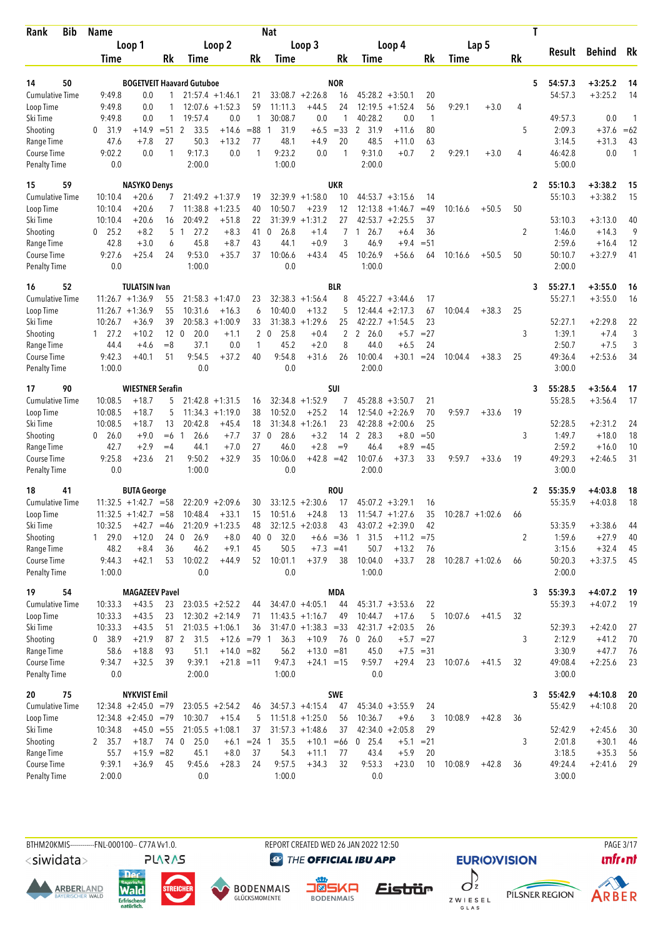| <b>Bib</b><br>Rank                 | <b>Name</b>          |                                  |                 |                                  |                              |                | Nat                  |                                         |                   |                      |                                 |                |         |                    |           | T            |                    |                        |                          |
|------------------------------------|----------------------|----------------------------------|-----------------|----------------------------------|------------------------------|----------------|----------------------|-----------------------------------------|-------------------|----------------------|---------------------------------|----------------|---------|--------------------|-----------|--------------|--------------------|------------------------|--------------------------|
|                                    |                      | Loop 1                           |                 |                                  | Loop 2                       |                |                      | Loop 3                                  |                   |                      | Loop 4                          |                |         | Lap 5              |           |              | Result             | <b>Behind</b>          | Rk                       |
|                                    | Time                 |                                  | Rk              | Time                             |                              | Rk             | Time                 |                                         | Rk                | Time                 |                                 | Rk             | Time    |                    | <b>Rk</b> |              |                    |                        |                          |
|                                    |                      |                                  |                 |                                  |                              |                |                      |                                         |                   |                      |                                 |                |         |                    |           |              |                    |                        |                          |
| 50<br>14<br><b>Cumulative Time</b> | 9:49.8               | 0.0                              | 1               | <b>BOGETVEIT Haavard Gutuboe</b> | $21:57.4 + 1:46.1$           | 21             |                      | $33:08.7 +2:26.8$                       | <b>NOR</b><br>16  |                      | $45:28.2 + 3:50.1$              | 20             |         |                    |           | 5            | 54:57.3<br>54:57.3 | $+3:25.2$<br>$+3:25.2$ | 14<br>14                 |
| Loop Time                          | 9:49.8               | 0.0                              |                 |                                  | $12:07.6 + 1:52.3$           | 59             | 11:11.3              | $+44.5$                                 | 24                |                      | $12:19.5 + 1:52.4$              | 56             | 9:29.1  | $+3.0$             | 4         |              |                    |                        |                          |
| Ski Time                           | 9:49.8               | 0.0                              | $\mathbf{1}$    | 19:57.4                          | 0.0                          | 1              | 30:08.7              | 0.0                                     | 1                 | 40:28.2              | 0.0                             | $\mathbf{1}$   |         |                    |           |              | 49:57.3            | 0.0                    | $\overline{\phantom{a}}$ |
| Shooting                           | $\mathbf{0}$<br>31.9 | $+14.9$                          | $= 51$          | 2<br>33.5                        | $+14.6$                      | $= 88$         | 31.9<br>1            | $+6.5$                                  | $= 33$            | 2 31.9               | $+11.6$                         | 80             |         |                    | 5         |              | 2:09.3             | $+37.6$                | $=62$                    |
| Range Time                         | 47.6                 | $+7.8$                           | 27              | 50.3                             | $+13.2$                      | 77             | 48.1                 | $+4.9$                                  | 20                | 48.5                 | $+11.0$                         | 63             |         |                    |           |              | 3:14.5             | $+31.3$                | 43                       |
| Course Time                        | 9:02.2               | 0.0                              | $\mathbf{1}$    | 9:17.3                           | 0.0                          | $\mathbf{1}$   | 9:23.2               | 0.0                                     | 1                 | 9:31.0               | $+0.7$                          | $\overline{2}$ | 9:29.1  | $+3.0$             | 4         |              | 46:42.8            | 0.0                    | $\mathbf{1}$             |
| <b>Penalty Time</b>                | 0.0                  |                                  |                 | 2:00.0                           |                              |                | 1:00.0               |                                         |                   | 2:00.0               |                                 |                |         |                    |           |              | 5:00.0             |                        |                          |
| 15<br>59                           |                      | <b>NASYKO Denys</b>              |                 |                                  |                              |                |                      |                                         | <b>UKR</b>        |                      |                                 |                |         |                    |           | 2            | 55:10.3            | $+3:38.2$              | 15                       |
| <b>Cumulative Time</b>             | 10:10.4              | $+20.6$                          |                 |                                  | $21:49.2 + 1:37.9$           | 19             |                      | $32:39.9 + 1:58.0$                      | 10                |                      | $44:53.7 + 3:15.6$              | 14             |         |                    |           |              | 55:10.3            | $+3:38.2$              | 15                       |
| Loop Time                          | 10:10.4              | $+20.6$                          |                 |                                  | $11:38.8 + 1:23.5$           | 40             | 10:50.7              | $+23.9$                                 | 12                | 12:13.8              | $+1:46.7$                       | $=49$          | 10:16.6 | $+50.5$            | 50        |              |                    |                        |                          |
| Ski Time                           | 10:10.4              | $+20.6$                          | 16              | 20:49.2                          | $+51.8$                      | 22             | 31:39.9              | $+1:31.2$                               | 27                |                      | $42:53.7 + 2:25.5$              | 37             |         |                    |           |              | 53:10.3            | $+3:13.0$              | 40                       |
| Shooting                           | $0$ 25.2             | $+8.2$                           | 5               | 27.2<br>$\overline{1}$           | $+8.3$                       | 41             | 26.8<br>0            | $+1.4$                                  | 7                 | 26.7<br>$\mathbf{1}$ | $+6.4$                          | 36             |         |                    | 2         |              | 1:46.0             | $+14.3$                | 9                        |
| Range Time<br>Course Time          | 42.8<br>9:27.6       | $+3.0$<br>$+25.4$                | 6<br>24         | 45.8<br>9:53.0                   | $+8.7$<br>$+35.7$            | 43<br>37       | 44.1<br>10:06.6      | $+0.9$<br>$+43.4$                       | 3<br>45           | 46.9<br>10:26.9      | $+9.4$<br>$+56.6$               | $= 51$<br>64   | 10:16.6 | $+50.5$            | 50        |              | 2:59.6<br>50:10.7  | $+16.4$<br>$+3:27.9$   | 12<br>41                 |
| <b>Penalty Time</b>                | 0.0                  |                                  |                 | 1:00.0                           |                              |                | 0.0                  |                                         |                   | 1:00.0               |                                 |                |         |                    |           |              | 2:00.0             |                        |                          |
|                                    |                      |                                  |                 |                                  |                              |                |                      |                                         |                   |                      |                                 |                |         |                    |           |              |                    |                        |                          |
| 52<br>16                           |                      | <b>TULATSIN Ivan</b>             |                 |                                  |                              |                |                      |                                         | <b>BLR</b>        |                      |                                 |                |         |                    |           | 3            | 55:27.1            | $+3:55.0$              | 16                       |
| <b>Cumulative Time</b>             |                      | $11:26.7 + 1:36.9$               | 55              |                                  | $21:58.3 + 1:47.0$           | 23             |                      | $32:38.3 +1:56.4$                       | 8                 |                      | $45:22.7 + 3:44.6$              | 17             |         |                    |           |              | 55:27.1            | $+3:55.0$              | 16                       |
| Loop Time<br>Ski Time              | 10:26.7              | $11:26.7 + 1:36.9$<br>$+36.9$    | 55<br>39        | 10:31.6                          | $+16.3$<br>$20:58.3 +1:00.9$ | 6<br>33        | 10:40.0              | $+13.2$<br>$31:38.3 +1:29.6$            | 5<br>25           | 12:44.4              | $+2:17.3$<br>$42:22.7 + 1:54.5$ | 67<br>23       | 10:04.4 | $+38.3$            | 25        |              | 52:27.1            | $+2:29.8$              | 22                       |
| Shooting                           | $1 \quad 27.2$       | $+10.2$                          | 12 <sub>0</sub> | 20.0                             | $+1.1$                       | $\overline{2}$ | $\mathbf{0}$<br>25.8 | $+0.4$                                  | 2                 | 2<br>26.0            | $+5.7$                          | $= 27$         |         |                    | 3         |              | 1:39.1             | $+7.4$                 | 3                        |
| Range Time                         | 44.4                 | $+4.6$                           | $= 8$           | 37.1                             | 0.0                          | 1              | 45.2                 | $+2.0$                                  | 8                 | 44.0                 | $+6.5$                          | 24             |         |                    |           |              | 2:50.7             | $+7.5$                 | 3                        |
| Course Time                        | 9:42.3               | $+40.1$                          | 51              | 9:54.5                           | $+37.2$                      | 40             | 9:54.8               | $+31.6$                                 | 26                | 10:00.4              | $+30.1$                         | $= 24$         | 10:04.4 | $+38.3$            | 25        |              | 49:36.4            | $+2:53.6$              | 34                       |
| <b>Penalty Time</b>                | 1:00.0               |                                  |                 | 0.0                              |                              |                | 0.0                  |                                         |                   | 2:00.0               |                                 |                |         |                    |           |              | 3:00.0             |                        |                          |
| 90<br>17                           |                      | <b>WIESTNER Serafin</b>          |                 |                                  |                              |                |                      |                                         | SUI               |                      |                                 |                |         |                    |           | 3            | 55:28.5            | $+3:56.4$              | 17                       |
| <b>Cumulative Time</b>             | 10:08.5              | $+18.7$                          | 5               |                                  | $21:42.8 + 1:31.5$           | 16             |                      | $32:34.8 +1:52.9$                       | 7                 |                      | $45:28.8 + 3:50.7$              | 21             |         |                    |           |              | 55:28.5            | $+3:56.4$              | 17                       |
| Loop Time                          | 10:08.5              | $+18.7$                          | 5               |                                  | $11:34.3 + 1:19.0$           | 38             | 10:52.0              | $+25.2$                                 | 14                | 12:54.0              | $+2:26.9$                       | 70             | 9:59.7  | $+33.6$            | 19        |              |                    |                        |                          |
| Ski Time                           | 10:08.5              | $+18.7$                          | 13              | 20:42.8                          | $+45.4$                      | 18             | 31:34.8              | $+1:26.1$                               | 23                | 42:28.8              | $+2:00.6$                       | 25             |         |                    |           |              | 52:28.5            | $+2:31.2$              | 24                       |
| Shooting                           | 0 26.0               | $+9.0$                           | $=6$            | 26.6<br>$\mathbf{1}$             | $+7.7$                       | 37             | $\mathbf 0$<br>28.6  | $+3.2$                                  | 14                | $\mathbf{2}$<br>28.3 | $+8.0$                          | $=50$          |         |                    | 3         |              | 1:49.7             | $+18.0$                | 18                       |
| Range Time                         | 42.7                 | $+2.9$                           | $=4$            | 44.1                             | $+7.0$                       | 27             | 46.0                 | $+2.8$                                  | $=9$              | 46.4                 | $+8.9$                          | $=45$          |         |                    |           |              | 2:59.2             | $+16.0$                | 10                       |
| Course Time                        | 9:25.8               | $+23.6$                          | 21              | 9:50.2                           | $+32.9$                      | 35             | 10:06.0              | $+42.8 = 42$                            |                   | 10:07.6              | $+37.3$                         | 33             | 9:59.7  | $+33.6$            | 19        |              | 49:29.3            | $+2:46.5$              | 31                       |
| <b>Penalty Time</b>                | 0.0                  |                                  |                 | 1:00.0                           |                              |                | 0.0                  |                                         |                   | 2:00.0               |                                 |                |         |                    |           |              | 3:00.0             |                        |                          |
| 41<br>18                           |                      | <b>BUTA George</b>               |                 |                                  |                              |                |                      |                                         | <b>ROU</b>        |                      |                                 |                |         |                    |           | $\mathbf{2}$ | 55:35.9            | $+4:03.8$              | 18                       |
| <b>Cumulative Time</b>             |                      | $11:32.5 + 1:42.7$               | $= 58$          |                                  | $22:20.9 + 2:09.6$           | 30             |                      | $33:12.5 +2:30.6$                       | 17                | 45:07.2              | $+3:29.1$                       | 16             |         |                    |           |              | 55:35.9            | $+4:03.8$              | 18                       |
| Loop Time                          |                      | $11:32.5 +1:42.7 = 58$           |                 | 10:48.4                          | $+33.1$                      | 15             | 10:51.6              | $+24.8$                                 | 13                |                      | $11:54.7 + 1:27.6$              | 35             |         | $10:28.7 + 1:02.6$ | 66        |              |                    |                        |                          |
| Ski Time                           | 10:32.5              | $+42.7$                          | $=46$           |                                  | $21:20.9 + 1:23.5$           | 48             |                      | $32:12.5 + 2:03.8$                      | 43                |                      | $43:07.2 +2:39.0$               | 42             |         |                    |           |              | 53:35.9            | $+3:38.6$              | 44                       |
| Shooting                           | 1 29.0               | $+12.0$                          | 24 0            | 26.9                             | $+8.0$                       | 40             | 32.0<br>$\mathbf{0}$ |                                         |                   | $+6.6 = 36$ 1 31.5   | $+11.2 = 75$                    |                |         |                    | 2         |              | 1:59.6             | $+27.9$                | 40                       |
| Range Time<br>Course Time          | 48.2<br>9:44.3       | $+8.4$<br>$+42.1$                | 36<br>53        | 46.2<br>10:02.2                  | $+9.1$<br>$+44.9$            | 45<br>52       | 50.5<br>10:01.1      | $+37.9$                                 | $+7.3 = 41$<br>38 | 50.7<br>10:04.0      | $+13.2$<br>$+33.7$              | 76<br>28       |         | $10:28.7 + 1:02.6$ | 66        |              | 3:15.6<br>50:20.3  | $+32.4$<br>$+3:37.5$   | 45<br>45                 |
| <b>Penalty Time</b>                | 1:00.0               |                                  |                 | 0.0                              |                              |                | 0.0                  |                                         |                   | 1:00.0               |                                 |                |         |                    |           |              | 2:00.0             |                        |                          |
|                                    |                      |                                  |                 |                                  |                              |                |                      |                                         |                   |                      |                                 |                |         |                    |           |              |                    |                        |                          |
| 19<br>54                           |                      | <b>MAGAZEEV Pavel</b><br>$+43.5$ |                 |                                  | $23:03.5 +2:52.2$            |                |                      |                                         | <b>MDA</b>        |                      |                                 |                |         |                    |           | 3            | 55:39.3<br>55:39.3 | $+4:07.2$<br>$+4:07.2$ | -19<br>19                |
| Cumulative Time<br>Loop Time       | 10:33.3<br>10:33.3   | $+43.5$                          | 23<br>23        |                                  | $12:30.2 +2:14.9$            | 44<br>71       |                      | $34:47.0 + 4:05.1$<br>$11:43.5 +1:16.7$ | 44<br>49          | 10:44.7              | $45:31.7 + 3:53.6$<br>$+17.6$   | 22<br>5        | 10:07.6 | $+41.5$            | 32        |              |                    |                        |                          |
| Ski Time                           | 10:33.3              | $+43.5$                          | 51              |                                  | $21:03.5 +1:06.1$            | 36             |                      | $31:47.0 +1:38.3 = 33$                  |                   |                      | $42:31.7 + 2:03.5$              | 26             |         |                    |           |              | 52:39.3            | $+2:42.0$              | 27                       |
| Shooting                           | 0, 38.9              | $+21.9$                          |                 | 87 2 31.5                        | $+12.6 = 79$ 1               |                | 36.3                 | $+10.9$                                 | 76                | 0 26.0               | $+5.7 = 27$                     |                |         |                    | 3         |              | 2:12.9             | $+41.2$                | 70                       |
| Range Time                         | 58.6                 | $+18.8$                          | 93              | 51.1                             | $+14.0 = 82$                 |                | 56.2                 | $+13.0 = 81$                            |                   | 45.0                 | $+7.5 = 31$                     |                |         |                    |           |              | 3:30.9             | $+47.7$                | 76                       |
| Course Time                        | 9:34.7               | $+32.5$                          | 39              | 9:39.1                           | $+21.8 = 11$                 |                | 9:47.3               | $+24.1 = 15$                            |                   | 9:59.7               | $+29.4$                         | 23             | 10:07.6 | $+41.5$            | 32        |              | 49:08.4            | $+2:25.6$              | 23                       |
| <b>Penalty Time</b>                | 0.0                  |                                  |                 | 2:00.0                           |                              |                | 1:00.0               |                                         |                   | 0.0                  |                                 |                |         |                    |           |              | 3:00.0             |                        |                          |
| 75<br>20                           |                      | <b>NYKVIST Emil</b>              |                 |                                  |                              |                |                      |                                         | <b>SWE</b>        |                      |                                 |                |         |                    |           | 3            | 55:42.9            | $+4:10.8$              | 20                       |
| <b>Cumulative Time</b>             |                      | $12:34.8 + 2:45.0 = 79$          |                 |                                  | $23:05.5 + 2:54.2$           | 46             |                      | $34:57.3 +4:15.4$                       | 47                |                      | $45:34.0 + 3:55.9$              | 24             |         |                    |           |              | 55:42.9            | $+4:10.8$              | 20                       |
| Loop Time                          |                      | $12:34.8 + 2:45.0 = 79$          |                 | 10:30.7                          | $+15.4$                      | 5              |                      | $11:51.8 + 1:25.0$                      | 56                | 10:36.7              | $+9.6$                          | 3              | 10:08.9 | $+42.8$            | 36        |              |                    |                        |                          |
| Ski Time                           | 10:34.8              | $+45.0 = 55$                     |                 |                                  | $21:05.5 +1:08.1$            | 37             |                      | $31:57.3 +1:48.6$                       | 37                |                      | $42:34.0 + 2:05.8$              | 29             |         |                    |           |              | 52:42.9            | $+2:45.6$              | 30                       |
| Shooting                           | 2 35.7               | $+18.7$                          |                 | 74 0<br>25.0                     |                              | $+6.1 = 24$ 1  | 35.5                 | $+10.1 = 66$                            |                   | $0$ 25.4             | $+5.1 = 21$                     |                |         |                    | 3         |              | 2:01.8             | $+30.1$                | 46                       |
| Range Time                         | 55.7                 | $+15.9 = 82$                     |                 | 45.1                             | $+8.0$                       | 37             | 54.3                 | $+11.1$                                 | 77                | 43.4                 | $+5.9$                          | 20             |         |                    |           |              | 3:18.5             | $+35.3$                | 56                       |
| Course Time                        | 9:39.1               | $+36.9$                          | 45              | 9:45.6                           | $+28.3$                      | 24             | 9:57.5               | $+34.3$                                 | 32                | 9:53.3               | $+23.0$                         | 10             | 10:08.9 | $+42.8$            | 36        |              | 49:24.4            | $+2:41.6$              | 29                       |
| <b>Penalty Time</b>                | 2:00.0               |                                  |                 | 0.0                              |                              |                | 1:00.0               |                                         |                   | 0.0                  |                                 |                |         |                    |           |              | 3:00.0             |                        |                          |

<siwidata>

**ARBERLAND** 





**BODENMAIS** 



REPORT CREATED WED 26 JAN 2022 12:50

**@** THE OFFICIAL IBU APP

 $\int$ Eistrür Z W I E S E L<br>G L A S





**PAGE 3/17**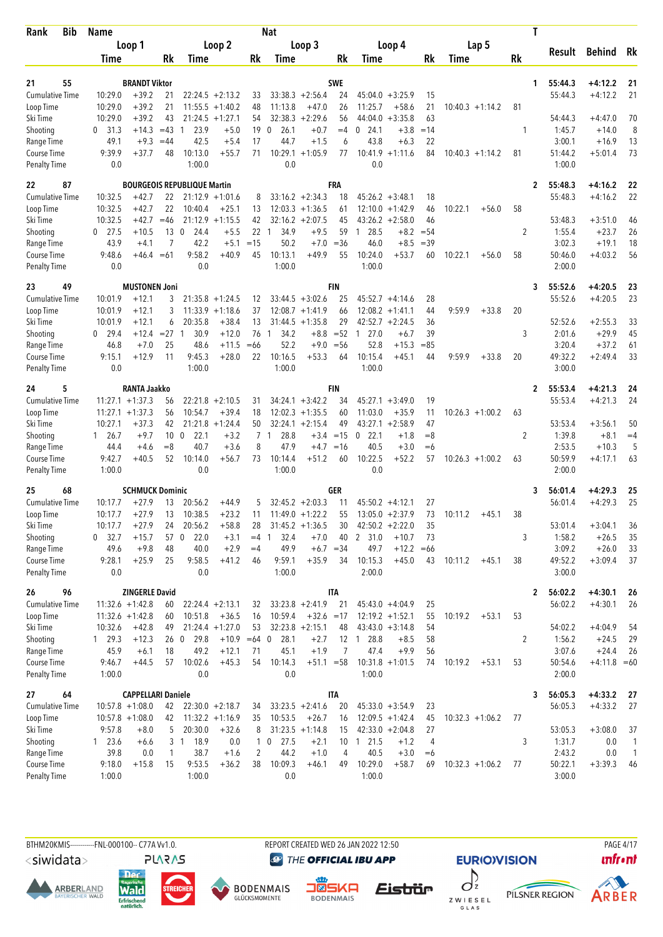| Bib<br>Rank                        | <b>Name</b>           |                           |                |                                    |                    |                | Nat                      |                    |             |                        |                   |             |                    |    | T                       |                      |                |
|------------------------------------|-----------------------|---------------------------|----------------|------------------------------------|--------------------|----------------|--------------------------|--------------------|-------------|------------------------|-------------------|-------------|--------------------|----|-------------------------|----------------------|----------------|
|                                    |                       | Loop 1                    |                |                                    | Loop 2             |                |                          | Loop 3             |             | Loop 4                 |                   |             | Lap 5              |    |                         |                      |                |
|                                    | Time                  |                           | Rk             | Time                               |                    | Rk             | Time                     |                    | Rk          | Time                   |                   | Rk          | Time               | Rk | Result                  | <b>Behind</b>        | Rk             |
|                                    |                       |                           |                |                                    |                    |                |                          |                    |             |                        |                   |             |                    |    |                         |                      |                |
| 21<br>55                           |                       | <b>BRANDT Viktor</b>      |                |                                    |                    |                |                          |                    | <b>SWE</b>  |                        |                   |             |                    |    | 55:44.3<br>1            | $+4:12.2$            | 21             |
| <b>Cumulative Time</b>             | 10:29.0               | $+39.2$                   | 21             |                                    | $22:24.5 + 2:13.2$ | 33             |                          | $33:38.3 + 2:56.4$ | 24          | 45:04.0                | $+3:25.9$         | 15          |                    |    | 55:44.3                 | $+4:12.2$            | 21             |
| Loop Time                          | 10:29.0               | $+39.2$                   | 21             |                                    | $11:55.5 + 1:40.2$ | 48             | 11:13.8                  | $+47.0$            | 26          | 11:25.7                | $+58.6$           | 21          | $10:40.3 +1:14.2$  | 81 |                         |                      |                |
| Ski Time                           | 10:29.0               | $+39.2$                   | 43             |                                    | $21:24.5 + 1:27.1$ | 54             | 32:38.3                  | $+2:29.6$          | 56          | 44:04.0                | $+3:35.8$         | 63          |                    |    | 54:44.3                 | $+4:47.0$            | 70             |
| Shooting<br>Range Time             | $0\quad 31.3$<br>49.1 | $+14.3$<br>$+9.3$         | $=43$<br>$=44$ | 23.9<br>$\overline{1}$<br>42.5     | $+5.0$<br>$+5.4$   | 19<br>17       | 26.1<br>$\Omega$<br>44.7 | $+0.7$<br>$+1.5$   | $=4$<br>6   | 24.1<br>0<br>43.8      | $+3.8$<br>$+6.3$  | $=14$<br>22 |                    | 1  | 1:45.7<br>3:00.1        | $+14.0$<br>$+16.9$   | 8<br>13        |
| Course Time                        | 9:39.9                | $+37.7$                   | 48             | 10:13.0                            | $+55.7$            | 71             | 10:29.1                  | $+1:05.9$          | 77          | $10:41.9 + 1:11.6$     |                   | 84          | $10:40.3 + 1:14.2$ | 81 | 51:44.2                 | $+5:01.4$            | 73             |
| <b>Penalty Time</b>                | 0.0                   |                           |                | 1:00.0                             |                    |                | 0.0                      |                    |             | 0.0                    |                   |             |                    |    | 1:00.0                  |                      |                |
| 87<br>22                           |                       |                           |                | <b>BOURGEOIS REPUBLIQUE Martin</b> |                    |                |                          |                    | <b>FRA</b>  |                        |                   |             |                    |    | 55:48.3<br>2            | $+4:16.2$            | 22             |
| <b>Cumulative Time</b>             | 10:32.5               | $+42.7$                   | 22             |                                    | $21:12.9 + 1:01.6$ | 8              |                          | $33:16.2 +2:34.3$  | 18          | $45:26.2 + 3:48.1$     |                   | 18          |                    |    | 55:48.3                 | $+4:16.2$            | 22             |
| Loop Time                          | 10:32.5               | $+42.7$                   | 22             | 10:40.4                            | $+25.1$            | 13             |                          | $12:03.3 +1:36.5$  | 61          | 12:10.0                | $+1:42.9$         | 46          | 10:22.1<br>$+56.0$ | 58 |                         |                      |                |
| Ski Time                           | 10:32.5               | $+42.7$                   | $=46$          | 21:12.9                            | $+1:15.5$          | 42             |                          | $32:16.2 + 2:07.5$ | 45          | $43:26.2 + 2:58.0$     |                   | 46          |                    |    | 53:48.3                 | $+3:51.0$            | 46             |
| Shooting                           | $0$ 27.5              | $+10.5$                   | 13             | $\overline{0}$<br>24.4             | $+5.5$             | 22             | 34.9<br>$\overline{1}$   | $+9.5$             | 59          | 28.5<br>$\overline{1}$ | $+8.2$            | $= 54$      |                    | 2  | 1:55.4                  | $+23.7$              | 26             |
| Range Time                         | 43.9                  | $+4.1$                    | 7              | 42.2                               | $+5.1$             | $=15$          | 50.2                     | $+7.0$             | $= 36$      | 46.0                   | $+8.5$            | $=39$       |                    |    | 3:02.3                  | $+19.1$              | 18             |
| Course Time                        | 9:48.6                | $+46.4 = 61$              |                | 9:58.2                             | $+40.9$            | 45             | 10:13.1                  | $+49.9$            | 55          | 10:24.0                | $+53.7$           | 60          | 10:22.1<br>$+56.0$ | 58 | 50:46.0                 | $+4:03.2$            | 56             |
| <b>Penalty Time</b>                | 0.0                   |                           |                | 0.0                                |                    |                | 1:00.0                   |                    |             | 1:00.0                 |                   |             |                    |    | 2:00.0                  |                      |                |
| 23<br>49                           |                       | <b>MUSTONEN Joni</b>      |                |                                    |                    |                |                          |                    | <b>FIN</b>  |                        |                   |             |                    |    | 55:52.6<br>3            | $+4:20.5$            | 23             |
| <b>Cumulative Time</b>             | 10:01.9               | $+12.1$                   | 3              |                                    | $21:35.8 + 1:24.5$ | 12             |                          | $33:44.5 + 3:02.6$ | 25          | $45:52.7 +4:14.6$      |                   | 28          |                    |    | 55:52.6                 | $+4:20.5$            | 23             |
| Loop Time                          | 10:01.9               | $+12.1$                   | 3              |                                    | $11:33.9 +1:18.6$  | 37             |                          | $12:08.7 +1:41.9$  | 66          | 12:08.2                | $+1:41.1$         | 44          | 9:59.9<br>$+33.8$  | 20 |                         |                      |                |
| Ski Time                           | 10:01.9               | $+12.1$                   | 6              | 20:35.8                            | $+38.4$            | 13             |                          | $31:44.5 +1:35.8$  | 29          | $42:52.7 + 2:24.5$     |                   | 36          |                    |    | 52:52.6                 | $+2:55.3$            | 33             |
| Shooting                           | $0$ 29.4              | $+12.4$                   | $=27$          | 30.9<br>$\mathbf{1}$               | $+12.0$            | 76             | 34.2<br>$\mathbf{1}$     | $+8.8$             | $=52$       | 27.0<br>$\overline{1}$ | $+6.7$            | 39          |                    | 3  | 2:01.6                  | $+29.9$              | 45             |
| Range Time                         | 46.8                  | $+7.0$                    | 25             | 48.6                               | $+11.5$            | $=66$          | 52.2                     | $+9.0$             | $=$ 56      | 52.8                   | $+15.3$           | $=85$       |                    |    | 3:20.4                  | $+37.2$              | 61             |
| Course Time                        | 9:15.1                | $+12.9$                   | 11             | 9:45.3                             | $+28.0$            | 22             | 10:16.5                  | $+53.3$            | 64          | 10:15.4                | $+45.1$           | 44          | 9:59.9<br>$+33.8$  | 20 | 49:32.2                 | $+2:49.4$            | 33             |
| <b>Penalty Time</b>                | 0.0                   |                           |                | 1:00.0                             |                    |                | 1:00.0                   |                    |             | 1:00.0                 |                   |             |                    |    | 3:00.0                  |                      |                |
| 24<br>5                            |                       | <b>RANTA Jaakko</b>       |                |                                    |                    |                |                          |                    | <b>FIN</b>  |                        |                   |             |                    |    | 55:53.4<br>$\mathbf{2}$ | $+4:21.3$            | 24             |
| Cumulative Time                    |                       | $11:27.1 + 1:37.3$        | 56             | 22:21.8                            | $+2:10.5$          | 31             |                          | $34:24.1 + 3:42.2$ | 34          | 45:27.1                | $+3:49.0$         | 19          |                    |    | 55:53.4                 | $+4:21.3$            | 24             |
| Loop Time                          | 11:27.1               | $+1:37.3$                 | 56             | 10:54.7                            | $+39.4$            | 18             |                          | $12:02.3 +1:35.5$  | 60          | 11:03.0                | $+35.9$           | 11          | $10:26.3 +1:00.2$  | 63 |                         |                      |                |
| Ski Time                           | 10:27.1               | $+37.3$                   | 42             | 21:21.8                            | $+1:24.4$          | 50             |                          | $32:24.1 + 2:15.4$ | 49          | 43:27.1                | $+2:58.9$         | 47          |                    |    | 53:53.4                 | $+3:56.1$            | 50             |
| Shooting                           | 1 26.7                | $+9.7$                    | 10             | $\mathbf{0}$<br>22.1               | $+3.2$             | 7              | 28.8<br>$\mathbf{1}$     | $+3.4$             | $=15$       | 22.1<br>0              | $+1.8$            | $=8$        |                    | 2  | 1:39.8<br>2:53.5        | $+8.1$               | $=4$           |
| Range Time                         | 44.4<br>9:42.7        | $+4.6$<br>$+40.5$         | $=8$<br>52     | 40.7<br>10:14.0                    | $+3.6$<br>+56.7    | 8<br>73        | 47.9<br>10:14.4          | $+4.7$<br>$+51.2$  | $=16$<br>60 | 40.5<br>10:22.5        | $+3.0$<br>$+52.2$ | $= 6$<br>57 | $10:26.3 + 1:00.2$ |    | 50:59.9                 | $+10.3$<br>$+4:17.1$ | 5<br>63        |
| Course Time<br><b>Penalty Time</b> | 1:00.0                |                           |                | 0.0                                |                    |                | 1:00.0                   |                    |             | 0.0                    |                   |             |                    | 63 | 2:00.0                  |                      |                |
| 25<br>68                           |                       | <b>SCHMUCK Dominic</b>    |                |                                    |                    |                |                          |                    | GER         |                        |                   |             |                    |    | 56:01.4<br>3            | $+4:29.3$            | 25             |
| <b>Cumulative Time</b>             | 10:17.7               | $+27.9$                   | 13             | 20:56.2                            | $+44.9$            | 5              |                          | $32:45.2 + 2:03.3$ | 11          | 45:50.2                | $+4:12.1$         | 27          |                    |    | 56:01.4                 | $+4:29.3$            | 25             |
| Loop Time                          | 10:17.7               | $+27.9$                   | 13             | 10:38.5                            | $+23.2$            | 11             |                          | $11:49.0 + 1:22.2$ | 55          | $13:05.0 + 2:37.9$     |                   | 73          | $+45.1$<br>10:11.2 | 38 |                         |                      |                |
| Ski Time                           | 10:17.7               | $+27.9$                   | 24             | 20:56.2                            | $+58.8$            | 28             |                          | $31:45.2 +1:36.5$  | 30          | $42:50.2 + 2:22.0$     |                   | 35          |                    |    | 53:01.4                 | $+3:04.1$            | 36             |
| Shooting                           | $0$ 32.7              | $+15.7$                   | 57 0           | 22.0                               | $+3.1$             | $=4$           | 32.4<br>-1               | $+7.0$             | 40          | 2 31.0                 | $+10.7$           | 73          |                    | 3  | 1:58.2                  | $+26.5$              | 35             |
| Range Time                         | 49.6                  | $+9.8$                    | 48             | 40.0                               | $+2.9$             | $=4$           | 49.9                     | $+6.7 = 34$        |             | 49.7                   | $+12.2$           | $=66$       |                    |    | 3:09.2                  | $+26.0$              | 33             |
| Course Time                        | 9:28.1                | $+25.9$                   | 25             | 9:58.5                             | $+41.2$            | 46             | 9:59.1                   | $+35.9$            | 34          | 10:15.3                | $+45.0$           | 43          | 10:11.2<br>$+45.1$ | 38 | 49:52.2                 | $+3:09.4$            | 37             |
| <b>Penalty Time</b>                | 0.0                   |                           |                | 0.0                                |                    |                | 1:00.0                   |                    |             | 2:00.0                 |                   |             |                    |    | 3:00.0                  |                      |                |
| 96<br>26                           |                       | <b>ZINGERLE David</b>     |                |                                    |                    |                |                          |                    | <b>ITA</b>  |                        |                   |             |                    |    | 56:02.2<br>2            | $+4:30.1$            | 26             |
| <b>Cumulative Time</b>             |                       | $11:32.6 + 1:42.8$        | 60             |                                    | $22:24.4 + 2:13.1$ | 32             |                          | $33:23.8 + 2:41.9$ | 21          | $45:43.0 +4:04.9$      |                   | 25          |                    |    | 56:02.2                 | $+4:30.1$            | 26             |
| Loop Time                          |                       | $11:32.6 + 1:42.8$        | 60             | 10:51.8                            | $+36.5$            | 16             | 10:59.4                  | $+32.6 = 17$       |             | $12:19.2 + 1:52.1$     |                   | 55          | 10:19.2<br>$+53.1$ | 53 |                         |                      |                |
| Ski Time                           | 10:32.6               | $+42.8$                   | 49             |                                    | $21:24.4 + 1:27.0$ | 53             |                          | $32:23.8 + 2:15.1$ | 48          | $43:43.0 + 3:14.8$     |                   | 54          |                    |    | 54:02.2                 | $+4:04.9$            | 54             |
| Shooting                           | 129.3                 | $+12.3$                   | 26 0           | 29.8                               | $+10.9 = 64$ 0     |                | 28.1                     | $+2.7$             |             | 12 1 28.8              | $+8.5$            | 58          |                    | 2  | 1:56.2                  | $+24.5$              | 29             |
| Range Time                         | 45.9                  | $+6.1$                    | 18             | 49.2                               | $+12.1$            | 71             | 45.1                     | $+1.9$             | 7           | 47.4                   | $+9.9$            | 56          |                    |    | 3:07.6                  | $+24.4$              | 26             |
| Course Time                        | 9:46.7                | $+44.5$                   | 57             | 10:02.6                            | $+45.3$            | 54             | 10:14.3                  | $+51.1 = 58$       |             | $10:31.8 + 1:01.5$     |                   | 74          | 10:19.2<br>$+53.1$ | 53 | 50:54.6                 | $+4:11.8 = 60$       |                |
| <b>Penalty Time</b>                | 1:00.0                |                           |                | 0.0                                |                    |                | 0.0                      |                    |             | 1:00.0                 |                   |             |                    |    | 2:00.0                  |                      |                |
| 64<br>27                           |                       | <b>CAPPELLARI Daniele</b> |                |                                    |                    |                |                          |                    | IΤA         |                        |                   |             |                    |    | 56:05.3<br>3            | $+4:33.2$            | - 27           |
| <b>Cumulative Time</b>             |                       | $10:57.8 + 1:08.0$        | 42             |                                    | $22:30.0 + 2:18.7$ | 34             |                          | $33:23.5 +2:41.6$  | 20          | $45:33.0 + 3:54.9$     |                   | 23          |                    |    | 56:05.3                 | $+4:33.2$            | 27             |
| Loop Time                          |                       | $10:57.8 + 1:08.0$        | 42             |                                    | $11:32.2 + 1:16.9$ | 35             | 10:53.5                  | $+26.7$            | 16          | $12:09.5 + 1:42.4$     |                   | 45          | $10:32.3 + 1:06.2$ | 77 |                         |                      |                |
| Ski Time                           | 9:57.8                | $+8.0$                    | 5              | 20:30.0                            | $+32.6$            | 8              |                          | $31:23.5 +1:14.8$  | 15          | $42:33.0 + 2:04.8$     |                   | 27          |                    |    | 53:05.3                 | $+3:08.0$            | 37             |
| Shooting                           | 123.6                 | $+6.6$                    |                | 3 <sub>1</sub><br>18.9             | 0.0                | $\mathbf{1}$   | $\mathbf 0$<br>27.5      | $+2.1$             |             | 10 1 21.5              | $+1.2$            | 4           |                    | 3  | 1:31.7                  | 0.0                  | $\mathbf{1}$   |
| Range Time                         | 39.8                  | 0.0                       | $\mathbf{1}$   | 38.7                               | $+1.6$             | $\overline{2}$ | 44.2                     | $+1.0$             | 4           | 40.5                   | $+3.0$            | $=6$        |                    |    | 2:43.2                  | 0.0                  | $\overline{1}$ |
| Course Time                        | 9:18.0                | $+15.8$                   | 15             | 9:53.5                             | $+36.2$            | 38             | 10:09.3                  | $+46.1$            | 49          | 10:29.0                | $+58.7$           | 69          | $10:32.3 + 1:06.2$ | 77 | 50:22.1                 | $+3:39.3$            | 46             |
| <b>Penalty Time</b>                | 1:00.0                |                           |                | 1:00.0                             |                    |                | 0.0                      |                    |             | 1:00.0                 |                   |             |                    |    | 3:00.0                  |                      |                |

BTHM20KMIS-----------FNL-000100-- C77A Vv1.0. REPORT CREATED WED 26 JAN 2022 12:50 PAGE 4/17

<siwidata>

**ARBERLAND** 







**DENMAIS** 

Eistrür

**@** THE OFFICIAL IBU APP



**EURIOVISION** 



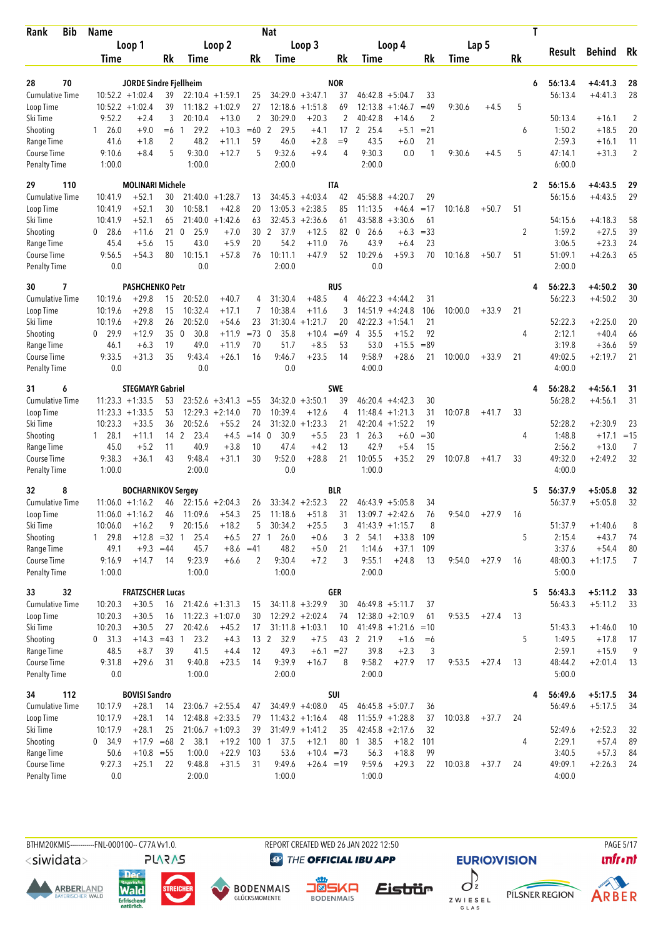| <b>Bib</b><br>Rank          | Name                 |                                                 |          |                     |                               |                 | Nat                    |                               |             |                        |                      |             |         |         |    | T                       |                        |                |
|-----------------------------|----------------------|-------------------------------------------------|----------|---------------------|-------------------------------|-----------------|------------------------|-------------------------------|-------------|------------------------|----------------------|-------------|---------|---------|----|-------------------------|------------------------|----------------|
|                             |                      | Loop 1                                          |          |                     | Loop 2                        |                 |                        | Loop 3                        |             |                        | Loop 4               |             |         | Lap 5   |    |                         |                        |                |
|                             | Time                 |                                                 | Rk       | Time                |                               | Rk              | Time                   |                               | Rk          | Time                   |                      | Rk          | Time    |         | Rk | Result                  | <b>Behind</b>          | Rk             |
|                             |                      |                                                 |          |                     |                               |                 |                        |                               |             |                        |                      |             |         |         |    |                         |                        |                |
| 70<br>28                    |                      | JORDE Sindre Fjellheim                          |          |                     |                               |                 |                        |                               | <b>NOR</b>  |                        |                      |             |         |         |    | 56:13.4<br>6            | $+4:41.3$              | 28             |
| <b>Cumulative Time</b>      |                      | $10:52.2 + 1:02.4$                              | 39<br>39 |                     | $22:10.4 + 1:59.1$            | 25              |                        | $34:29.0 + 3:47.1$            | 37<br>69    | 46:42.8                | $+5:04.7$            | 33<br>$=49$ |         |         |    | 56:13.4                 | $+4:41.3$              | 28             |
| Loop Time<br>Ski Time       | 9:52.2               | $10:52.2 + 1:02.4$<br>$+2.4$                    | 3        | 20:10.4             | $11:18.2 + 1:02.9$<br>$+13.0$ | 27<br>2         | 30:29.0                | $12:18.6 + 1:51.8$<br>$+20.3$ | 2           | 12:13.8<br>40:42.8     | $+1:46.7$<br>$+14.6$ | 2           | 9:30.6  | $+4.5$  | 5  | 50:13.4                 | $+16.1$                | $\overline{2}$ |
| Shooting                    | $1\quad 26.0$        | $+9.0$                                          | $=6$     | 29.2<br>1           | $+10.3$                       | $=60$           | 2<br>29.5              | $+4.1$                        | 17          | 2 25.4                 | $+5.1$               | $= 21$      |         |         | 6  | 1:50.2                  | $+18.5$                | 20             |
| Range Time                  | 41.6                 | $+1.8$                                          | 2        | 48.2                | $+11.1$                       | 59              | 46.0                   | $+2.8$                        | $=9$        | 43.5                   | $+6.0$               | 21          |         |         |    | 2:59.3                  | $+16.1$                | 11             |
| Course Time                 | 9:10.6               | $+8.4$                                          | 5        | 9:30.0              | $+12.7$                       | 5               | 9:32.6                 | $+9.4$                        | 4           | 9:30.3                 | 0.0                  | 1           | 9:30.6  | $+4.5$  | 5  | 47:14.1                 | $+31.3$                | $\overline{2}$ |
| <b>Penalty Time</b>         | 1:00.0               |                                                 |          | 1:00.0              |                               |                 | 2:00.0                 |                               |             | 2:00.0                 |                      |             |         |         |    | 6:00.0                  |                        |                |
| 29<br>110                   |                      | <b>MOLINARI Michele</b>                         |          |                     |                               |                 |                        |                               | <b>ITA</b>  |                        |                      |             |         |         |    | 56:15.6<br>2            | $+4:43.5$              | 29             |
| <b>Cumulative Time</b>      | 10:41.9              | $+52.1$                                         | 30       |                     | $21:40.0 + 1:28.7$            | 13              |                        | $34:45.3 + 4:03.4$            | 42          | 45:58.8                | $+4:20.7$            | 29          |         |         |    | 56:15.6                 | $+4:43.5$              | 29             |
| Loop Time                   | 10:41.9              | $+52.1$                                         | 30       | 10:58.1             | $+42.8$                       | 20              |                        | $13:05.3 + 2:38.5$            | 85          | 11:13.5                | $+46.4$              | $=17$       | 10:16.8 | $+50.7$ | 51 |                         |                        |                |
| Ski Time                    | 10:41.9              | $+52.1$                                         | 65       | 21:40.0             | $+1:42.6$                     | 63              |                        | $32:45.3 + 2:36.6$            | 61          | 43:58.8                | $+3:30.6$            | 61          |         |         |    | 54:15.6                 | $+4:18.3$              | 58             |
| Shooting                    | $0$ 28.6             | $+11.6$                                         | 21       | $\mathbf 0$<br>25.9 | $+7.0$                        | 30              | $\overline{2}$<br>37.9 | $+12.5$                       | 82          | 26.6<br>0              | $+6.3$               | $= 33$      |         |         | 2  | 1:59.2                  | $+27.5$                | 39             |
| Range Time                  | 45.4                 | $+5.6$                                          | 15       | 43.0                | $+5.9$                        | 20              | 54.2                   | $+11.0$                       | 76          | 43.9                   | $+6.4$               | 23          |         |         |    | 3:06.5                  | $+23.3$                | 24             |
| Course Time                 | 9:56.5               | $+54.3$                                         | 80       | 10:15.1             | $+57.8$                       | 76              | 10:11.1                | $+47.9$                       | 52          | 10:29.6                | $+59.3$              | 70          | 10:16.8 | $+50.7$ | 51 | 51:09.1                 | $+4:26.3$              | 65             |
| <b>Penalty Time</b>         | 0.0                  |                                                 |          | 0.0                 |                               |                 | 2:00.0                 |                               |             | 0.0                    |                      |             |         |         |    | 2:00.0                  |                        |                |
| 30<br>7                     |                      | <b>PASHCHENKO Petr</b>                          |          |                     |                               |                 |                        |                               | RUS         |                        |                      |             |         |         |    | 56:22.3<br>4            | $+4:50.2$              | 30             |
| <b>Cumulative Time</b>      | 10:19.6              | $+29.8$                                         | 15       | 20:52.0             | $+40.7$                       | 4               | 31:30.4                | $+48.5$                       | 4           |                        | $46:22.3 +4:44.2$    | 31          |         |         |    | 56:22.3                 | $+4:50.2$              | 30             |
| Loop Time                   | 10:19.6              | $+29.8$                                         | 15       | 10:32.4             | $+17.1$                       | 7               | 10:38.4                | $+11.6$                       | 3           | 14:51.9                | $+4:24.8$            | 106         | 10:00.0 | $+33.9$ | 21 |                         |                        |                |
| Ski Time                    | 10:19.6              | $+29.8$                                         | 26       | 20:52.0             | $+54.6$                       | 23              | 31:30.4                | $+1:21.7$                     | 20          | 42:22.3                | $+1:54.1$            | 21          |         |         |    | 52:22.3                 | $+2:25.0$              | 20             |
| Shooting                    | 29.9<br>$\mathbf{0}$ | $+12.9$                                         | 35       | $\mathbf 0$<br>30.8 | $+11.9$                       | $=73$ 0         | 35.8                   | $+10.4$                       | $=69$       | 35.5<br>4              | $+15.2$              | 92          |         |         | 4  | 2:12.1                  | $+40.4$                | 66             |
| Range Time                  | 46.1                 | $+6.3$                                          | 19       | 49.0                | $+11.9$                       | 70              | 51.7                   | $+8.5$                        | 53          | 53.0                   | $+15.5$              | $= 89$      |         |         |    | 3:19.8                  | $+36.6$                | 59             |
| Course Time                 | 9:33.5               | $+31.3$                                         | 35       | 9:43.4              | $+26.1$                       | 16              | 9:46.7                 | $+23.5$                       | 14          | 9:58.9                 | $+28.6$              | 21          | 10:00.0 | $+33.9$ | 21 | 49:02.5                 | $+2:19.7$              | 21             |
| <b>Penalty Time</b>         | 0.0                  |                                                 |          | 0.0                 |                               |                 | 0.0                    |                               |             | 4:00.0                 |                      |             |         |         |    | 4:00.0                  |                        |                |
| 31<br>6                     |                      | <b>STEGMAYR Gabriel</b>                         |          |                     |                               |                 |                        |                               | SWE         |                        |                      |             |         |         |    | 56:28.2<br>4            | $+4:56.1$              | 31             |
| <b>Cumulative Time</b>      |                      | $11:23.3 + 1:33.5$                              | 53       |                     | $23:52.6 + 3:41.3$            | $= 55$          |                        | $34:32.0 + 3:50.1$            | 39          |                        | $46:20.4 +4:42.3$    | 30          |         |         |    | 56:28.2                 | $+4:56.1$              | 31             |
| Loop Time                   | 11:23.3              | $+1:33.5$                                       | 53       |                     | $12:29.3 + 2:14.0$            | 70              | 10:39.4                | $+12.6$                       | 4           | 11:48.4                | $+1:21.3$            | 31          | 10:07.8 | $+41.7$ | 33 |                         |                        |                |
| Ski Time                    | 10:23.3              | $+33.5$                                         | 36       | 20:52.6             | $+55.2$                       | 24              |                        | $31:32.0 + 1:23.3$            | 21          |                        | $42:20.4 + 1:52.2$   | 19          |         |         |    | 52:28.2                 | $+2:30.9$              | 23             |
| Shooting                    | $1 \quad 28.1$       | $+11.1$                                         | 14       | 2<br>23.4           | $+4.5$                        | $=14$           | $\mathbf 0$<br>30.9    | $+5.5$                        | 23          | 26.3<br>$\overline{1}$ | $+6.0$               | $= 30$      |         |         | 4  | 1:48.8                  | $+17.1$                | $=15$          |
| Range Time<br>Course Time   | 45.0                 | $+5.2$                                          | 11<br>43 | 40.9                | $+3.8$                        | 10<br>30        | 47.4<br>9:52.0         | $+4.2$                        | 13          | 42.9<br>10:05.5        | $+5.4$               | 15          |         |         |    | 2:56.2<br>49:32.0       | $+13.0$                | 7<br>32        |
| <b>Penalty Time</b>         | 9:38.3<br>1:00.0     | $+36.1$                                         |          | 9:48.4<br>2:00.0    | +31.1                         |                 | 0.0                    | $+28.8$                       | 21          | 1:00.0                 | $+35.2$              | 29          | 10:07.8 | $+41.7$ | 33 | 4:00.0                  | $+2:49.2$              |                |
| 32                          |                      |                                                 |          |                     |                               |                 |                        |                               | <b>BLR</b>  |                        |                      |             |         |         |    |                         |                        |                |
| 8<br><b>Cumulative Time</b> |                      | <b>BOCHARNIKOV Sergey</b><br>$11:06.0 + 1:16.2$ |          |                     |                               |                 |                        | $33:34.2 +2:52.3$             | 22          |                        | $46:43.9 + 5:05.8$   | 34          |         |         |    | 56:37.9<br>5<br>56:37.9 | $+5:05.8$<br>$+5:05.8$ | 32<br>32       |
| Loop Time                   |                      | $11:06.0 + 1:16.2$                              | 46<br>46 | 11:09.6             | $22:15.6 + 2:04.3$<br>$+54.3$ | 26<br>25        | 11:18.6                | $+51.8$                       | 31          |                        | $13:09.7 + 2:42.6$   | 76          | 9:54.0  | $+27.9$ | 16 |                         |                        |                |
| Ski Time                    | 10:06.0              | $+16.2$                                         | 9        | 20:15.6             | $+18.2$                       | 5               | 30:34.2                | $+25.5$                       | 3           |                        | $41:43.9 +1:15.7$    | 8           |         |         |    | 51:37.9                 | $+1:40.6$              | 8              |
| Shooting                    | 1 29.8               | $+12.8 = 32 1$                                  |          | 25.4                | $+6.5$                        | 27 <sub>1</sub> | 26.0                   | $+0.6$                        | 3           | 2 54.1                 | $+33.8$              | 109         |         |         | 5  | 2:15.4                  | $+43.7$                | 74             |
| Range Time                  | 49.1                 | $+9.3 = 44$                                     |          | 45.7                | $+8.6$                        | $=41$           | 48.2                   | $+5.0$                        | 21          | 1:14.6                 | $+37.1$              | 109         |         |         |    | 3:37.6                  | $+54.4$                | 80             |
| Course Time                 | 9:16.9               | $+14.7$                                         | 14       | 9:23.9              | $+6.6$                        | 2               | 9:30.4                 | $+7.2$                        | 3           | 9:55.1                 | $+24.8$              | 13          | 9:54.0  | $+27.9$ | 16 | 48:00.3                 | $+1:17.5$              | $\overline{7}$ |
| Penalty Time                | 1:00.0               |                                                 |          | 1:00.0              |                               |                 | 1:00.0                 |                               |             | 2:00.0                 |                      |             |         |         |    | 5:00.0                  |                        |                |
| 32<br>33                    |                      | <b>FRATZSCHER Lucas</b>                         |          |                     |                               |                 |                        |                               | <b>GER</b>  |                        |                      |             |         |         |    | 56:43.3<br>5            | $+5:11.2$              | 33             |
| <b>Cumulative Time</b>      | 10:20.3              | $+30.5$                                         | 16       |                     | $21:42.6 + 1:31.3$            | 15              |                        | $34:11.8 + 3:29.9$            | 30          |                        | $46:49.8 + 5:11.7$   | 37          |         |         |    | 56:43.3                 | $+5:11.2$              | 33             |
| Loop Time                   | 10:20.3              | $+30.5$                                         | 16       |                     | $11:22.3 + 1:07.0$            | 30              |                        | $12:29.2 + 2:02.4$            | 74          |                        | $12:38.0 + 2:10.9$   | 61          | 9:53.5  | $+27.4$ | 13 |                         |                        |                |
| Ski Time                    | 10:20.3              | $+30.5$                                         | 27       | 20:42.6             | $+45.2$                       | 17              |                        | $31:11.8 + 1:03.1$            | 10          |                        | $41:49.8 + 1:21.6$   | $=10$       |         |         |    | 51:43.3                 | $+1:46.0$              | 10             |
| Shooting                    | $0$ 31.3             | $+14.3 = 43$ 1                                  |          | 23.2                | $+4.3$                        |                 | 13 2<br>32.9           | $+7.5$                        | 43          | 2 21.9                 | $+1.6$               | $=6$        |         |         | 5  | 1:49.5                  | $+17.8$                | 17             |
| Range Time                  | 48.5                 | $+8.7$                                          | 39       | 41.5                | $+4.4$                        | 12              | 49.3                   |                               | $+6.1 = 27$ | 39.8                   | $+2.3$               | 3           |         |         |    | 2:59.1                  | $+15.9$                | 9              |
| Course Time                 | 9:31.8               | $+29.6$                                         | 31       | 9:40.8              | $+23.5$                       | 14              | 9:39.9                 | $+16.7$                       | 8           | 9:58.2                 | $+27.9$              | 17          | 9:53.5  | $+27.4$ | 13 | 48:44.2                 | $+2:01.4$              | 13             |
| Penalty Time                | 0.0                  |                                                 |          | 1:00.0              |                               |                 | 2:00.0                 |                               |             | 2:00.0                 |                      |             |         |         |    | 5:00.0                  |                        |                |
| 34<br>112                   |                      | <b>BOVISI Sandro</b>                            |          |                     |                               |                 |                        |                               | SUI         |                        |                      |             |         |         |    | 56:49.6<br>4            | $+5:17.5$              | -34            |
| <b>Cumulative Time</b>      | 10:17.9              | $+28.1$                                         | 14       |                     | $23:06.7 + 2:55.4$            | 47              |                        | $34:49.9 + 4:08.0$            | 45          |                        | $46:45.8 + 5:07.7$   | 36          |         |         |    | 56:49.6                 | $+5:17.5$              | 34             |
| Loop Time                   | 10:17.9              | $+28.1$                                         | 14       |                     | $12:48.8 + 2:33.5$            | 79              |                        | $11:43.2 +1:16.4$             | 48          |                        | $11:55.9 + 1:28.8$   | 37          | 10:03.8 | $+37.7$ | 24 |                         |                        |                |
| Ski Time                    | 10:17.9              | $+28.1$                                         | 25       |                     | $21:06.7 +1:09.3$             | 39              |                        | $31:49.9 + 1:41.2$            | 35          |                        | $42:45.8 + 2:17.6$   | 32          |         |         |    | 52:49.6                 | $+2:52.3$              | 32             |
| Shooting                    | 0, 34.9              | $+17.9$ =68 2                                   |          | 38.1                | $+19.2$                       | 100 1           | 37.5                   | $+12.1$                       | 80          | 1 38.5                 | $+18.2$              | 101         |         |         | 4  | 2:29.1                  | $+57.4$                | 89             |
| Range Time                  | 50.6                 | $+10.8 = 55$                                    |          | 1:00.0              | $+22.9$                       | 103             | 53.6                   | $+10.4 = 73$                  |             | 56.3                   | $+18.8$              | 99          |         |         |    | 3:40.5                  | $+57.3$                | 84             |
| Course Time                 | 9:27.3               | $+25.1$                                         | 22       | 9:48.8              | $+31.5$                       | 31              | 9:49.6                 | $+26.4 = 19$                  |             | 9:59.6                 | $+29.3$              | 22          | 10:03.8 | $+37.7$ | 24 | 49:09.1                 | $+2:26.3$              | 24             |
| <b>Penalty Time</b>         | 0.0                  |                                                 |          | 2:00.0              |                               |                 | 1:00.0                 |                               |             | 1:00.0                 |                      |             |         |         |    | 4:00.0                  |                        |                |

<siwidata>

**ARBERLAND** 







REPORT CREATED WED 26 JAN 2022 12:50

**@** THE OFFICIAL IBU APP

Eistrür Z W I E S E L<br>G L A S

 $\int$ 



PILSNER REGION



**PAGE 5/17**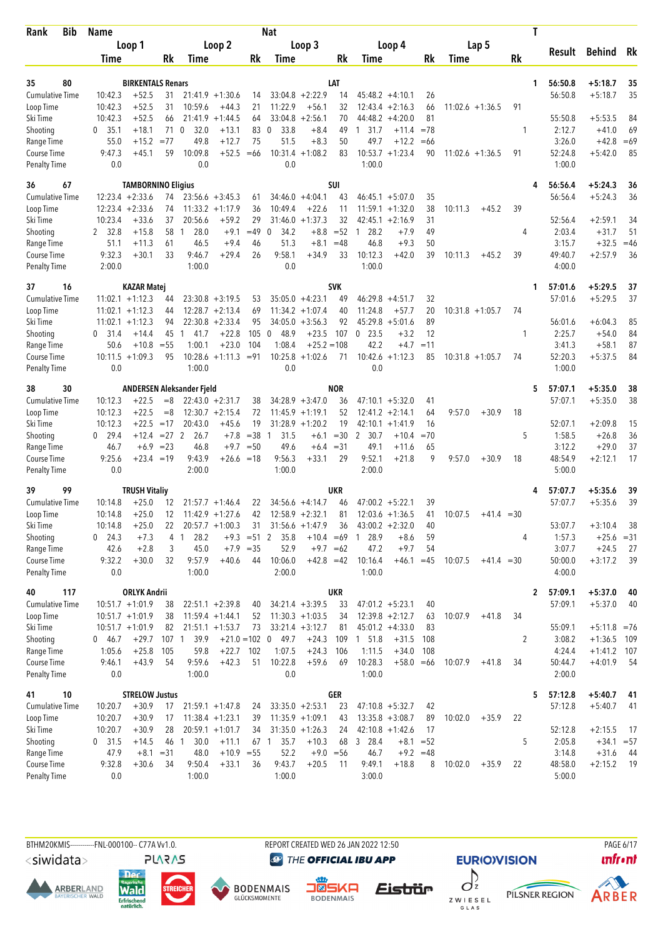| Bib<br>Rank                         | Name               |                           |                  |                           |                               |               | <b>Nat</b>             |                    |             |                              |                    |          |         |                    |    | T |                   |                |          |
|-------------------------------------|--------------------|---------------------------|------------------|---------------------------|-------------------------------|---------------|------------------------|--------------------|-------------|------------------------------|--------------------|----------|---------|--------------------|----|---|-------------------|----------------|----------|
|                                     |                    | Loop 1                    |                  |                           | Loop 2                        |               |                        | Loop 3             |             |                              | Loop 4             |          |         | Lap 5              |    |   |                   |                |          |
|                                     | Time               |                           | Rk               | Time                      |                               | Rk            | Time                   |                    | Rk          | Time                         |                    | Rk       | Time    |                    | Rk |   | Result            | <b>Behind</b>  | Rk       |
|                                     |                    |                           |                  |                           |                               |               |                        |                    |             |                              |                    |          |         |                    |    |   |                   |                |          |
| 80<br>35                            |                    | <b>BIRKENTALS Renars</b>  |                  |                           |                               |               |                        | $33:04.8 + 2:22.9$ | LAT         |                              |                    |          |         |                    |    | 1 | 56:50.8           | $+5:18.7$      | 35<br>35 |
| <b>Cumulative Time</b><br>Loop Time | 10:42.3<br>10:42.3 | $+52.5$<br>$+52.5$        | 31<br>31         | 10:59.6                   | $21:41.9 + 1:30.6$<br>$+44.3$ | 14<br>21      | 11:22.9                | $+56.1$            | 14<br>32    | $45:48.2 +4:10.1$<br>12:43.4 | $+2:16.3$          | 26<br>66 |         | $11:02.6 + 1:36.5$ | 91 |   | 56:50.8           | $+5:18.7$      |          |
| Ski Time                            | 10:42.3            | $+52.5$                   | 66               |                           | $21:41.9 + 1:44.5$            | 64            | 33:04.8                | $+2:56.1$          | 70          | 44:48.2                      | $+4:20.0$          | 81       |         |                    |    |   | 55:50.8           | $+5:53.5$      | 84       |
| Shooting                            | 0, 35.1            | $+18.1$                   | 71 0             | 32.0                      | $+13.1$                       | 83            | 33.8<br>0              | $+8.4$             | 49          | 1 31.7                       | $+11.4$            | $=78$    |         |                    | 1  |   | 2:12.7            | $+41.0$        | 69       |
| Range Time                          | 55.0               | $+15.2$                   | $= 77$           | 49.8                      | $+12.7$                       | 75            | 51.5                   | $+8.3$             | 50          | 49.7                         | $+12.2$            | $=66$    |         |                    |    |   | 3:26.0            | $+42.8$        | $=69$    |
| Course Time                         | 9:47.3             | $+45.1$                   | 59               | 10:09.8                   | $+52.5$                       | $=66$         | 10:31.4                | $+1:08.2$          | 83          | $10:53.7 + 1:23.4$           |                    | 90       |         | $11:02.6 + 1:36.5$ | 91 |   | 52:24.8           | $+5:42.0$      | 85       |
| <b>Penalty Time</b>                 | 0.0                |                           |                  | 0.0                       |                               |               | 0.0                    |                    |             | 1:00.0                       |                    |          |         |                    |    |   | 1:00.0            |                |          |
| 67<br>36                            |                    | <b>TAMBORNINO Eligius</b> |                  |                           |                               |               |                        |                    | SUI         |                              |                    |          |         |                    |    |   | 56:56.4           | $+5:24.3$      | 36       |
| <b>Cumulative Time</b>              |                    | $12:23.4 +2:33.6$         | 74               |                           | $23:56.6 + 3:45.3$            | 61            |                        | $34:46.0 + 4:04.1$ | 43          |                              | $46:45.1 + 5:07.0$ | 35       |         |                    |    |   | 56:56.4           | $+5:24.3$      | 36       |
| Loop Time                           |                    | $12:23.4 +2:33.6$         | 74               |                           | $11:33.2 +1:17.9$             | 36            | 10:49.4                | $+22.6$            | 11          | 11:59.1                      | $+1:32.0$          | 38       | 10:11.3 | $+45.2$            | 39 |   |                   |                |          |
| Ski Time                            | 10:23.4            | $+33.6$                   | 37               | 20:56.6                   | $+59.2$                       | 29            | 31:46.0                | $+1:37.3$          | 32          | $42:45.1 + 2:16.9$           |                    | 31       |         |                    |    |   | 52:56.4           | $+2:59.1$      | 34       |
| Shooting                            | 2 32.8             | $+15.8$                   | 58               | 28.0<br>1                 | $+9.1$                        | $=49$         | 34.2<br>0              | $+8.8$             | $=52$       | 28.2<br>-1                   | $+7.9$             | 49       |         |                    | 4  |   | 2:03.4            | $+31.7$        | 51       |
| Range Time                          | 51.1               | $+11.3$                   | 61               | 46.5                      | $+9.4$                        | 46            | 51.3                   | $+8.1$             | $=48$       | 46.8                         | $+9.3$             | 50       |         |                    |    |   | 3:15.7            | $+32.5$        | $=46$    |
| Course Time                         | 9:32.3             | $+30.1$                   | 33               | 9:46.7                    | $+29.4$                       | 26            | 9:58.1                 | $+34.9$            | 33          | 10:12.3                      | $+42.0$            | 39       | 10:11.3 | $+45.2$            | 39 |   | 49:40.7           | $+2:57.9$      | 36       |
| <b>Penalty Time</b>                 | 2:00.0             |                           |                  | 1:00.0                    |                               |               | 0.0                    |                    |             | 1:00.0                       |                    |          |         |                    |    |   | 4:00.0            |                |          |
| 16<br>37                            |                    | <b>KAZAR Matej</b>        |                  |                           |                               |               |                        |                    | <b>SVK</b>  |                              |                    |          |         |                    |    | 1 | 57:01.6           | $+5:29.5$      | 37       |
| <b>Cumulative Time</b>              |                    | $11:02.1 + 1:12.3$        | 44               |                           | $23:30.8 + 3:19.5$            | 53            |                        | $35:05.0 + 4:23.1$ | 49          | $46:29.8 + 4:51.7$           |                    | 32       |         |                    |    |   | 57:01.6           | $+5:29.5$      | 37       |
| Loop Time                           |                    | $11:02.1 + 1:12.3$        | 44               |                           | $12:28.7 + 2:13.4$            | 69            |                        | $11:34.2 + 1:07.4$ | 40          | 11:24.8                      | $+57.7$            | 20       |         | $10:31.8 + 1:05.7$ | 74 |   |                   |                |          |
| Ski Time                            |                    | $11:02.1 + 1:12.3$        | 94               |                           | $22:30.8 + 2:33.4$            | 95            |                        | $34:05.0 + 3:56.3$ | 92          | $45:29.8 + 5:01.6$           |                    | 89       |         |                    |    |   | 56:01.6           | $+6:04.3$      | 85       |
| Shooting                            | $0\quad 31.4$      | $+14.4$                   | 45               | 41.7<br>1                 | $+22.8$                       | 105           | 48.9<br>$\mathbf 0$    | $+23.5$            | 107         | $\mathbf 0$<br>23.5          | $+3.2$             | 12       |         |                    | 1  |   | 2:25.7            | $+54.0$        | 84       |
| Range Time                          | 50.6               | $+10.8$                   | $= 55$           | 1:00.1                    | $+23.0$                       | 104           | 1:08.4                 | $+25.2 = 108$      |             | 42.2                         | $+4.7$             | $=11$    |         |                    |    |   | 3:41.3            | $+58.1$        | 87       |
| Course Time                         |                    | $10:11.5 + 1:09.3$        | 95               |                           | $10:28.6 + 1:11.3 = 91$       |               | 10:25.8                | $+1:02.6$          | 71          | $10:42.6 + 1:12.3$           |                    | 85       |         | $10:31.8 + 1:05.7$ | 74 |   | 52:20.3           | $+5:37.5$      | 84       |
| <b>Penalty Time</b>                 | 0.0                |                           |                  | 1:00.0                    |                               |               | 0.0                    |                    |             | 0.0                          |                    |          |         |                    |    |   | 1:00.0            |                |          |
| 30<br>38                            |                    |                           |                  | ANDERSEN Aleksander Fjeld |                               |               |                        |                    | <b>NOR</b>  |                              |                    |          |         |                    |    | 5 | 57:07.1           | $+5:35.0$      | 38       |
| <b>Cumulative Time</b>              | 10:12.3            | $+22.5$                   | $=8$             |                           | $22:43.0 + 2:31.7$            | 38            |                        | $34:28.9 + 3:47.0$ | 36          |                              | $47:10.1 + 5:32.0$ | 41       |         |                    |    |   | 57:07.1           | $+5:35.0$      | 38       |
| Loop Time                           | 10:12.3            | $+22.5$                   | $=8$             |                           | $12:30.7 + 2:15.4$            | 72            |                        | $11:45.9 + 1:19.1$ | 52          | 12:41.2                      | $+2:14.1$          | 64       | 9:57.0  | $+30.9$            | 18 |   |                   |                |          |
| Ski Time                            | 10:12.3            | $+22.5$                   | $=17$            | 20:43.0                   | $+45.6$                       | 19            |                        | $31:28.9 + 1:20.2$ | 19          | $42:10.1 + 1:41.9$           |                    | 16       |         |                    |    |   | 52:07.1           | $+2:09.8$      | 15       |
| Shooting                            | $0$ 29.4           | $+12.4$                   | $= 27$ 2         | 26.7                      | $+7.8$                        | $= 38$        | 31.5<br>$\overline{1}$ | $+6.1$             | $=30$       | $\mathbf{2}$<br>30.7         | $+10.4$            | $=70$    |         |                    | 5  |   | 1:58.5            | $+26.8$        | 36       |
| Range Time                          | 46.7               | $+6.9$                    | $= 23$           | 46.8                      | $+9.7$                        | $=50$         | 49.6                   |                    | $+6.4 = 31$ | 49.1                         | $+11.6$            | 65       |         |                    |    |   | 3:12.2            | $+29.0$        | 37       |
| Course Time                         | 9:25.6             | $+23.4 = 19$              |                  | 9:43.9                    | $+26.6$                       | $=18$         | 9:56.3                 | $+33.1$            | 29          | 9:52.1                       | $+21.8$            | 9        | 9:57.0  | $+30.9$            | 18 |   | 48:54.9           | $+2:12.1$      | 17       |
| <b>Penalty Time</b>                 | 0.0                |                           |                  | 2:00.0                    |                               |               | 1:00.0                 |                    |             | 2:00.0                       |                    |          |         |                    |    |   | 5:00.0            |                |          |
| 99<br>39                            |                    | <b>TRUSH Vitaliy</b>      |                  |                           |                               |               |                        |                    | <b>UKR</b>  |                              |                    |          |         |                    |    |   | 57:07.7           | $+5:35.6$      | 39       |
| <b>Cumulative Time</b>              | 10:14.8            | $+25.0$                   | 12               |                           | $21:57.7 + 1:46.4$            | 22            |                        | $34:56.6 + 4:14.7$ | 46          | $47:00.2 + 5:22.1$           |                    | 39       |         |                    |    |   | 57:07.7           | $+5:35.6$      | 39       |
| Loop Time                           | 10:14.8            | $+25.0$                   | 12               |                           | $11:42.9 + 1:27.6$            | 42            |                        | $12:58.9 + 2:32.1$ | 81          |                              | $12:03.6 + 1:36.5$ | 41       | 10:07.5 | $+41.4 = 30$       |    |   |                   |                |          |
| Ski Time                            | 10:14.8            | $+25.0$                   | 22               |                           | $20:57.7 +1:00.3$             | 31            |                        | $31:56.6 + 1:47.9$ | 36          | $43:00.2 +2:32.0$            |                    | 40       |         |                    |    |   | 53:07.7           | $+3:10.4$      | 38       |
| Shooting                            | $0$ 24.3           | $+7.3$                    |                  | 4 <sub>1</sub><br>28.2    |                               | $+9.3 = 51$ 2 | 35.8                   | $+10.4 = 69$       |             | 28.9<br>$\mathbf{1}$         | $+8.6$             | 59       |         |                    | 4  |   | 1:57.3            | $+25.6 = 31$   |          |
| Range Time                          | 42.6               | $+2.8$                    | 3                | 45.0                      |                               | $+7.9 = 35$   | 52.9                   |                    | $+9.7 = 62$ | 47.2                         | $+9.7$             | 54       |         |                    |    |   | 3:07.7            | $+24.5$        | 27       |
| Course Time<br><b>Penalty Time</b>  | 9:32.2<br>0.0      | $+30.0$                   | 32               | 9:57.9<br>1:00.0          | $+40.6$                       | 44            | 10:06.0<br>2:00.0      | $+42.8 = 42$       |             | 10:16.4<br>1:00.0            | $+46.1 = 45$       |          | 10:07.5 | $+41.4 = 30$       |    |   | 50:00.0<br>4:00.0 | $+3:17.2$      | 39       |
|                                     |                    |                           |                  |                           |                               |               |                        |                    |             |                              |                    |          |         |                    |    |   |                   |                |          |
| 117<br>40                           |                    | <b>ORLYK Andrii</b>       |                  |                           |                               |               |                        |                    | <b>UKR</b>  |                              |                    |          |         |                    |    | 2 | 57:09.1           | $+5:37.0$      | 40       |
| <b>Cumulative Time</b>              |                    | $10:51.7 +1:01.9$         | 38               |                           | $22:51.1 + 2:39.8$            | 40            |                        | $34:21.4 +3:39.5$  | 33          | $47:01.2 +5:23.1$            |                    | 40       |         |                    |    |   | 57:09.1           | $+5:37.0$      | 40       |
| Loop Time                           |                    | $10:51.7 + 1:01.9$        | 38               |                           | $11:59.4 + 1:44.1$            | 52            |                        | $11:30.3 + 1:03.5$ | 34          | $12:39.8 + 2:12.7$           |                    | 63       | 10:07.9 | $+41.8$            | 34 |   |                   |                |          |
| Ski Time                            |                    | $10:51.7 + 1:01.9$        | 82               |                           | $21:51.1 + 1:53.7$            | 73            |                        | $33:21.4 +3:12.7$  | 81          | $45:01.2 +4:33.0$            |                    | 83       |         |                    |    |   | 55:09.1           | $+5:11.8 = 76$ |          |
| Shooting                            | $0\quad 46.7$      | $+29.7$                   | 107 <sub>1</sub> | 39.9                      | $+21.0 = 102$ 0               |               | 49.7                   | $+24.3$            | 109         | 1 51.8                       | $+31.5$            | 108      |         |                    | 2  |   | 3:08.2            | $+1:36.5$ 109  |          |
| Range Time                          | 1:05.6             | $+25.8$                   | 105              | 59.8                      | $+22.7$ 102                   |               | 1:07.5                 | $+24.3$            | 106         | 1:11.5                       | $+34.0$            | 108      |         |                    |    |   | 4:24.4            | $+1:41.2$ 107  |          |
| Course Time<br>Penalty Time         | 9:46.1<br>0.0      | $+43.9$                   | 54               | 9:59.6<br>1:00.0          | $+42.3$                       | 51            | 10:22.8<br>0.0         | $+59.6$            | 69          | 10:28.3<br>1:00.0            | $+58.0 = 66$       |          | 10:07.9 | $+41.8$            | 34 |   | 50:44.7<br>2:00.0 | $+4:01.9$      | -54      |
|                                     |                    |                           |                  |                           |                               |               |                        |                    |             |                              |                    |          |         |                    |    |   |                   |                |          |
| 10<br>41                            |                    | <b>STRELOW Justus</b>     |                  |                           |                               |               |                        |                    | GER         |                              |                    |          |         |                    |    | 5 | 57:12.8           | $+5:40.7$      | 41       |
| Cumulative Time                     | 10:20.7            | $+30.9$                   | 17               |                           | $21:59.1 + 1:47.8$            | 24            |                        | $33:35.0 + 2:53.1$ | 23          | $47:10.8 + 5:32.7$           |                    | 42       |         |                    |    |   | 57:12.8           | $+5:40.7$      | 41       |
| Loop Time                           | 10:20.7            | $+30.9$                   | 17               |                           | $11:38.4 + 1:23.1$            | 39            |                        | $11:35.9 + 1:09.1$ | 43          | $13:35.8 + 3:08.7$           |                    | 89       | 10:02.0 | $+35.9$            | 22 |   |                   |                |          |
| Ski Time                            | 10:20.7            | $+30.9$                   | 28               |                           | $20:59.1 + 1:01.7$            | 34            |                        | $31:35.0 + 1:26.3$ | 24          | $42:10.8 + 1:42.6$           |                    | 17       |         |                    |    |   | 52:12.8           | $+2:15.5$      | -17      |
| Shooting                            | $0$ 31.5           | $+14.5$                   | 46 1             | 30.0                      | $+11.1$                       |               | 67 1<br>35.7           | $+10.3$            | 68          | 3 28.4                       | $+8.1$             | $= 52$   |         |                    | 5  |   | 2:05.8            | $+34.1 = 57$   |          |
| Range Time                          | 47.9               | $+8.1$                    | $= 31$           | 48.0                      | $+10.9 = 55$                  |               | 52.2                   |                    | $+9.0 = 56$ | 46.7                         | $+9.2 = 48$        |          |         |                    |    |   | 3:14.8            | $+31.6$        | 44       |
| Course Time                         | 9:32.8             | $+30.6$                   | 34               | 9:50.4                    | $+33.1$                       | 36            | 9:43.7<br>1:00.0       | $+20.5$            | 11          | 9:49.1<br>3:00.0             | $+18.8$            | 8        | 10:02.0 | $+35.9$            | 22 |   | 48:58.0           | $+2:15.2$      | - 19     |
| Penalty Time                        | 0.0                |                           |                  | 1:00.0                    |                               |               |                        |                    |             |                              |                    |          |         |                    |    |   | 5:00.0            |                |          |

<siwidata>

**ARBERLAND** 





**DENMAIS** 

REPORT CREATED WED 26 JAN 2022 12:50

**@** THE OFFICIAL IBU APP

 $\int$ Eistrür Z W I E S E L<br>G L A S





**PAGE 6/17**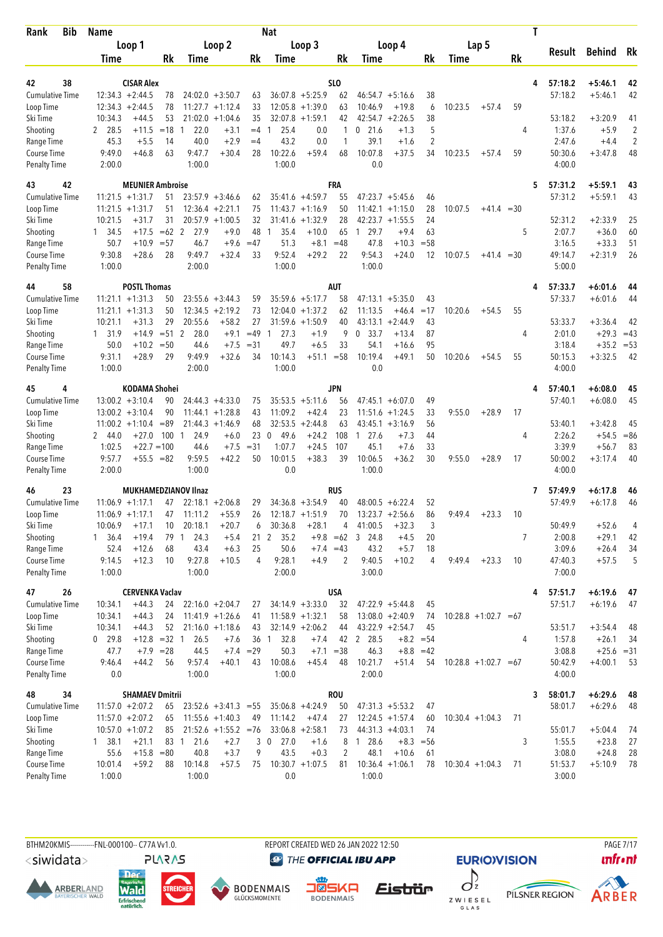| <b>Bib</b><br>Rank                  | <b>Name</b>                              |                         |              |                             |                                          |                   | <b>Nat</b>           |                       |                  |                      |                               |                |                   |                         |    | T |                    |                           |                |
|-------------------------------------|------------------------------------------|-------------------------|--------------|-----------------------------|------------------------------------------|-------------------|----------------------|-----------------------|------------------|----------------------|-------------------------------|----------------|-------------------|-------------------------|----|---|--------------------|---------------------------|----------------|
|                                     |                                          | Loop 1                  |              |                             | Loop 2                                   |                   |                      | Loop 3                |                  |                      | Loop 4                        |                |                   | Lap 5                   |    |   |                    |                           | Rk             |
|                                     | Time                                     |                         | Rk           | Time                        |                                          | Rk                | Time                 |                       | Rk               | Time                 |                               | Rk             | Time              |                         | Rk |   | Result             | <b>Behind</b>             |                |
|                                     |                                          |                         |              |                             |                                          |                   |                      |                       |                  |                      |                               |                |                   |                         |    |   |                    |                           |                |
| 42<br>38                            |                                          | <b>CISAR Alex</b>       |              |                             |                                          |                   |                      | $36:07.8$ +5:25.9     | SLO              |                      |                               |                |                   |                         |    | 4 | 57:18.2<br>57:18.2 | $+5:46.1$                 | 42<br>42       |
| <b>Cumulative Time</b><br>Loop Time | $12:34.3 + 2:44.5$<br>$12:34.3 + 2:44.5$ |                         | 78<br>78     |                             | $24:02.0 + 3:50.7$<br>$11:27.7 + 1:12.4$ | 63<br>33          | 12:05.8              | $+1:39.0$             | 62<br>63         | 10:46.9              | $46:54.7 + 5:16.6$<br>$+19.8$ | 38<br>6        | 10:23.5           | $+57.4$                 | 59 |   |                    | $+5:46.1$                 |                |
| Ski Time                            | 10:34.3                                  | $+44.5$                 | 53           |                             | $21:02.0 + 1:04.6$                       | 35                | 32:07.8              | $+1:59.1$             | 42               | 42:54.7              | $+2:26.5$                     | 38             |                   |                         |    |   | 53:18.2            | $+3:20.9$                 | 41             |
| Shooting                            | 2 28.5                                   | $+11.5$                 | $=18$        | 22.0<br>-1                  | $+3.1$                                   | $=4$              | 25.4<br>1            | 0.0                   | 1                | $0$ 21.6             | $+1.3$                        | 5              |                   |                         | 4  |   | 1:37.6             | $+5.9$                    | 2              |
| Range Time                          | 45.3                                     | $+5.5$                  | 14           | 40.0                        | $+2.9$                                   | $=4$              | 43.2                 | 0.0                   | 1                | 39.1                 | $+1.6$                        | $\overline{2}$ |                   |                         |    |   | 2:47.6             | $+4.4$                    | $\overline{2}$ |
| Course Time                         | 9:49.0                                   | $+46.8$                 | 63           | 9:47.7                      | $+30.4$                                  | 28                | 10:22.6              | $+59.4$               | 68               | 10:07.8              | $+37.5$                       | 34             | 10:23.5           | $+57.4$                 | 59 |   | 50:30.6            | $+3:47.8$                 | 48             |
| <b>Penalty Time</b>                 | 2:00.0                                   |                         |              | 1:00.0                      |                                          |                   | 1:00.0               |                       |                  | 0.0                  |                               |                |                   |                         |    |   | 4:00.0             |                           |                |
| 42<br>43                            |                                          | <b>MEUNIER Ambroise</b> |              |                             |                                          |                   |                      |                       | <b>FRA</b>       |                      |                               |                |                   |                         |    | 5 | 57:31.2            | $+5:59.1$                 | 43             |
| Cumulative Time                     | $11:21.5 + 1:31.7$                       |                         | 51           |                             | $23:57.9 + 3:46.6$                       | 62                |                      | $35:41.6 + 4:59.7$    | 55               |                      | $47:23.7 + 5:45.6$            | 46             |                   |                         |    |   | 57:31.2            | $+5:59.1$                 | 43             |
| Loop Time                           | $11:21.5 +1:31.7$                        |                         | 51           |                             | $12:36.4 + 2:21.1$                       | 75                |                      | $11:43.7 +1:16.9$     | 50               | 11:42.1              | $+1:15.0$                     | 28             | 10:07.5           | $+41.4 = 30$            |    |   |                    |                           |                |
| Ski Time                            | 10:21.5                                  | $+31.7$                 | 31           |                             | $20:57.9 + 1:00.5$                       | 32                | 31:41.6              | $+1:32.9$             | 28               | 42:23.7              | $+1:55.5$                     | 24             |                   |                         |    |   | 52:31.2            | $+2:33.9$                 | 25             |
| Shooting                            | 1 34.5                                   | $+17.5$                 | $=62$ 2      | 27.9                        | $+9.0$                                   | 48                | $\mathbf{1}$<br>35.4 | $+10.0$               | 65               | 29.7<br>$\mathbf{1}$ | $+9.4$                        | 63             |                   |                         | 5  |   | 2:07.7             | $+36.0$                   | 60             |
| Range Time<br>Course Time           | 50.7<br>9:30.8                           | $+10.9$<br>$+28.6$      | $= 57$<br>28 | 46.7<br>9:49.7              | $+9.6$<br>$+32.4$                        | $=47$<br>33       | 51.3<br>9:52.4       | $+8.1$<br>$+29.2$     | $=48$<br>22      | 47.8<br>9:54.3       | $+10.3$<br>$+24.0$            | $= 58$<br>12   | 10:07.5           | $+41.4 = 30$            |    |   | 3:16.5<br>49:14.7  | $+33.3$<br>$+2:31.9$      | 51<br>26       |
| <b>Penalty Time</b>                 | 1:00.0                                   |                         |              | 2:00.0                      |                                          |                   | 1:00.0               |                       |                  | 1:00.0               |                               |                |                   |                         |    |   | 5:00.0             |                           |                |
|                                     |                                          |                         |              |                             |                                          |                   |                      |                       |                  |                      |                               |                |                   |                         |    |   |                    |                           |                |
| 58<br>44<br><b>Cumulative Time</b>  | $11:21.1 + 1:31.3$                       | <b>POSTL Thomas</b>     |              |                             | $23:55.6 + 3:44.3$                       |                   |                      | $35:59.6 + 5:17.7$    | <b>AUT</b>       |                      |                               | 43             |                   |                         |    | 4 | 57:33.7<br>57:33.7 | $+6:01.6$<br>$+6:01.6$    | 44             |
| Loop Time                           | $11:21.1 + 1:31.3$                       |                         | 50<br>50     | 12:34.5                     | $+2:19.2$                                | 59<br>73          |                      | $12:04.0 + 1:37.2$    | 58<br>62         | 11:13.5              | $47:13.1 + 5:35.0$<br>$+46.4$ | $=17$          | 10:20.6           | $+54.5$                 | 55 |   |                    |                           | 44             |
| Ski Time                            | 10:21.1                                  | $+31.3$                 | 29           | 20:55.6                     | $+58.2$                                  | 27                |                      | $31:59.6 + 1:50.9$    | 40               | 43:13.1              | $+2:44.9$                     | 43             |                   |                         |    |   | 53:33.7            | $+3:36.4$                 | 42             |
| Shooting                            | 1 31.9                                   | $+14.9$                 | $= 51$ 2     | 28.0                        | $+9.1$                                   | $=49$             | 27.3<br>$\mathbf{1}$ | $+1.9$                | 9                | 0<br>33.7            | $+13.4$                       | 87             |                   |                         | 4  |   | 2:01.0             | $+29.3$                   | $=43$          |
| Range Time                          | 50.0                                     | $+10.2$                 | $=50$        | 44.6                        | $+7.5$                                   | $= 31$            | 49.7                 | $+6.5$                | 33               | 54.1                 | $+16.6$                       | 95             |                   |                         |    |   | 3:18.4             | $+35.2$                   | $= 53$         |
| Course Time                         | 9:31.1                                   | $+28.9$                 | 29           | 9:49.9                      | $+32.6$                                  | 34                | 10:14.3              | $+51.1$               | $= 58$           | 10:19.4              | $+49.1$                       | 50             | 10:20.6           | $+54.5$                 | 55 |   | 50:15.3            | $+3:32.5$                 | 42             |
| <b>Penalty Time</b>                 | 1:00.0                                   |                         |              | 2:00.0                      |                                          |                   | 1:00.0               |                       |                  | 0.0                  |                               |                |                   |                         |    |   | 4:00.0             |                           |                |
| 45<br>4                             |                                          | KODAMA Shohei           |              |                             |                                          |                   |                      |                       | <b>JPN</b>       |                      |                               |                |                   |                         |    |   | 57:40.1            | $+6:08.0$                 | 45             |
| <b>Cumulative Time</b>              | $13:00.2 + 3:10.4$                       |                         | 90           |                             | $24:44.3 + 4:33.0$                       | 75                |                      | $35:53.5 + 5:11.6$    | 56               |                      | $47:45.1 + 6:07.0$            | 49             |                   |                         |    |   | 57:40.1            | $+6:08.0$                 | 45             |
| Loop Time                           | $13:00.2 + 3:10.4$                       |                         | 90           |                             | $11:44.1 + 1:28.8$                       | 43                | 11:09.2              | $+42.4$               | 23               | 11:51.6              | $+1:24.5$                     | 33             | 9:55.0            | $+28.9$                 | 17 |   |                    |                           |                |
| Ski Time                            | $11:00.2 + 1:10.4$                       |                         | $=89$        |                             | $21:44.3 +1:46.9$                        | 68                |                      | $32:53.5 + 2:44.8$    | 63               |                      | $43:45.1 + 3:16.9$            | 56             |                   |                         |    |   | 53:40.1            | $+3:42.8$                 | 45             |
| Shooting                            | 2 44.0                                   | $+27.0$                 | 100          | 24.9<br>$\overline{1}$      | $+6.0$                                   | 23                | 49.6<br>0            | $+24.2$               | 108              | 27.6<br>1            | $+7.3$                        | 44             |                   |                         | 4  |   | 2:26.2             | $+54.5$                   | $= 86$         |
| Range Time<br><b>Course Time</b>    | 1:02.5<br>9:57.7                         | $+22.7=100$<br>$+55.5$  | $= 82$       | 44.6<br>9:59.5              | $+7.5$<br>$+42.2$                        | $= 31$<br>50      | 1:07.7<br>10:01.5    | $+24.5$<br>$+38.3$    | 107<br>39        | 45.1<br>10:06.5      | $+7.6$<br>$+36.2$             | 33<br>30       | 9:55.0            | $+28.9$                 | 17 |   | 3:39.9<br>50:00.2  | $+56.7$<br>$+3:17.4$      | 83<br>40       |
| <b>Penalty Time</b>                 | 2:00.0                                   |                         |              | 1:00.0                      |                                          |                   | 0.0                  |                       |                  | 1:00.0               |                               |                |                   |                         |    |   | 4:00.0             |                           |                |
|                                     |                                          |                         |              |                             |                                          |                   |                      |                       |                  |                      |                               |                |                   |                         |    |   |                    |                           |                |
| 23<br>46<br><b>Cumulative Time</b>  | $11:06.9 + 1:17.1$                       |                         | 47           | <b>MUKHAMEDZIANOV IInaz</b> | $22:18.1 + 2:06.8$                       | 29                |                      | $34:36.8 + 3:54.9$    | <b>RUS</b><br>40 | 48:00.5              | $+6:22.4$                     | 52             |                   |                         |    | 7 | 57:49.9<br>57:49.9 | $+6:17.8$<br>$+6:17.8$    | 46<br>46       |
| Loop Time                           | $11:06.9 + 1:17.1$                       |                         | 47           | 11:11.2                     | $+55.9$                                  | 26                |                      | $12:18.7 + 1:51.9$    | 70               |                      | $13:23.7 + 2:56.6$            | 86             | 9:49.4            | $+23.3$                 | 10 |   |                    |                           |                |
| Ski Time                            | 10:06.9                                  | $+17.1$                 | 10           | 20:18.1                     | $+20.7$                                  | 6                 | 30:36.8              | $+28.1$               | 4                | 41:00.5              | $+32.3$                       | 3              |                   |                         |    |   | 50:49.9            | $+52.6$                   | 4              |
| Shooting                            | $1 \quad 36.4$                           | $+19.4$                 | 79           | 24.3<br>$\mathbf{1}$        | $+5.4$                                   | 21 <sub>2</sub>   | 35.2                 |                       | $+9.8 = 62$      | 3 24.8               | $+4.5$                        | 20             |                   |                         | 7  |   | 2:00.8             | $+29.1$                   | 42             |
| Range Time                          | 52.4                                     | $+12.6$                 | 68           | 43.4                        | $+6.3$                                   | 25                | 50.6                 | $+7.4 = 43$           |                  | 43.2                 | $+5.7$                        | 18             |                   |                         |    |   | 3:09.6             | $+26.4$                   | 34             |
| Course Time                         | 9:14.5                                   | $+12.3$                 | 10           | 9:27.8                      | $+10.5$                                  | 4                 | 9:28.1               | $+4.9$                | 2                | 9:40.5               | $+10.2$                       | 4              | 9:49.4            | $+23.3$                 | 10 |   | 47:40.3            | $+57.5$                   | 5              |
| <b>Penalty Time</b>                 | 1:00.0                                   |                         |              | 1:00.0                      |                                          |                   | 2:00.0               |                       |                  | 3:00.0               |                               |                |                   |                         |    |   | 7:00.0             |                           |                |
| 26<br>47                            |                                          | <b>CERVENKA Vaclav</b>  |              |                             |                                          |                   |                      |                       | <b>USA</b>       |                      |                               |                |                   |                         |    | 4 | 57:51.7            | $+6:19.6$                 | 47             |
| <b>Cumulative Time</b>              | 10:34.1                                  | $+44.3$                 | 24           |                             | $22:16.0 + 2:04.7$                       | 27                |                      | $34:14.9 + 3:33.0$    | 32               |                      | $47:22.9 + 5:44.8$            | 45             |                   |                         |    |   | 57:51.7            | $+6:19.6$                 | 47             |
| Loop Time                           | 10:34.1                                  | $+44.3$                 | 24           |                             | $11:41.9 + 1:26.6$                       | 41                |                      | $11:58.9 + 1:32.1$    | 58               |                      | $13:08.0 + 2:40.9$            | 74             |                   | $10:28.8 + 1:02.7 = 67$ |    |   |                    |                           |                |
| Ski Time                            | 10:34.1                                  | $+44.3$                 | 52           |                             | $21:16.0 + 1:18.6$                       | 43                |                      | $32:14.9 + 2:06.2$    | 44               |                      | $43:22.9 +2:54.7$             | 45             |                   |                         |    |   | 53:51.7            | $+3:54.4$                 | 48             |
| Shooting                            | $0$ 29.8                                 | $+12.8 = 32 1$          |              | 26.5                        | $+7.6$                                   | 36 <sub>1</sub>   | 32.8                 | $+7.4$<br>$+7.1 = 38$ |                  | 42 2 28.5            | $+8.2 = 54$                   |                |                   |                         | 4  |   | 1:57.8             | $+26.1$                   | 34             |
| Range Time<br>Course Time           | 47.7<br>9:46.4                           | $+7.9$<br>$+44.2$       | $= 28$<br>56 | 44.5<br>9:57.4              | $+40.1$                                  | $+7.4 = 29$<br>43 | 50.3<br>10:08.6      | $+45.4$               | 48               | 46.3<br>10:21.7      | $+8.8 = 42$<br>$+51.4$        | 54             |                   | $10:28.8 + 1:02.7 = 67$ |    |   | 3:08.8<br>50:42.9  | $+25.6 = 31$<br>$+4:00.1$ | 53             |
| <b>Penalty Time</b>                 | 0.0                                      |                         |              | 1:00.0                      |                                          |                   | 1:00.0               |                       |                  | 2:00.0               |                               |                |                   |                         |    |   | 4:00.0             |                           |                |
|                                     |                                          |                         |              |                             |                                          |                   |                      |                       |                  |                      |                               |                |                   |                         |    |   |                    |                           |                |
| 48<br>34<br>Cumulative Time         | $11:57.0 + 2:07.2$                       | <b>SHAMAEV Dmitrii</b>  | 65           |                             | $23:52.6 + 3:41.3 = 55$                  |                   |                      | $35:06.8 + 4:24.9$    | <b>ROU</b><br>50 |                      | $47:31.3 + 5:53.2$            | 47             |                   |                         |    | 3 | 58:01.7<br>58:01.7 | $+6:29.6$<br>$+6:29.6$    | 48<br>48       |
| Loop Time                           | $11:57.0 + 2:07.2$                       |                         | 65           |                             | $11:55.6 + 1:40.3$                       | 49                | 11:14.2              | $+47.4$               | 27               |                      | $12:24.5 + 1:57.4$            | 60             |                   | $10:30.4 + 1:04.3$      | 71 |   |                    |                           |                |
| Ski Time                            | $10:57.0 + 1:07.2$                       |                         | 85           |                             | $21:52.6 + 1:55.2 = 76$                  |                   |                      | $33:06.8 + 2:58.1$    | 73               |                      | $44:31.3 +4:03.1$             | 74             |                   |                         |    |   | 55:01.7            | $+5:04.4$                 | 74             |
| Shooting                            | 1, 38.1                                  | $+21.1$                 | 83 1         | 21.6                        | $+2.7$                                   |                   | 27.0<br>3 0          | $+1.6$                | 8                | 128.6                | $+8.3$                        | $=$ 56         |                   |                         | 3  |   | 1:55.5             | $+23.8$                   | 27             |
| Range Time                          | 55.6                                     | $+15.8 = 80$            |              | 40.8                        | $+3.7$                                   | 9                 | 43.5                 | $+0.3$                | $\overline{2}$   | 48.1                 | $+10.6$                       | 61             |                   |                         |    |   | 3:08.0             | $+24.8$                   | 28             |
| Course Time                         | 10:01.4                                  | $+59.2$                 | 88           | 10:14.8                     | $+57.5$                                  | 75                |                      | $10:30.7 + 1:07.5$    | 81               |                      | $10:36.4 + 1:06.1$            | 78             | $10:30.4 +1:04.3$ |                         | 71 |   | 51:53.7            | $+5:10.9$                 | 78             |
| <b>Penalty Time</b>                 | 1:00.0                                   |                         |              | 1:00.0                      |                                          |                   | 0.0                  |                       |                  | 1:00.0               |                               |                |                   |                         |    |   | 3:00.0             |                           |                |

<siwidata>

**ARBERLAND** 





**DENMAIS** 

REPORT CREATED WED 26 JAN 2022 12:50

**@** THE OFFICIAL IBU APP

Eistrür





**PAGE 7/17**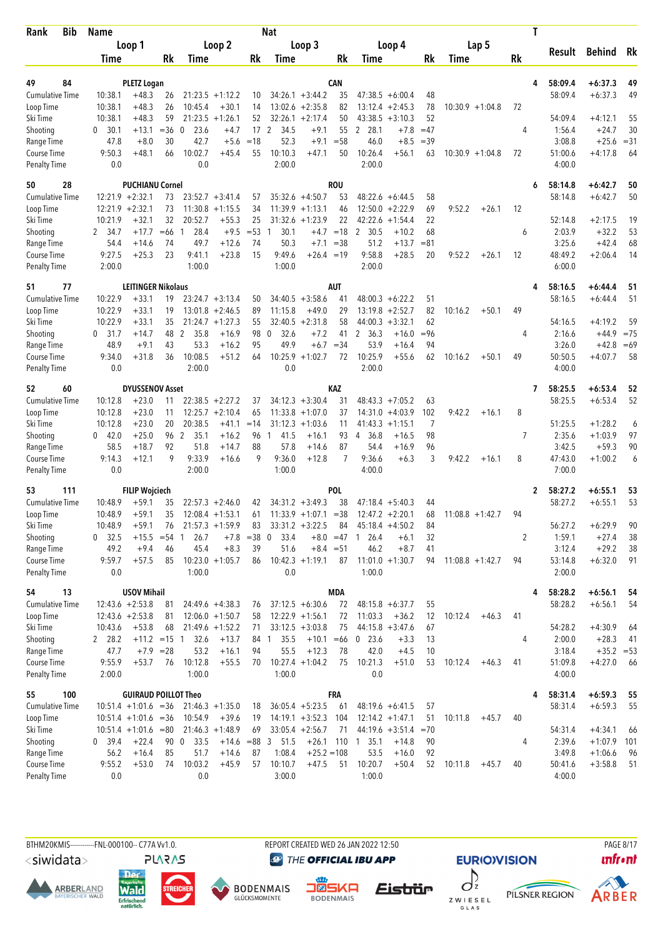| Bib<br>Rank                         | Name               |                                          |             |                 |                    |                 | <b>Nat</b>           |                                          |             |                              |                                          |          |         |                    |           | T |                    |                        |          |
|-------------------------------------|--------------------|------------------------------------------|-------------|-----------------|--------------------|-----------------|----------------------|------------------------------------------|-------------|------------------------------|------------------------------------------|----------|---------|--------------------|-----------|---|--------------------|------------------------|----------|
|                                     |                    | Loop 1                                   |             |                 | Loop 2             |                 |                      | Loop 3                                   |             |                              | Loop 4                                   |          |         | Lap 5              |           |   |                    |                        | Rk       |
|                                     | Time               |                                          | Rk          | Time            |                    | Rk              | Time                 |                                          | Rk          | Time                         |                                          | Rk       | Time    |                    | <b>Rk</b> |   | Result             | Behind                 |          |
|                                     |                    |                                          |             |                 |                    |                 |                      |                                          |             |                              |                                          |          |         |                    |           |   |                    |                        |          |
| 49<br>84                            |                    | <b>PLETZ Logan</b>                       |             |                 | $21:23.5 +1:12.2$  |                 |                      |                                          | <b>CAN</b>  |                              |                                          |          |         |                    |           | 4 | 58:09.4            | $+6:37.3$              | 49<br>49 |
| <b>Cumulative Time</b><br>Loop Time | 10:38.1<br>10:38.1 | $+48.3$<br>$+48.3$                       | 26<br>26    | 10:45.4         | $+30.1$            | 10<br>14        |                      | $34:26.1 + 3:44.2$<br>$13:02.6 + 2:35.8$ | 35<br>82    |                              | $47:38.5 + 6:00.4$<br>$13:12.4 + 2:45.3$ | 48<br>78 |         | $10:30.9 + 1:04.8$ | 72        |   | 58:09.4            | $+6:37.3$              |          |
| Ski Time                            | 10:38.1            | $+48.3$                                  | 59          | 21:23.5         | $+1:26.1$          | 52              |                      | $32:26.1 + 2:17.4$                       | 50          | 43:38.5                      | $+3:10.3$                                | 52       |         |                    |           |   | 54:09.4            | $+4:12.1$              | 55       |
| Shooting                            | 30.1<br>0          | $+13.1$                                  | $= 36$      | 23.6<br>0       | $+4.7$             | 17 <sub>2</sub> | 34.5                 | $+9.1$                                   | 55          | 2 28.1                       | $+7.8$                                   | $=47$    |         |                    | 4         |   | 1:56.4             | $+24.7$                | 30       |
| Range Time                          | 47.8               | $+8.0$                                   | 30          | 42.7            | $+5.6$             | $=18$           | 52.3                 | $+9.1$                                   | $= 58$      | 46.0                         | $+8.5$                                   | $=39$    |         |                    |           |   | 3:08.8             | $+25.6$                | $= 31$   |
| Course Time                         | 9:50.3             | $+48.1$                                  | 66          | 10:02.7         | $+45.4$            | 55              | 10:10.3              | $+47.1$                                  | 50          | 10:26.4                      | $+56.1$                                  | 63       |         | $10:30.9 + 1:04.8$ | 72        |   | 51:00.6            | $+4:17.8$              | 64       |
| <b>Penalty Time</b>                 | 0.0                |                                          |             | 0.0             |                    |                 | 2:00.0               |                                          |             | 2:00.0                       |                                          |          |         |                    |           |   | 4:00.0             |                        |          |
| 50<br>28                            |                    | <b>PUCHIANU Cornel</b>                   |             |                 |                    |                 |                      |                                          | <b>ROU</b>  |                              |                                          |          |         |                    |           | 6 | 58:14.8            | $+6:42.7$              | 50       |
| <b>Cumulative Time</b>              |                    | $12:21.9 + 2:32.1$                       | 73          |                 | $23:52.7 + 3:41.4$ | 57              |                      | $35:32.6 +4:50.7$                        | 53          |                              | $48:22.6 + 6:44.5$                       | 58       |         |                    |           |   | 58:14.8            | $+6:42.7$              | 50       |
| Loop Time                           |                    | $12:21.9 + 2:32.1$                       | 73          |                 | $11:30.8 + 1:15.5$ | 34              |                      | $11:39.9 + 1:13.1$                       | 46          |                              | $12:50.0 + 2:22.9$                       | 69       | 9:52.2  | $+26.1$            | 12        |   |                    |                        |          |
| Ski Time                            | 10:21.9            | $+32.1$                                  | 32          | 20:52.7         | $+55.3$            | 25              |                      | $31:32.6 + 1:23.9$                       | 22          | 42:22.6                      | $+1:54.4$                                | 22       |         |                    |           |   | 52:14.8            | $+2:17.5$              | 19       |
| Shooting                            | 2 34.7             | $+17.7$                                  | $=66$       | 28.4<br>1       | $+9.5$             | $= 53$          | 30.1<br>$\mathbf{1}$ |                                          | $+4.7 = 18$ | $\overline{2}$<br>30.5       | $+10.2$                                  | 68       |         |                    | 6         |   | 2:03.9             | $+32.2$                | 53       |
| Range Time                          | 54.4               | $+14.6$                                  | 74          | 49.7            | $+12.6$            | 74              | 50.3                 | $+7.1$                                   | $=38$       | 51.2                         | $+13.7$                                  | $= 81$   |         |                    |           |   | 3:25.6             | $+42.4$                | 68       |
| Course Time                         | 9:27.5             | $+25.3$                                  | 23          | 9:41.1          | $+23.8$            | 15              | 9:49.6               | $+26.4 = 19$                             |             | 9:58.8                       | $+28.5$                                  | 20       | 9:52.2  | $+26.1$            | 12        |   | 48:49.2            | $+2:06.4$              | 14       |
| <b>Penalty Time</b>                 | 2:00.0             |                                          |             | 1:00.0          |                    |                 | 1:00.0               |                                          |             | 2:00.0                       |                                          |          |         |                    |           |   | 6:00.0             |                        |          |
| 77<br>51                            |                    | <b>LEITINGER Nikolaus</b>                |             |                 |                    |                 |                      |                                          | AUT         |                              |                                          |          |         |                    |           | 4 | 58:16.5            | $+6:44.4$              | 51       |
| <b>Cumulative Time</b>              | 10:22.9            | $+33.1$                                  | 19          |                 | $23:24.7 + 3:13.4$ | 50              |                      | $34:40.5 + 3:58.6$                       | 41          |                              | $48:00.3 + 6:22.2$                       | 51       |         |                    |           |   | 58:16.5            | $+6:44.4$              | 51       |
| Loop Time                           | 10:22.9            | $+33.1$                                  | 19          |                 | $13:01.8 + 2:46.5$ | 89              | 11:15.8              | $+49.0$                                  | 29          | 13:19.8                      | $+2:52.7$                                | 82       | 10:16.2 | $+50.1$            | 49        |   |                    |                        |          |
| Ski Time                            | 10:22.9            | $+33.1$                                  | 35          |                 | $21:24.7 + 1:27.3$ | 55              |                      | $32:40.5 + 2:31.8$                       | 58          | 44:00.3                      | $+3:32.1$                                | 62       |         |                    |           |   | 54:16.5            | $+4:19.2$              | 59       |
| Shooting                            | $0$ 31.7           | $+14.7$                                  | 48          | 2<br>35.8       | $+16.9$            | 98 0            | 32.6                 | $+7.2$                                   | 41          | 2, 36.3                      | $+16.0$                                  | $= 96$   |         |                    | 4         |   | 2:16.6             | $+44.9$                | $= 75$   |
| Range Time                          | 48.9               | $+9.1$                                   | 43<br>36    | 53.3<br>10:08.5 | $+16.2$<br>$+51.2$ | 95<br>64        | 49.9<br>10:25.9      | $+6.7$<br>$+1:02.7$                      | $=34$       | 53.9                         | $+16.4$<br>$+55.6$                       | 94       |         |                    |           |   | 3:26.0<br>50:50.5  | $+42.8$                | $=69$    |
| Course Time<br><b>Penalty Time</b>  | 9:34.0<br>0.0      | $+31.8$                                  |             | 2:00.0          |                    |                 | 0.0                  |                                          | 72          | 10:25.9<br>2:00.0            |                                          | 62       | 10:16.2 | $+50.1$            | 49        |   | 4:00.0             | $+4:07.7$              | 58       |
|                                     |                    |                                          |             |                 |                    |                 |                      |                                          |             |                              |                                          |          |         |                    |           |   |                    |                        |          |
| 60<br>52<br>Cumulative Time         | 10:12.8            | <b>DYUSSENOV Asset</b><br>$+23.0$        | 11          |                 | $22:38.5 + 2:27.2$ | 37              |                      | $34:12.3 + 3:30.4$                       | KAZ<br>31   |                              | $48:43.3 + 7:05.2$                       | 63       |         |                    |           | 7 | 58:25.5<br>58:25.5 | $+6:53.4$<br>$+6:53.4$ | 52<br>52 |
| Loop Time                           | 10:12.8            | $+23.0$                                  | 11          |                 | $12:25.7 + 2:10.4$ | 65              |                      | $11:33.8 + 1:07.0$                       | 37          | 14:31.0                      | $+4:03.9$                                | 102      | 9:42.2  | $+16.1$            | 8         |   |                    |                        |          |
| Ski Time                            | 10:12.8            | $+23.0$                                  | 20          | 20:38.5         | $+41.1$            | $=14$           |                      | $31:12.3 + 1:03.6$                       | 11          | 41:43.3                      | $+1:15.1$                                | 7        |         |                    |           |   | 51:25.5            | $+1:28.2$              | 6        |
| Shooting                            | $0 \quad 42.0$     | $+25.0$                                  | 96 2        | 35.1            | $+16.2$            | 96              | 41.5<br>$\mathbf{1}$ | $+16.1$                                  | 93          | 36.8<br>4                    | $+16.5$                                  | 98       |         |                    | 7         |   | 2:35.6             | $+1:03.9$              | 97       |
| Range Time                          | 58.5               | $+18.7$                                  | 92          | 51.8            | $+14.7$            | 88              | 57.8                 | $+14.6$                                  | 87          | 54.4                         | $+16.9$                                  | 96       |         |                    |           |   | 3:42.5             | $+59.3$                | 90       |
| <b>Course Time</b>                  | 9:14.3             | $+12.1$                                  | 9           | 9:33.9          | $+16.6$            | 9               | 9:36.0               | $+12.8$                                  | 7           | 9:36.6                       | $+6.3$                                   | 3        | 9:42.2  | $+16.1$            | 8         |   | 47:43.0            | $+1:00.2$              | 6        |
| <b>Penalty Time</b>                 | 0.0                |                                          |             | 2:00.0          |                    |                 | 1:00.0               |                                          |             | 4:00.0                       |                                          |          |         |                    |           |   | 7:00.0             |                        |          |
| 53<br>111                           |                    | <b>FILIP Wojciech</b>                    |             |                 |                    |                 |                      |                                          | POL         |                              |                                          |          |         |                    |           | 2 | 58:27.2            | $+6:55.1$              | 53       |
| <b>Cumulative Time</b>              | 10:48.9            | $+59.1$                                  | 35          |                 | $22:57.3 + 2:46.0$ | 42              |                      | $34:31.2 +3:49.3$                        | 38          |                              | $47:18.4 + 5:40.3$                       | 44       |         |                    |           |   | 58:27.2            | $+6:55.1$              | 53       |
| Loop Time                           | 10:48.9            | $+59.1$                                  | 35          |                 | $12:08.4 + 1:53.1$ | 61              |                      | $11:33.9 + 1:07.1 = 38$                  |             |                              | $12:47.2 + 2:20.1$                       | 68       |         | $11:08.8 + 1:42.7$ | 94        |   |                    |                        |          |
| Ski Time                            | 10:48.9            | $+59.1$                                  | 76          |                 | $21:57.3 + 1:59.9$ | 83              |                      | $33:31.2 + 3:22.5$                       | 84          |                              | $45:18.4 + 4:50.2$                       | 84       |         |                    |           |   | 56:27.2            | $+6:29.9$              | 90       |
| Shooting                            | $0$ 32.5           | $+15.5$                                  | $= 54$      | 26.7<br>1       | $+7.8$             | $= 38$          | 33.4<br>0            |                                          | $+8.0 = 47$ | 26.4<br>1                    | $+6.1$                                   | 32       |         |                    | 2         |   | 1:59.1             | $+27.4$                | 38       |
| Range Time                          | 49.2               | $+9.4$                                   | 46          | 45.4            | $+8.3$             | 39              | 51.6                 |                                          | $+8.4 = 51$ | 46.2                         | $+8.7$                                   | 41       |         |                    |           |   | 3:12.4             | $+29.2$                | 38       |
| Course Time<br><b>Penalty Time</b>  | 9:59.7<br>0.0      | $+57.5$                                  | 85          | 1:00.0          | $10:23.0 + 1:05.7$ | 86              | 0.0                  | $10:42.3 +1:19.1$                        | 87          | $11:01.0 + 1:30.7$<br>1:00.0 |                                          | 94       |         | $11:08.8 + 1:42.7$ | 94        |   | 53:14.8<br>2:00.0  | $+6:32.0$              | 91       |
|                                     |                    |                                          |             |                 |                    |                 |                      |                                          | <b>MDA</b>  |                              |                                          |          |         |                    |           |   |                    |                        |          |
| 13<br>54<br><b>Cumulative Time</b>  |                    | <b>USOV Mihail</b><br>$12:43.6 + 2:53.8$ | 81          |                 | 24:49.6 +4:38.3    |                 |                      | $37:12.5 + 6:30.6$                       | 72          |                              | $48:15.8 + 6:37.7$                       | 55       |         |                    |           | 4 | 58:28.2<br>58:28.2 | $+6:56.1$<br>$+6:56.1$ | 54<br>54 |
| Loop Time                           |                    | $12:43.6 + 2:53.8$                       | 81          |                 | $12:06.0 + 1:50.7$ | 76<br>58        |                      | $12:22.9 + 1:56.1$                       | 72          | 11:03.3                      | $+36.2$                                  | 12       | 10:12.4 | $+46.3$            | 41        |   |                    |                        |          |
| Ski Time                            | 10:43.6            | $+53.8$                                  | 68          |                 | $21:49.6 + 1:52.2$ | 71              |                      | $33:12.5 + 3:03.8$                       | 75          |                              | $44:15.8 + 3:47.6$                       | 67       |         |                    |           |   | 54:28.2            | $+4:30.9$              | 64       |
| Shooting                            | 2 28.2             | $+11.2 = 15$ 1                           |             | 32.6            | $+13.7$            |                 | 35.5<br>84 1         | $+10.1 = 66$                             |             | $0$ 23.6                     | $+3.3$                                   | 13       |         |                    | 4         |   | 2:00.0             | $+28.3$                | 41       |
| Range Time                          | 47.7               |                                          | $+7.9$ = 28 | 53.2            | $+16.1$            | 94              | 55.5                 | $+12.3$                                  | 78          | 42.0                         | $+4.5$                                   | 10       |         |                    |           |   | 3:18.4             | $+35.2 = 53$           |          |
| Course Time                         | 9:55.9             | $+53.7$                                  | 76          | 10:12.8         | $+55.5$            | 70              |                      | $10:27.4 + 1:04.2$                       | 75          | 10:21.3                      | $+51.0$                                  | 53       | 10:12.4 | $+46.3$            | 41        |   | 51:09.8            | $+4:27.0$              | - 66     |
| <b>Penalty Time</b>                 | 2:00.0             |                                          |             | 1:00.0          |                    |                 | 1:00.0               |                                          |             | 0.0                          |                                          |          |         |                    |           |   | 4:00.0             |                        |          |
| 100<br>55                           |                    | <b>GUIRAUD POILLOT Theo</b>              |             |                 |                    |                 |                      |                                          | FRA         |                              |                                          |          |         |                    |           | 4 | 58:31.4            | $+6:59.3$              | 55       |
| <b>Cumulative Time</b>              |                    | $10:51.4 + 1:01.6 = 36$                  |             |                 | $21:46.3 + 1:35.0$ | 18              |                      | $36:05.4 + 5:23.5$                       | 61          |                              | $48:19.6 + 6:41.5$                       | 57       |         |                    |           |   | 58:31.4            | $+6:59.3$              | 55       |
| Loop Time                           |                    | $10:51.4 + 1:01.6 = 36$                  |             | 10:54.9         | $+39.6$            | 19              |                      | $14:19.1 + 3:52.3$                       | 104         |                              | $12:14.2 + 1:47.1$                       | 51       | 10:11.8 | $+45.7$            | 40        |   |                    |                        |          |
| Ski Time                            |                    | $10:51.4 +1:01.6 = 80$                   |             |                 | $21:46.3 +1:48.9$  | 69              |                      | $33:05.4 +2:56.7$                        | 71          |                              | $44:19.6 + 3:51.4$                       | $=70$    |         |                    |           |   | 54:31.4            | $+4:34.1$              | 66       |
| Shooting                            | 0 39.4             | $+22.4$                                  | 90 0        | 33.5            | $+14.6 = 88$ 3     |                 | 51.5                 | $+26.1$                                  |             | 110 1 35.1                   | $+14.8$                                  | 90       |         |                    | 4         |   | 2:39.6             | $+1:07.9$              | 101      |
| Range Time                          | 56.2               | $+16.4$                                  | 85          | 51.7            | $+14.6$            | 87              | 1:08.4               | $+25.2 = 108$                            |             | 53.5                         | $+16.0$                                  | 92       |         |                    |           |   | 3:49.8             | $+1:06.6$              | 96       |
| Course Time                         | 9:55.2             | $+53.0$                                  | 74          | 10:03.2         | $+45.9$            | 57              | 10:10.7              | $+47.5$                                  | 51          | 10:20.7                      | $+50.4$                                  | 52       | 10:11.8 | $+45.7$            | 40        |   | 50:41.6            | $+3:58.8$              | 51       |
| <b>Penalty Time</b>                 | 0.0                |                                          |             | 0.0             |                    |                 | 3:00.0               |                                          |             | 1:00.0                       |                                          |          |         |                    |           |   | 4:00.0             |                        |          |

<siwidata>

**ARBERLAND** 







**DENMAIS** 

REPORT CREATED WED 26 JAN 2022 12:50

**@** THE OFFICIAL IBU APP

 $\int$ Z W I E S E L<br>G L A S

Eistrür





**PAGE 8/17**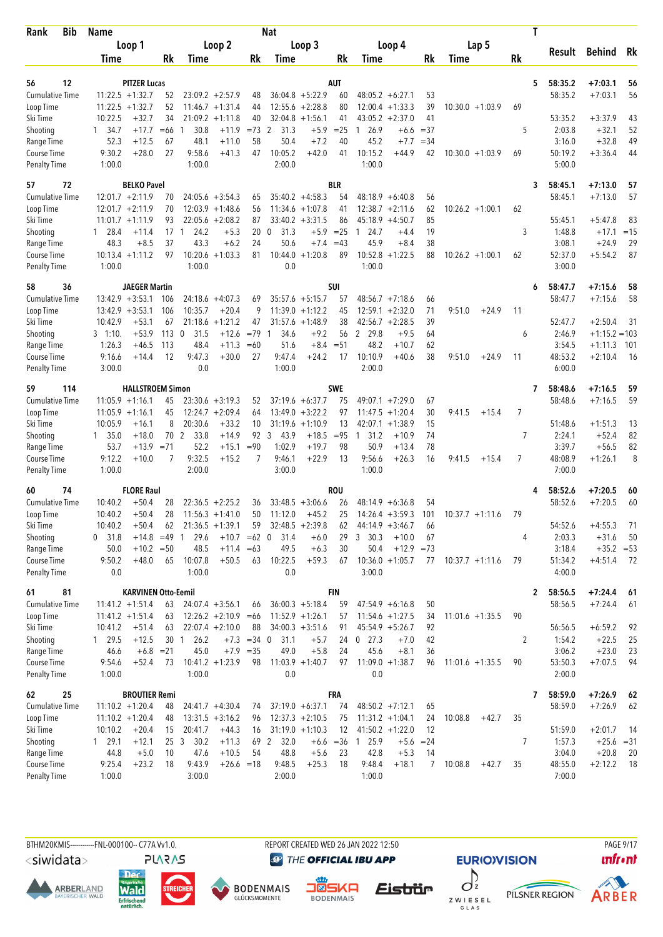| Loop 1<br>Loop 2<br>Loop 3<br>Loop 4<br>Lap 5<br>Result<br><b>Behind</b><br>Rk<br>Rk<br>Rk<br>Rk<br>Rk<br>Rk<br>Time<br>Time<br>Time<br>Time<br>Time<br>12<br><b>PITZER Lucas</b><br><b>AUT</b><br>58:35.2<br>$+7:03.1$<br>56<br>5<br>56<br>$36:04.8 + 5:22.9$<br><b>Cumulative Time</b><br>$11:22.5 + 1:32.7$<br>$23:09.2 + 2:57.9$<br>60<br>$48:05.2 + 6:27.1$<br>53<br>58:35.2<br>$+7:03.1$<br>56<br>52<br>48<br>$11:22.5 + 1:32.7$<br>52<br>$11:46.7 + 1:31.4$<br>$12:55.6 + 2:28.8$<br>80<br>12:00.4<br>$+1:33.3$<br>39<br>$10:30.0 + 1:03.9$<br>69<br>Loop Time<br>44<br>10:22.5<br>$+32.7$<br>34<br>$21:09.2 +1:11.8$<br>$32:04.8 + 1:56.1$<br>$43:05.2 +2:37.0$<br>41<br>53:35.2<br>$+3:37.9$<br>Ski Time<br>40<br>41<br>43<br>$+17.7$<br>30.8<br>$= 73$<br>2<br>31.3<br>$+5.9$<br>$=25$<br>26.9<br>$=37$<br>5<br>2:03.8<br>$+32.1$<br>52<br>Shooting<br>1, 34.7<br>$=66$<br>$+11.9$<br>$+6.6$<br>-1<br>1<br>$+7.2$<br>49<br>52.3<br>$+12.5$<br>48.1<br>$+11.0$<br>58<br>50.4<br>40<br>45.2<br>$+7.7$<br>$=34$<br>3:16.0<br>$+32.8$<br>67<br>Course Time<br>9:30.2<br>$+28.0$<br>27<br>9:58.6<br>$+41.3$<br>47<br>10:05.2<br>$+42.0$<br>10:15.2<br>$+44.9$<br>69<br>50:19.2<br>$+3:36.4$<br>44<br>41<br>42<br>$10:30.0 + 1:03.9$<br>1:00.0<br>1:00.0<br>2:00.0<br>1:00.0<br>5:00.0<br><b>Penalty Time</b><br>72<br><b>BELKO Pavel</b><br><b>BLR</b><br>58:45.1<br>$+7:13.0$<br>57<br>3<br>57<br><b>Cumulative Time</b><br>$12:01.7 + 2:11.9$<br>$24:05.6 + 3:54.3$<br>$35:40.2 +4:58.3$<br>54<br>58:45.1<br>$+7:13.0$<br>57<br>70<br>65<br>$48:18.9 + 6:40.8$<br>56<br>$12:01.7 + 2:11.9$<br>70<br>$12:03.9 +1:48.6$<br>56<br>$11:34.6 + 1:07.8$<br>$12:38.7 + 2:11.6$<br>62<br>$10:26.2 + 1:00.1$<br>Loop Time<br>41<br>62<br>93<br>$22:05.6 + 2:08.2$<br>87<br>$33:40.2 + 3:31.5$<br>86<br>$45:18.9 + 4:50.7$<br>85<br>55:45.1<br>$+5:47.8$<br>83<br>Ski Time<br>$11:01.7 +1:11.9$<br>$+5.9$ = 25<br>Shooting<br>$17-1$<br>24.2<br>$+5.3$<br>20<br>31.3<br>24.7<br>19<br>3<br>1:48.8<br>$+17.1$<br>$=15$<br>$1 \quad 28.4$<br>$+11.4$<br>0<br>$+4.4$<br>$\mathbf{1}$<br>37<br>43.3<br>24<br>50.6<br>$+7.4$<br>45.9<br>$+8.4$<br>38<br>3:08.1<br>$+24.9$<br>29<br>Range Time<br>48.3<br>$+8.5$<br>$+6.2$<br>$=43$<br>$10:52.8 + 1:22.5$<br>$10:13.4 + 1:11.2$<br>97<br>10:20.6<br>$+1:03.3$<br>81<br>10:44.0<br>$+1:20.8$<br>89<br>88<br>$10:26.2 + 1:00.1$<br>52:37.0<br>$+5:54.2$<br>87<br>Course Time<br>62<br>1:00.0<br>1:00.0<br>0.0<br>1:00.0<br>3:00.0<br>36<br><b>JAEGER Martin</b><br><b>SUI</b><br>58:47.7<br>$+7:15.6$<br>58<br>58<br>6<br><b>Cumulative Time</b><br>$13:42.9 + 3:53.1$<br>$24:18.6 + 4:07.3$<br>58:47.7<br>$+7:15.6$<br>58<br>106<br>69<br>$35:57.6 + 5:15.7$<br>57<br>$48:56.7 +7:18.6$<br>66<br>$13:42.9 + 3:53.1$<br>106<br>10:35.7<br>$+20.4$<br>9<br>$11:39.0 + 1:12.2$<br>$12:59.1 + 2:32.0$<br>71<br>9:51.0<br>$+24.9$<br>Loop Time<br>45<br>11<br>39<br>$+53.1$<br>$21:18.6 + 1:21.2$<br>47<br>38<br>$42:56.7 + 2:28.5$<br>52:47.7<br>$+2:50.4$<br>31<br>Ski Time<br>10:42.9<br>67<br>31:57.6<br>$+1:48.9$<br>$+53.9$<br>113<br>$\mathbf 0$<br>31.5<br>$+12.6$<br>$=79$<br>34.6<br>$+9.2$<br>56<br>2<br>29.8<br>$+9.5$<br>64<br>2:46.9<br>$+1:15.2 = 103$<br>Shooting<br>$3 \quad 1:10.$<br>$\overline{1}$<br>6<br>48.2<br>1:26.3<br>113<br>48.4<br>$+11.3$<br>51.6<br>$+8.4 = 51$<br>$+10.7$<br>62<br>3:54.5<br>$+46.5$<br>$=60$<br>$+1:11.3$<br>101<br>Course Time<br>9:16.6<br>12<br>9:47.3<br>$+30.0$<br>27<br>9:47.4<br>$+24.2$<br>10:10.9<br>$+40.6$<br>38<br>9:51.0<br>$+24.9$<br>11<br>48:53.2<br>$+14.4$<br>17<br>$+2:10.4$<br>-16<br>0.0<br>1:00.0<br>2:00.0<br>6:00.0<br><b>Penalty Time</b><br>3:00.0<br><b>SWE</b><br>59<br>114<br><b>HALLSTROEM Simon</b><br>58:48.6<br>$+7:16.5$<br>59<br>7<br><b>Cumulative Time</b><br>$11:05.9 +1:16.1$<br>$23:30.6 + 3:19.3$<br>$37:19.6 + 6:37.7$<br>75<br>$49:07.1 + 7:29.0$<br>58:48.6<br>$+7:16.5$<br>59<br>45<br>52<br>67<br>$11:05.9 +1:16.1$<br>45<br>$12:24.7 + 2:09.4$<br>$13:49.0 + 3:22.2$<br>97<br>$+1:20.4$<br>30<br>9:41.5<br>7<br>Loop Time<br>64<br>11:47.5<br>$+15.4$<br>8<br>20:30.6<br>$+33.2$<br>$31:19.6 + 1:10.9$<br>$42:07.1 + 1:38.9$<br>15<br>51:48.6<br>Ski Time<br>10:05.9<br>$+16.1$<br>10<br>13<br>$+1:51.3$<br>13<br>92<br>82<br>$+18.0$<br>70<br>2<br>33.8<br>$+14.9$<br>3<br>43.9<br>$+18.5$<br>$= 95$<br>31.2<br>$+10.9$<br>74<br>7<br>2:24.1<br>$+52.4$<br>Shooting<br>$1\quad 35.0$<br>$\overline{1}$<br>50.9<br>78<br>53.7<br>$= 71$<br>52.2<br>$+15.1$<br>$= 90$<br>1:02.9<br>$+19.7$<br>98<br>$+13.4$<br>3:39.7<br>$+56.5$<br>82<br>Range Time<br>$+13.9$<br>9:32.5<br>$\overline{7}$<br>48:08.9<br>8<br>Course Time<br>9:12.2<br>$+10.0$<br>7<br>$+15.2$<br>7<br>9:46.1<br>$+22.9$<br>13<br>9:56.6<br>$+26.3$<br>16<br>9:41.5<br>$+1:26.1$<br>$+15.4$<br>2:00.0<br>3:00.0<br>1:00.0<br>7:00.0<br>1:00.0<br>74<br><b>FLORE Raul</b><br><b>ROU</b><br>58:52.6<br>$+7:20.5$<br>60<br>60<br>4<br>$+7:20.5$<br><b>Cumulative Time</b><br>10:40.2<br>$+50.4$<br>28<br>$22:36.5 +2:25.2$<br>$33:48.5 + 3:06.6$<br>26<br>$48:14.9 + 6:36.8$<br>58:52.6<br>60<br>36<br>54<br>10:40.2<br>$+50.4$<br>28<br>$11:56.3 +1:41.0$<br>50<br>11:12.0<br>$+45.2$<br>25<br>$14:26.4 + 3:59.3$<br>101<br>$10:37.7 + 1:11.6$<br>Loop Time<br>-79<br>Ski Time<br>$32:48.5 + 2:39.8$<br>54:52.6<br>$+4:55.3$<br>10:40.2<br>$21:36.5 +1:39.1$<br>71<br>$+50.4$<br>59<br>$44:14.9 + 3:46.7$<br>66<br>62<br>62<br>0, 31.8<br>29.6<br>3, 30.3<br>$+10.0$<br>2:03.3<br>$+31.6$<br>50<br>$+14.8$ =49 1<br>$+10.7 = 62$ 0<br>31.4<br>$+6.0$<br>29<br>67<br>4<br>Range Time<br>$+10.2 = 50$<br>48.5<br>$+11.4 = 63$<br>49.5<br>$+6.3$<br>30<br>50.4<br>$+12.9 = 73$<br>3:18.4<br>$+35.2 = 53$<br>50.0<br>Course Time<br>$+48.0$<br>65<br>10:07.8<br>$+50.5$<br>10:22.5<br>$+59.3$<br>$10:36.0 + 1:05.7$<br>51:34.2<br>9:50.2<br>63<br>67<br>77<br>$10:37.7 +1:11.6$<br>79<br>$+4:51.4$<br>72<br><b>Penalty Time</b><br>0.0<br>1:00.0<br>0.0<br>3:00.0<br>4:00.0<br><b>FIN</b><br>81<br><b>KARVINEN Otto-Eemil</b><br>58:56.5<br>$+7:24.4$<br>61<br>$\mathbf{2}$<br>61<br>58:56.5<br>$+7:24.4$<br><b>Cumulative Time</b><br>$11:41.2 + 1:51.4$<br>63<br>$24:07.4 +3:56.1$<br>$36:00.3 + 5:18.4$<br>59<br>$47:54.9 + 6:16.8$<br>50<br>61<br>66<br>$11:52.9 + 1:26.1$<br>90<br>Loop Time<br>$11:41.2 + 1:51.4$<br>$12:26.2 +2:10.9 = 66$<br>$11:54.6 + 1:27.5$<br>$11:01.6 + 1:35.5$<br>63<br>57<br>34<br>Ski Time<br>88<br>$34:00.3 + 3:51.6$<br>56:56.5<br>$+6:59.2$<br>10:41.2<br>$+51.4$<br>63<br>$22:07.4 +2:10.0$<br>91<br>$45:54.9 + 5:26.7$<br>92<br>92<br>Shooting<br>129.5<br>$+12.5$<br>26.2<br>$+7.3 = 34 \quad 0$<br>$0$ 27.3<br>42<br>2<br>1:54.2<br>$+22.5$<br>25<br>30 1<br>31.1<br>$+5.7$<br>24<br>$+7.0$<br>Range Time<br>45.0<br>49.0<br>45.6<br>$+8.1$<br>3:06.2<br>$+23.0$<br>23<br>46.6<br>$+6.8 = 21$<br>$+7.9 = 35$<br>$+5.8$<br>24<br>36<br>9:54.6<br>$+52.4$<br>$10:41.2 + 1:23.9$<br>$11:03.9 + 1:40.7$<br>$11:09.0 + 1:38.7$<br>53:50.3<br>$+7:07.5$<br>94<br>73<br>98<br>97<br>96<br>$11:01.6 + 1:35.5$<br>90<br>1:00.0<br>0.0<br>0.0<br>2:00.0<br>1:00.0<br>25<br><b>BROUTIER Remi</b><br>FRA<br>58:59.0<br>$+7:26.9$<br>- 62<br>7<br>$11:10.2 + 1:20.4$<br>$37:19.0 + 6:37.1$<br>$48:50.2 +7:12.1$<br>58:59.0<br>$+7:26.9$<br>$24:41.7 +4:30.4$<br>74<br>74<br>65<br>62<br>48<br>Loop Time<br>$13:31.5 +3:16.2$<br>$12:37.3 + 2:10.5$<br>$11:31.2 + 1:04.1$<br>35<br>$11:10.2 + 1:20.4$<br>48<br>24<br>10:08.8<br>$+42.7$<br>96<br>75<br>$31:19.0 + 1:10.3$<br>51:59.0<br>$+2:01.7$<br>Ski Time<br>10:10.2<br>$+20.4$<br>15<br>20:41.7<br>$+44.3$<br>16<br>12<br>$41:50.2 +1:22.0$<br>12<br>- 14<br>Shooting<br>129.1<br>$+12.1$<br>25 <sub>3</sub><br>30.2<br>69 2<br>32.0<br>$+6.6 = 36$<br>25.9<br>7<br>1:57.3<br>$+25.6 = 31$<br>$+11.3$<br>$+5.6 = 24$<br>$\overline{1}$<br>Range Time<br>44.8<br>$+5.0$<br>47.6<br>$+10.5$<br>54<br>48.8<br>$+5.6$<br>42.8<br>3:04.0<br>$+20.8$<br>20<br>10<br>23<br>$+5.3$<br>14<br>Course Time<br>9:25.4<br>$+23.2$<br>9:43.9<br>9:48.5<br>$+25.3$<br>9:48.4<br>$+18.1$<br>48:55.0<br>$+2:12.2$<br>18<br>$+26.6 = 18$<br>18<br>7<br>10:08.8<br>$+42.7$<br>35<br>- 18<br><b>Penalty Time</b><br>1:00.0<br>3:00.0<br>2:00.0<br>1:00.0<br>7:00.0 | <b>Bib</b><br>Rank     | <b>Name</b> |  |  | <b>Nat</b> |  |  |  | T |  |  |
|--------------------------------------------------------------------------------------------------------------------------------------------------------------------------------------------------------------------------------------------------------------------------------------------------------------------------------------------------------------------------------------------------------------------------------------------------------------------------------------------------------------------------------------------------------------------------------------------------------------------------------------------------------------------------------------------------------------------------------------------------------------------------------------------------------------------------------------------------------------------------------------------------------------------------------------------------------------------------------------------------------------------------------------------------------------------------------------------------------------------------------------------------------------------------------------------------------------------------------------------------------------------------------------------------------------------------------------------------------------------------------------------------------------------------------------------------------------------------------------------------------------------------------------------------------------------------------------------------------------------------------------------------------------------------------------------------------------------------------------------------------------------------------------------------------------------------------------------------------------------------------------------------------------------------------------------------------------------------------------------------------------------------------------------------------------------------------------------------------------------------------------------------------------------------------------------------------------------------------------------------------------------------------------------------------------------------------------------------------------------------------------------------------------------------------------------------------------------------------------------------------------------------------------------------------------------------------------------------------------------------------------------------------------------------------------------------------------------------------------------------------------------------------------------------------------------------------------------------------------------------------------------------------------------------------------------------------------------------------------------------------------------------------------------------------------------------------------------------------------------------------------------------------------------------------------------------------------------------------------------------------------------------------------------------------------------------------------------------------------------------------------------------------------------------------------------------------------------------------------------------------------------------------------------------------------------------------------------------------------------------------------------------------------------------------------------------------------------------------------------------------------------------------------------------------------------------------------------------------------------------------------------------------------------------------------------------------------------------------------------------------------------------------------------------------------------------------------------------------------------------------------------------------------------------------------------------------------------------------------------------------------------------------------------------------------------------------------------------------------------------------------------------------------------------------------------------------------------------------------------------------------------------------------------------------------------------------------------------------------------------------------------------------------------------------------------------------------------------------------------------------------------------------------------------------------------------------------------------------------------------------------------------------------------------------------------------------------------------------------------------------------------------------------------------------------------------------------------------------------------------------------------------------------------------------------------------------------------------------------------------------------------------------------------------------------------------------------------------------------------------------------------------------------------------------------------------------------------------------------------------------------------------------------------------------------------------------------------------------------------------------------------------------------------------------------------------------------------------------------------------------------------------------------------------------------------------------------------------------------------------------------------------------------------------------------------------------------------------------------------------------------------------------------------------------------------------------------------------------------------------------------------------------------------------------------------------------------------------------------------------------------------------------------------------------------------------------------------------------------------------------------------------------------------------------------------------------------------------------------------------------------------------------------------------------------------------------------------------------------------------------------------------------------------------------------------------------------------------------------------------------------------------------------------------------------------------------------------------------------------------------------------------------------------------------------------------------------------------------------------------------------------------------------------------------------------------------------------------------------------------------------------------------------------------------------------------------------------------------------------------------------------------------------------------------------------------------------------------------------------------------------------------------------------------------------------------------------------------------------------------------------------------------------------------------------------------------------------------------------------------------------------------------------------------------------------------------------------------------------------------------------------------------------------------------------------------------------------------------------------------------------------------------------------------------------------------------------------------------------------------------------------------------------------------------------------------------------------------------------------------------------------------------------------------------------------------------------------------|------------------------|-------------|--|--|------------|--|--|--|---|--|--|
|                                                                                                                                                                                                                                                                                                                                                                                                                                                                                                                                                                                                                                                                                                                                                                                                                                                                                                                                                                                                                                                                                                                                                                                                                                                                                                                                                                                                                                                                                                                                                                                                                                                                                                                                                                                                                                                                                                                                                                                                                                                                                                                                                                                                                                                                                                                                                                                                                                                                                                                                                                                                                                                                                                                                                                                                                                                                                                                                                                                                                                                                                                                                                                                                                                                                                                                                                                                                                                                                                                                                                                                                                                                                                                                                                                                                                                                                                                                                                                                                                                                                                                                                                                                                                                                                                                                                                                                                                                                                                                                                                                                                                                                                                                                                                                                                                                                                                                                                                                                                                                                                                                                                                                                                                                                                                                                                                                                                                                                                                                                                                                                                                                                                                                                                                                                                                                                                                                                                                                                                                                                                                                                                                                                                                                                                                                                                                                                                                                                                                                                                                                                                                                                                                                                                                                                                                                                                                                                                                                                                                                                                                                                                                                                                                                                                                                                                                                                                                                                                                                                                                                                                                                                                                                                                                                                                                                                                                                                                                                                                                                                                                                                                                                                                                          |                        |             |  |  |            |  |  |  |   |  |  |
|                                                                                                                                                                                                                                                                                                                                                                                                                                                                                                                                                                                                                                                                                                                                                                                                                                                                                                                                                                                                                                                                                                                                                                                                                                                                                                                                                                                                                                                                                                                                                                                                                                                                                                                                                                                                                                                                                                                                                                                                                                                                                                                                                                                                                                                                                                                                                                                                                                                                                                                                                                                                                                                                                                                                                                                                                                                                                                                                                                                                                                                                                                                                                                                                                                                                                                                                                                                                                                                                                                                                                                                                                                                                                                                                                                                                                                                                                                                                                                                                                                                                                                                                                                                                                                                                                                                                                                                                                                                                                                                                                                                                                                                                                                                                                                                                                                                                                                                                                                                                                                                                                                                                                                                                                                                                                                                                                                                                                                                                                                                                                                                                                                                                                                                                                                                                                                                                                                                                                                                                                                                                                                                                                                                                                                                                                                                                                                                                                                                                                                                                                                                                                                                                                                                                                                                                                                                                                                                                                                                                                                                                                                                                                                                                                                                                                                                                                                                                                                                                                                                                                                                                                                                                                                                                                                                                                                                                                                                                                                                                                                                                                                                                                                                                                          |                        |             |  |  |            |  |  |  |   |  |  |
|                                                                                                                                                                                                                                                                                                                                                                                                                                                                                                                                                                                                                                                                                                                                                                                                                                                                                                                                                                                                                                                                                                                                                                                                                                                                                                                                                                                                                                                                                                                                                                                                                                                                                                                                                                                                                                                                                                                                                                                                                                                                                                                                                                                                                                                                                                                                                                                                                                                                                                                                                                                                                                                                                                                                                                                                                                                                                                                                                                                                                                                                                                                                                                                                                                                                                                                                                                                                                                                                                                                                                                                                                                                                                                                                                                                                                                                                                                                                                                                                                                                                                                                                                                                                                                                                                                                                                                                                                                                                                                                                                                                                                                                                                                                                                                                                                                                                                                                                                                                                                                                                                                                                                                                                                                                                                                                                                                                                                                                                                                                                                                                                                                                                                                                                                                                                                                                                                                                                                                                                                                                                                                                                                                                                                                                                                                                                                                                                                                                                                                                                                                                                                                                                                                                                                                                                                                                                                                                                                                                                                                                                                                                                                                                                                                                                                                                                                                                                                                                                                                                                                                                                                                                                                                                                                                                                                                                                                                                                                                                                                                                                                                                                                                                                                          |                        |             |  |  |            |  |  |  |   |  |  |
|                                                                                                                                                                                                                                                                                                                                                                                                                                                                                                                                                                                                                                                                                                                                                                                                                                                                                                                                                                                                                                                                                                                                                                                                                                                                                                                                                                                                                                                                                                                                                                                                                                                                                                                                                                                                                                                                                                                                                                                                                                                                                                                                                                                                                                                                                                                                                                                                                                                                                                                                                                                                                                                                                                                                                                                                                                                                                                                                                                                                                                                                                                                                                                                                                                                                                                                                                                                                                                                                                                                                                                                                                                                                                                                                                                                                                                                                                                                                                                                                                                                                                                                                                                                                                                                                                                                                                                                                                                                                                                                                                                                                                                                                                                                                                                                                                                                                                                                                                                                                                                                                                                                                                                                                                                                                                                                                                                                                                                                                                                                                                                                                                                                                                                                                                                                                                                                                                                                                                                                                                                                                                                                                                                                                                                                                                                                                                                                                                                                                                                                                                                                                                                                                                                                                                                                                                                                                                                                                                                                                                                                                                                                                                                                                                                                                                                                                                                                                                                                                                                                                                                                                                                                                                                                                                                                                                                                                                                                                                                                                                                                                                                                                                                                                                          |                        |             |  |  |            |  |  |  |   |  |  |
|                                                                                                                                                                                                                                                                                                                                                                                                                                                                                                                                                                                                                                                                                                                                                                                                                                                                                                                                                                                                                                                                                                                                                                                                                                                                                                                                                                                                                                                                                                                                                                                                                                                                                                                                                                                                                                                                                                                                                                                                                                                                                                                                                                                                                                                                                                                                                                                                                                                                                                                                                                                                                                                                                                                                                                                                                                                                                                                                                                                                                                                                                                                                                                                                                                                                                                                                                                                                                                                                                                                                                                                                                                                                                                                                                                                                                                                                                                                                                                                                                                                                                                                                                                                                                                                                                                                                                                                                                                                                                                                                                                                                                                                                                                                                                                                                                                                                                                                                                                                                                                                                                                                                                                                                                                                                                                                                                                                                                                                                                                                                                                                                                                                                                                                                                                                                                                                                                                                                                                                                                                                                                                                                                                                                                                                                                                                                                                                                                                                                                                                                                                                                                                                                                                                                                                                                                                                                                                                                                                                                                                                                                                                                                                                                                                                                                                                                                                                                                                                                                                                                                                                                                                                                                                                                                                                                                                                                                                                                                                                                                                                                                                                                                                                                                          |                        |             |  |  |            |  |  |  |   |  |  |
|                                                                                                                                                                                                                                                                                                                                                                                                                                                                                                                                                                                                                                                                                                                                                                                                                                                                                                                                                                                                                                                                                                                                                                                                                                                                                                                                                                                                                                                                                                                                                                                                                                                                                                                                                                                                                                                                                                                                                                                                                                                                                                                                                                                                                                                                                                                                                                                                                                                                                                                                                                                                                                                                                                                                                                                                                                                                                                                                                                                                                                                                                                                                                                                                                                                                                                                                                                                                                                                                                                                                                                                                                                                                                                                                                                                                                                                                                                                                                                                                                                                                                                                                                                                                                                                                                                                                                                                                                                                                                                                                                                                                                                                                                                                                                                                                                                                                                                                                                                                                                                                                                                                                                                                                                                                                                                                                                                                                                                                                                                                                                                                                                                                                                                                                                                                                                                                                                                                                                                                                                                                                                                                                                                                                                                                                                                                                                                                                                                                                                                                                                                                                                                                                                                                                                                                                                                                                                                                                                                                                                                                                                                                                                                                                                                                                                                                                                                                                                                                                                                                                                                                                                                                                                                                                                                                                                                                                                                                                                                                                                                                                                                                                                                                                                          |                        |             |  |  |            |  |  |  |   |  |  |
|                                                                                                                                                                                                                                                                                                                                                                                                                                                                                                                                                                                                                                                                                                                                                                                                                                                                                                                                                                                                                                                                                                                                                                                                                                                                                                                                                                                                                                                                                                                                                                                                                                                                                                                                                                                                                                                                                                                                                                                                                                                                                                                                                                                                                                                                                                                                                                                                                                                                                                                                                                                                                                                                                                                                                                                                                                                                                                                                                                                                                                                                                                                                                                                                                                                                                                                                                                                                                                                                                                                                                                                                                                                                                                                                                                                                                                                                                                                                                                                                                                                                                                                                                                                                                                                                                                                                                                                                                                                                                                                                                                                                                                                                                                                                                                                                                                                                                                                                                                                                                                                                                                                                                                                                                                                                                                                                                                                                                                                                                                                                                                                                                                                                                                                                                                                                                                                                                                                                                                                                                                                                                                                                                                                                                                                                                                                                                                                                                                                                                                                                                                                                                                                                                                                                                                                                                                                                                                                                                                                                                                                                                                                                                                                                                                                                                                                                                                                                                                                                                                                                                                                                                                                                                                                                                                                                                                                                                                                                                                                                                                                                                                                                                                                                                          |                        |             |  |  |            |  |  |  |   |  |  |
|                                                                                                                                                                                                                                                                                                                                                                                                                                                                                                                                                                                                                                                                                                                                                                                                                                                                                                                                                                                                                                                                                                                                                                                                                                                                                                                                                                                                                                                                                                                                                                                                                                                                                                                                                                                                                                                                                                                                                                                                                                                                                                                                                                                                                                                                                                                                                                                                                                                                                                                                                                                                                                                                                                                                                                                                                                                                                                                                                                                                                                                                                                                                                                                                                                                                                                                                                                                                                                                                                                                                                                                                                                                                                                                                                                                                                                                                                                                                                                                                                                                                                                                                                                                                                                                                                                                                                                                                                                                                                                                                                                                                                                                                                                                                                                                                                                                                                                                                                                                                                                                                                                                                                                                                                                                                                                                                                                                                                                                                                                                                                                                                                                                                                                                                                                                                                                                                                                                                                                                                                                                                                                                                                                                                                                                                                                                                                                                                                                                                                                                                                                                                                                                                                                                                                                                                                                                                                                                                                                                                                                                                                                                                                                                                                                                                                                                                                                                                                                                                                                                                                                                                                                                                                                                                                                                                                                                                                                                                                                                                                                                                                                                                                                                                                          | Range Time             |             |  |  |            |  |  |  |   |  |  |
|                                                                                                                                                                                                                                                                                                                                                                                                                                                                                                                                                                                                                                                                                                                                                                                                                                                                                                                                                                                                                                                                                                                                                                                                                                                                                                                                                                                                                                                                                                                                                                                                                                                                                                                                                                                                                                                                                                                                                                                                                                                                                                                                                                                                                                                                                                                                                                                                                                                                                                                                                                                                                                                                                                                                                                                                                                                                                                                                                                                                                                                                                                                                                                                                                                                                                                                                                                                                                                                                                                                                                                                                                                                                                                                                                                                                                                                                                                                                                                                                                                                                                                                                                                                                                                                                                                                                                                                                                                                                                                                                                                                                                                                                                                                                                                                                                                                                                                                                                                                                                                                                                                                                                                                                                                                                                                                                                                                                                                                                                                                                                                                                                                                                                                                                                                                                                                                                                                                                                                                                                                                                                                                                                                                                                                                                                                                                                                                                                                                                                                                                                                                                                                                                                                                                                                                                                                                                                                                                                                                                                                                                                                                                                                                                                                                                                                                                                                                                                                                                                                                                                                                                                                                                                                                                                                                                                                                                                                                                                                                                                                                                                                                                                                                                                          |                        |             |  |  |            |  |  |  |   |  |  |
|                                                                                                                                                                                                                                                                                                                                                                                                                                                                                                                                                                                                                                                                                                                                                                                                                                                                                                                                                                                                                                                                                                                                                                                                                                                                                                                                                                                                                                                                                                                                                                                                                                                                                                                                                                                                                                                                                                                                                                                                                                                                                                                                                                                                                                                                                                                                                                                                                                                                                                                                                                                                                                                                                                                                                                                                                                                                                                                                                                                                                                                                                                                                                                                                                                                                                                                                                                                                                                                                                                                                                                                                                                                                                                                                                                                                                                                                                                                                                                                                                                                                                                                                                                                                                                                                                                                                                                                                                                                                                                                                                                                                                                                                                                                                                                                                                                                                                                                                                                                                                                                                                                                                                                                                                                                                                                                                                                                                                                                                                                                                                                                                                                                                                                                                                                                                                                                                                                                                                                                                                                                                                                                                                                                                                                                                                                                                                                                                                                                                                                                                                                                                                                                                                                                                                                                                                                                                                                                                                                                                                                                                                                                                                                                                                                                                                                                                                                                                                                                                                                                                                                                                                                                                                                                                                                                                                                                                                                                                                                                                                                                                                                                                                                                                                          |                        |             |  |  |            |  |  |  |   |  |  |
|                                                                                                                                                                                                                                                                                                                                                                                                                                                                                                                                                                                                                                                                                                                                                                                                                                                                                                                                                                                                                                                                                                                                                                                                                                                                                                                                                                                                                                                                                                                                                                                                                                                                                                                                                                                                                                                                                                                                                                                                                                                                                                                                                                                                                                                                                                                                                                                                                                                                                                                                                                                                                                                                                                                                                                                                                                                                                                                                                                                                                                                                                                                                                                                                                                                                                                                                                                                                                                                                                                                                                                                                                                                                                                                                                                                                                                                                                                                                                                                                                                                                                                                                                                                                                                                                                                                                                                                                                                                                                                                                                                                                                                                                                                                                                                                                                                                                                                                                                                                                                                                                                                                                                                                                                                                                                                                                                                                                                                                                                                                                                                                                                                                                                                                                                                                                                                                                                                                                                                                                                                                                                                                                                                                                                                                                                                                                                                                                                                                                                                                                                                                                                                                                                                                                                                                                                                                                                                                                                                                                                                                                                                                                                                                                                                                                                                                                                                                                                                                                                                                                                                                                                                                                                                                                                                                                                                                                                                                                                                                                                                                                                                                                                                                                                          |                        |             |  |  |            |  |  |  |   |  |  |
|                                                                                                                                                                                                                                                                                                                                                                                                                                                                                                                                                                                                                                                                                                                                                                                                                                                                                                                                                                                                                                                                                                                                                                                                                                                                                                                                                                                                                                                                                                                                                                                                                                                                                                                                                                                                                                                                                                                                                                                                                                                                                                                                                                                                                                                                                                                                                                                                                                                                                                                                                                                                                                                                                                                                                                                                                                                                                                                                                                                                                                                                                                                                                                                                                                                                                                                                                                                                                                                                                                                                                                                                                                                                                                                                                                                                                                                                                                                                                                                                                                                                                                                                                                                                                                                                                                                                                                                                                                                                                                                                                                                                                                                                                                                                                                                                                                                                                                                                                                                                                                                                                                                                                                                                                                                                                                                                                                                                                                                                                                                                                                                                                                                                                                                                                                                                                                                                                                                                                                                                                                                                                                                                                                                                                                                                                                                                                                                                                                                                                                                                                                                                                                                                                                                                                                                                                                                                                                                                                                                                                                                                                                                                                                                                                                                                                                                                                                                                                                                                                                                                                                                                                                                                                                                                                                                                                                                                                                                                                                                                                                                                                                                                                                                                                          |                        |             |  |  |            |  |  |  |   |  |  |
|                                                                                                                                                                                                                                                                                                                                                                                                                                                                                                                                                                                                                                                                                                                                                                                                                                                                                                                                                                                                                                                                                                                                                                                                                                                                                                                                                                                                                                                                                                                                                                                                                                                                                                                                                                                                                                                                                                                                                                                                                                                                                                                                                                                                                                                                                                                                                                                                                                                                                                                                                                                                                                                                                                                                                                                                                                                                                                                                                                                                                                                                                                                                                                                                                                                                                                                                                                                                                                                                                                                                                                                                                                                                                                                                                                                                                                                                                                                                                                                                                                                                                                                                                                                                                                                                                                                                                                                                                                                                                                                                                                                                                                                                                                                                                                                                                                                                                                                                                                                                                                                                                                                                                                                                                                                                                                                                                                                                                                                                                                                                                                                                                                                                                                                                                                                                                                                                                                                                                                                                                                                                                                                                                                                                                                                                                                                                                                                                                                                                                                                                                                                                                                                                                                                                                                                                                                                                                                                                                                                                                                                                                                                                                                                                                                                                                                                                                                                                                                                                                                                                                                                                                                                                                                                                                                                                                                                                                                                                                                                                                                                                                                                                                                                                                          |                        |             |  |  |            |  |  |  |   |  |  |
|                                                                                                                                                                                                                                                                                                                                                                                                                                                                                                                                                                                                                                                                                                                                                                                                                                                                                                                                                                                                                                                                                                                                                                                                                                                                                                                                                                                                                                                                                                                                                                                                                                                                                                                                                                                                                                                                                                                                                                                                                                                                                                                                                                                                                                                                                                                                                                                                                                                                                                                                                                                                                                                                                                                                                                                                                                                                                                                                                                                                                                                                                                                                                                                                                                                                                                                                                                                                                                                                                                                                                                                                                                                                                                                                                                                                                                                                                                                                                                                                                                                                                                                                                                                                                                                                                                                                                                                                                                                                                                                                                                                                                                                                                                                                                                                                                                                                                                                                                                                                                                                                                                                                                                                                                                                                                                                                                                                                                                                                                                                                                                                                                                                                                                                                                                                                                                                                                                                                                                                                                                                                                                                                                                                                                                                                                                                                                                                                                                                                                                                                                                                                                                                                                                                                                                                                                                                                                                                                                                                                                                                                                                                                                                                                                                                                                                                                                                                                                                                                                                                                                                                                                                                                                                                                                                                                                                                                                                                                                                                                                                                                                                                                                                                                                          |                        |             |  |  |            |  |  |  |   |  |  |
|                                                                                                                                                                                                                                                                                                                                                                                                                                                                                                                                                                                                                                                                                                                                                                                                                                                                                                                                                                                                                                                                                                                                                                                                                                                                                                                                                                                                                                                                                                                                                                                                                                                                                                                                                                                                                                                                                                                                                                                                                                                                                                                                                                                                                                                                                                                                                                                                                                                                                                                                                                                                                                                                                                                                                                                                                                                                                                                                                                                                                                                                                                                                                                                                                                                                                                                                                                                                                                                                                                                                                                                                                                                                                                                                                                                                                                                                                                                                                                                                                                                                                                                                                                                                                                                                                                                                                                                                                                                                                                                                                                                                                                                                                                                                                                                                                                                                                                                                                                                                                                                                                                                                                                                                                                                                                                                                                                                                                                                                                                                                                                                                                                                                                                                                                                                                                                                                                                                                                                                                                                                                                                                                                                                                                                                                                                                                                                                                                                                                                                                                                                                                                                                                                                                                                                                                                                                                                                                                                                                                                                                                                                                                                                                                                                                                                                                                                                                                                                                                                                                                                                                                                                                                                                                                                                                                                                                                                                                                                                                                                                                                                                                                                                                                                          |                        |             |  |  |            |  |  |  |   |  |  |
|                                                                                                                                                                                                                                                                                                                                                                                                                                                                                                                                                                                                                                                                                                                                                                                                                                                                                                                                                                                                                                                                                                                                                                                                                                                                                                                                                                                                                                                                                                                                                                                                                                                                                                                                                                                                                                                                                                                                                                                                                                                                                                                                                                                                                                                                                                                                                                                                                                                                                                                                                                                                                                                                                                                                                                                                                                                                                                                                                                                                                                                                                                                                                                                                                                                                                                                                                                                                                                                                                                                                                                                                                                                                                                                                                                                                                                                                                                                                                                                                                                                                                                                                                                                                                                                                                                                                                                                                                                                                                                                                                                                                                                                                                                                                                                                                                                                                                                                                                                                                                                                                                                                                                                                                                                                                                                                                                                                                                                                                                                                                                                                                                                                                                                                                                                                                                                                                                                                                                                                                                                                                                                                                                                                                                                                                                                                                                                                                                                                                                                                                                                                                                                                                                                                                                                                                                                                                                                                                                                                                                                                                                                                                                                                                                                                                                                                                                                                                                                                                                                                                                                                                                                                                                                                                                                                                                                                                                                                                                                                                                                                                                                                                                                                                                          |                        |             |  |  |            |  |  |  |   |  |  |
|                                                                                                                                                                                                                                                                                                                                                                                                                                                                                                                                                                                                                                                                                                                                                                                                                                                                                                                                                                                                                                                                                                                                                                                                                                                                                                                                                                                                                                                                                                                                                                                                                                                                                                                                                                                                                                                                                                                                                                                                                                                                                                                                                                                                                                                                                                                                                                                                                                                                                                                                                                                                                                                                                                                                                                                                                                                                                                                                                                                                                                                                                                                                                                                                                                                                                                                                                                                                                                                                                                                                                                                                                                                                                                                                                                                                                                                                                                                                                                                                                                                                                                                                                                                                                                                                                                                                                                                                                                                                                                                                                                                                                                                                                                                                                                                                                                                                                                                                                                                                                                                                                                                                                                                                                                                                                                                                                                                                                                                                                                                                                                                                                                                                                                                                                                                                                                                                                                                                                                                                                                                                                                                                                                                                                                                                                                                                                                                                                                                                                                                                                                                                                                                                                                                                                                                                                                                                                                                                                                                                                                                                                                                                                                                                                                                                                                                                                                                                                                                                                                                                                                                                                                                                                                                                                                                                                                                                                                                                                                                                                                                                                                                                                                                                                          | <b>Penalty Time</b>    |             |  |  |            |  |  |  |   |  |  |
|                                                                                                                                                                                                                                                                                                                                                                                                                                                                                                                                                                                                                                                                                                                                                                                                                                                                                                                                                                                                                                                                                                                                                                                                                                                                                                                                                                                                                                                                                                                                                                                                                                                                                                                                                                                                                                                                                                                                                                                                                                                                                                                                                                                                                                                                                                                                                                                                                                                                                                                                                                                                                                                                                                                                                                                                                                                                                                                                                                                                                                                                                                                                                                                                                                                                                                                                                                                                                                                                                                                                                                                                                                                                                                                                                                                                                                                                                                                                                                                                                                                                                                                                                                                                                                                                                                                                                                                                                                                                                                                                                                                                                                                                                                                                                                                                                                                                                                                                                                                                                                                                                                                                                                                                                                                                                                                                                                                                                                                                                                                                                                                                                                                                                                                                                                                                                                                                                                                                                                                                                                                                                                                                                                                                                                                                                                                                                                                                                                                                                                                                                                                                                                                                                                                                                                                                                                                                                                                                                                                                                                                                                                                                                                                                                                                                                                                                                                                                                                                                                                                                                                                                                                                                                                                                                                                                                                                                                                                                                                                                                                                                                                                                                                                                                          |                        |             |  |  |            |  |  |  |   |  |  |
|                                                                                                                                                                                                                                                                                                                                                                                                                                                                                                                                                                                                                                                                                                                                                                                                                                                                                                                                                                                                                                                                                                                                                                                                                                                                                                                                                                                                                                                                                                                                                                                                                                                                                                                                                                                                                                                                                                                                                                                                                                                                                                                                                                                                                                                                                                                                                                                                                                                                                                                                                                                                                                                                                                                                                                                                                                                                                                                                                                                                                                                                                                                                                                                                                                                                                                                                                                                                                                                                                                                                                                                                                                                                                                                                                                                                                                                                                                                                                                                                                                                                                                                                                                                                                                                                                                                                                                                                                                                                                                                                                                                                                                                                                                                                                                                                                                                                                                                                                                                                                                                                                                                                                                                                                                                                                                                                                                                                                                                                                                                                                                                                                                                                                                                                                                                                                                                                                                                                                                                                                                                                                                                                                                                                                                                                                                                                                                                                                                                                                                                                                                                                                                                                                                                                                                                                                                                                                                                                                                                                                                                                                                                                                                                                                                                                                                                                                                                                                                                                                                                                                                                                                                                                                                                                                                                                                                                                                                                                                                                                                                                                                                                                                                                                                          |                        |             |  |  |            |  |  |  |   |  |  |
|                                                                                                                                                                                                                                                                                                                                                                                                                                                                                                                                                                                                                                                                                                                                                                                                                                                                                                                                                                                                                                                                                                                                                                                                                                                                                                                                                                                                                                                                                                                                                                                                                                                                                                                                                                                                                                                                                                                                                                                                                                                                                                                                                                                                                                                                                                                                                                                                                                                                                                                                                                                                                                                                                                                                                                                                                                                                                                                                                                                                                                                                                                                                                                                                                                                                                                                                                                                                                                                                                                                                                                                                                                                                                                                                                                                                                                                                                                                                                                                                                                                                                                                                                                                                                                                                                                                                                                                                                                                                                                                                                                                                                                                                                                                                                                                                                                                                                                                                                                                                                                                                                                                                                                                                                                                                                                                                                                                                                                                                                                                                                                                                                                                                                                                                                                                                                                                                                                                                                                                                                                                                                                                                                                                                                                                                                                                                                                                                                                                                                                                                                                                                                                                                                                                                                                                                                                                                                                                                                                                                                                                                                                                                                                                                                                                                                                                                                                                                                                                                                                                                                                                                                                                                                                                                                                                                                                                                                                                                                                                                                                                                                                                                                                                                                          |                        |             |  |  |            |  |  |  |   |  |  |
|                                                                                                                                                                                                                                                                                                                                                                                                                                                                                                                                                                                                                                                                                                                                                                                                                                                                                                                                                                                                                                                                                                                                                                                                                                                                                                                                                                                                                                                                                                                                                                                                                                                                                                                                                                                                                                                                                                                                                                                                                                                                                                                                                                                                                                                                                                                                                                                                                                                                                                                                                                                                                                                                                                                                                                                                                                                                                                                                                                                                                                                                                                                                                                                                                                                                                                                                                                                                                                                                                                                                                                                                                                                                                                                                                                                                                                                                                                                                                                                                                                                                                                                                                                                                                                                                                                                                                                                                                                                                                                                                                                                                                                                                                                                                                                                                                                                                                                                                                                                                                                                                                                                                                                                                                                                                                                                                                                                                                                                                                                                                                                                                                                                                                                                                                                                                                                                                                                                                                                                                                                                                                                                                                                                                                                                                                                                                                                                                                                                                                                                                                                                                                                                                                                                                                                                                                                                                                                                                                                                                                                                                                                                                                                                                                                                                                                                                                                                                                                                                                                                                                                                                                                                                                                                                                                                                                                                                                                                                                                                                                                                                                                                                                                                                                          |                        |             |  |  |            |  |  |  |   |  |  |
|                                                                                                                                                                                                                                                                                                                                                                                                                                                                                                                                                                                                                                                                                                                                                                                                                                                                                                                                                                                                                                                                                                                                                                                                                                                                                                                                                                                                                                                                                                                                                                                                                                                                                                                                                                                                                                                                                                                                                                                                                                                                                                                                                                                                                                                                                                                                                                                                                                                                                                                                                                                                                                                                                                                                                                                                                                                                                                                                                                                                                                                                                                                                                                                                                                                                                                                                                                                                                                                                                                                                                                                                                                                                                                                                                                                                                                                                                                                                                                                                                                                                                                                                                                                                                                                                                                                                                                                                                                                                                                                                                                                                                                                                                                                                                                                                                                                                                                                                                                                                                                                                                                                                                                                                                                                                                                                                                                                                                                                                                                                                                                                                                                                                                                                                                                                                                                                                                                                                                                                                                                                                                                                                                                                                                                                                                                                                                                                                                                                                                                                                                                                                                                                                                                                                                                                                                                                                                                                                                                                                                                                                                                                                                                                                                                                                                                                                                                                                                                                                                                                                                                                                                                                                                                                                                                                                                                                                                                                                                                                                                                                                                                                                                                                                                          |                        |             |  |  |            |  |  |  |   |  |  |
|                                                                                                                                                                                                                                                                                                                                                                                                                                                                                                                                                                                                                                                                                                                                                                                                                                                                                                                                                                                                                                                                                                                                                                                                                                                                                                                                                                                                                                                                                                                                                                                                                                                                                                                                                                                                                                                                                                                                                                                                                                                                                                                                                                                                                                                                                                                                                                                                                                                                                                                                                                                                                                                                                                                                                                                                                                                                                                                                                                                                                                                                                                                                                                                                                                                                                                                                                                                                                                                                                                                                                                                                                                                                                                                                                                                                                                                                                                                                                                                                                                                                                                                                                                                                                                                                                                                                                                                                                                                                                                                                                                                                                                                                                                                                                                                                                                                                                                                                                                                                                                                                                                                                                                                                                                                                                                                                                                                                                                                                                                                                                                                                                                                                                                                                                                                                                                                                                                                                                                                                                                                                                                                                                                                                                                                                                                                                                                                                                                                                                                                                                                                                                                                                                                                                                                                                                                                                                                                                                                                                                                                                                                                                                                                                                                                                                                                                                                                                                                                                                                                                                                                                                                                                                                                                                                                                                                                                                                                                                                                                                                                                                                                                                                                                                          | Range Time             |             |  |  |            |  |  |  |   |  |  |
|                                                                                                                                                                                                                                                                                                                                                                                                                                                                                                                                                                                                                                                                                                                                                                                                                                                                                                                                                                                                                                                                                                                                                                                                                                                                                                                                                                                                                                                                                                                                                                                                                                                                                                                                                                                                                                                                                                                                                                                                                                                                                                                                                                                                                                                                                                                                                                                                                                                                                                                                                                                                                                                                                                                                                                                                                                                                                                                                                                                                                                                                                                                                                                                                                                                                                                                                                                                                                                                                                                                                                                                                                                                                                                                                                                                                                                                                                                                                                                                                                                                                                                                                                                                                                                                                                                                                                                                                                                                                                                                                                                                                                                                                                                                                                                                                                                                                                                                                                                                                                                                                                                                                                                                                                                                                                                                                                                                                                                                                                                                                                                                                                                                                                                                                                                                                                                                                                                                                                                                                                                                                                                                                                                                                                                                                                                                                                                                                                                                                                                                                                                                                                                                                                                                                                                                                                                                                                                                                                                                                                                                                                                                                                                                                                                                                                                                                                                                                                                                                                                                                                                                                                                                                                                                                                                                                                                                                                                                                                                                                                                                                                                                                                                                                                          |                        |             |  |  |            |  |  |  |   |  |  |
|                                                                                                                                                                                                                                                                                                                                                                                                                                                                                                                                                                                                                                                                                                                                                                                                                                                                                                                                                                                                                                                                                                                                                                                                                                                                                                                                                                                                                                                                                                                                                                                                                                                                                                                                                                                                                                                                                                                                                                                                                                                                                                                                                                                                                                                                                                                                                                                                                                                                                                                                                                                                                                                                                                                                                                                                                                                                                                                                                                                                                                                                                                                                                                                                                                                                                                                                                                                                                                                                                                                                                                                                                                                                                                                                                                                                                                                                                                                                                                                                                                                                                                                                                                                                                                                                                                                                                                                                                                                                                                                                                                                                                                                                                                                                                                                                                                                                                                                                                                                                                                                                                                                                                                                                                                                                                                                                                                                                                                                                                                                                                                                                                                                                                                                                                                                                                                                                                                                                                                                                                                                                                                                                                                                                                                                                                                                                                                                                                                                                                                                                                                                                                                                                                                                                                                                                                                                                                                                                                                                                                                                                                                                                                                                                                                                                                                                                                                                                                                                                                                                                                                                                                                                                                                                                                                                                                                                                                                                                                                                                                                                                                                                                                                                                                          |                        |             |  |  |            |  |  |  |   |  |  |
|                                                                                                                                                                                                                                                                                                                                                                                                                                                                                                                                                                                                                                                                                                                                                                                                                                                                                                                                                                                                                                                                                                                                                                                                                                                                                                                                                                                                                                                                                                                                                                                                                                                                                                                                                                                                                                                                                                                                                                                                                                                                                                                                                                                                                                                                                                                                                                                                                                                                                                                                                                                                                                                                                                                                                                                                                                                                                                                                                                                                                                                                                                                                                                                                                                                                                                                                                                                                                                                                                                                                                                                                                                                                                                                                                                                                                                                                                                                                                                                                                                                                                                                                                                                                                                                                                                                                                                                                                                                                                                                                                                                                                                                                                                                                                                                                                                                                                                                                                                                                                                                                                                                                                                                                                                                                                                                                                                                                                                                                                                                                                                                                                                                                                                                                                                                                                                                                                                                                                                                                                                                                                                                                                                                                                                                                                                                                                                                                                                                                                                                                                                                                                                                                                                                                                                                                                                                                                                                                                                                                                                                                                                                                                                                                                                                                                                                                                                                                                                                                                                                                                                                                                                                                                                                                                                                                                                                                                                                                                                                                                                                                                                                                                                                                                          |                        |             |  |  |            |  |  |  |   |  |  |
|                                                                                                                                                                                                                                                                                                                                                                                                                                                                                                                                                                                                                                                                                                                                                                                                                                                                                                                                                                                                                                                                                                                                                                                                                                                                                                                                                                                                                                                                                                                                                                                                                                                                                                                                                                                                                                                                                                                                                                                                                                                                                                                                                                                                                                                                                                                                                                                                                                                                                                                                                                                                                                                                                                                                                                                                                                                                                                                                                                                                                                                                                                                                                                                                                                                                                                                                                                                                                                                                                                                                                                                                                                                                                                                                                                                                                                                                                                                                                                                                                                                                                                                                                                                                                                                                                                                                                                                                                                                                                                                                                                                                                                                                                                                                                                                                                                                                                                                                                                                                                                                                                                                                                                                                                                                                                                                                                                                                                                                                                                                                                                                                                                                                                                                                                                                                                                                                                                                                                                                                                                                                                                                                                                                                                                                                                                                                                                                                                                                                                                                                                                                                                                                                                                                                                                                                                                                                                                                                                                                                                                                                                                                                                                                                                                                                                                                                                                                                                                                                                                                                                                                                                                                                                                                                                                                                                                                                                                                                                                                                                                                                                                                                                                                                                          |                        |             |  |  |            |  |  |  |   |  |  |
|                                                                                                                                                                                                                                                                                                                                                                                                                                                                                                                                                                                                                                                                                                                                                                                                                                                                                                                                                                                                                                                                                                                                                                                                                                                                                                                                                                                                                                                                                                                                                                                                                                                                                                                                                                                                                                                                                                                                                                                                                                                                                                                                                                                                                                                                                                                                                                                                                                                                                                                                                                                                                                                                                                                                                                                                                                                                                                                                                                                                                                                                                                                                                                                                                                                                                                                                                                                                                                                                                                                                                                                                                                                                                                                                                                                                                                                                                                                                                                                                                                                                                                                                                                                                                                                                                                                                                                                                                                                                                                                                                                                                                                                                                                                                                                                                                                                                                                                                                                                                                                                                                                                                                                                                                                                                                                                                                                                                                                                                                                                                                                                                                                                                                                                                                                                                                                                                                                                                                                                                                                                                                                                                                                                                                                                                                                                                                                                                                                                                                                                                                                                                                                                                                                                                                                                                                                                                                                                                                                                                                                                                                                                                                                                                                                                                                                                                                                                                                                                                                                                                                                                                                                                                                                                                                                                                                                                                                                                                                                                                                                                                                                                                                                                                                          |                        |             |  |  |            |  |  |  |   |  |  |
|                                                                                                                                                                                                                                                                                                                                                                                                                                                                                                                                                                                                                                                                                                                                                                                                                                                                                                                                                                                                                                                                                                                                                                                                                                                                                                                                                                                                                                                                                                                                                                                                                                                                                                                                                                                                                                                                                                                                                                                                                                                                                                                                                                                                                                                                                                                                                                                                                                                                                                                                                                                                                                                                                                                                                                                                                                                                                                                                                                                                                                                                                                                                                                                                                                                                                                                                                                                                                                                                                                                                                                                                                                                                                                                                                                                                                                                                                                                                                                                                                                                                                                                                                                                                                                                                                                                                                                                                                                                                                                                                                                                                                                                                                                                                                                                                                                                                                                                                                                                                                                                                                                                                                                                                                                                                                                                                                                                                                                                                                                                                                                                                                                                                                                                                                                                                                                                                                                                                                                                                                                                                                                                                                                                                                                                                                                                                                                                                                                                                                                                                                                                                                                                                                                                                                                                                                                                                                                                                                                                                                                                                                                                                                                                                                                                                                                                                                                                                                                                                                                                                                                                                                                                                                                                                                                                                                                                                                                                                                                                                                                                                                                                                                                                                                          |                        |             |  |  |            |  |  |  |   |  |  |
|                                                                                                                                                                                                                                                                                                                                                                                                                                                                                                                                                                                                                                                                                                                                                                                                                                                                                                                                                                                                                                                                                                                                                                                                                                                                                                                                                                                                                                                                                                                                                                                                                                                                                                                                                                                                                                                                                                                                                                                                                                                                                                                                                                                                                                                                                                                                                                                                                                                                                                                                                                                                                                                                                                                                                                                                                                                                                                                                                                                                                                                                                                                                                                                                                                                                                                                                                                                                                                                                                                                                                                                                                                                                                                                                                                                                                                                                                                                                                                                                                                                                                                                                                                                                                                                                                                                                                                                                                                                                                                                                                                                                                                                                                                                                                                                                                                                                                                                                                                                                                                                                                                                                                                                                                                                                                                                                                                                                                                                                                                                                                                                                                                                                                                                                                                                                                                                                                                                                                                                                                                                                                                                                                                                                                                                                                                                                                                                                                                                                                                                                                                                                                                                                                                                                                                                                                                                                                                                                                                                                                                                                                                                                                                                                                                                                                                                                                                                                                                                                                                                                                                                                                                                                                                                                                                                                                                                                                                                                                                                                                                                                                                                                                                                                                          |                        |             |  |  |            |  |  |  |   |  |  |
|                                                                                                                                                                                                                                                                                                                                                                                                                                                                                                                                                                                                                                                                                                                                                                                                                                                                                                                                                                                                                                                                                                                                                                                                                                                                                                                                                                                                                                                                                                                                                                                                                                                                                                                                                                                                                                                                                                                                                                                                                                                                                                                                                                                                                                                                                                                                                                                                                                                                                                                                                                                                                                                                                                                                                                                                                                                                                                                                                                                                                                                                                                                                                                                                                                                                                                                                                                                                                                                                                                                                                                                                                                                                                                                                                                                                                                                                                                                                                                                                                                                                                                                                                                                                                                                                                                                                                                                                                                                                                                                                                                                                                                                                                                                                                                                                                                                                                                                                                                                                                                                                                                                                                                                                                                                                                                                                                                                                                                                                                                                                                                                                                                                                                                                                                                                                                                                                                                                                                                                                                                                                                                                                                                                                                                                                                                                                                                                                                                                                                                                                                                                                                                                                                                                                                                                                                                                                                                                                                                                                                                                                                                                                                                                                                                                                                                                                                                                                                                                                                                                                                                                                                                                                                                                                                                                                                                                                                                                                                                                                                                                                                                                                                                                                                          |                        |             |  |  |            |  |  |  |   |  |  |
|                                                                                                                                                                                                                                                                                                                                                                                                                                                                                                                                                                                                                                                                                                                                                                                                                                                                                                                                                                                                                                                                                                                                                                                                                                                                                                                                                                                                                                                                                                                                                                                                                                                                                                                                                                                                                                                                                                                                                                                                                                                                                                                                                                                                                                                                                                                                                                                                                                                                                                                                                                                                                                                                                                                                                                                                                                                                                                                                                                                                                                                                                                                                                                                                                                                                                                                                                                                                                                                                                                                                                                                                                                                                                                                                                                                                                                                                                                                                                                                                                                                                                                                                                                                                                                                                                                                                                                                                                                                                                                                                                                                                                                                                                                                                                                                                                                                                                                                                                                                                                                                                                                                                                                                                                                                                                                                                                                                                                                                                                                                                                                                                                                                                                                                                                                                                                                                                                                                                                                                                                                                                                                                                                                                                                                                                                                                                                                                                                                                                                                                                                                                                                                                                                                                                                                                                                                                                                                                                                                                                                                                                                                                                                                                                                                                                                                                                                                                                                                                                                                                                                                                                                                                                                                                                                                                                                                                                                                                                                                                                                                                                                                                                                                                                                          | <b>Penalty Time</b>    |             |  |  |            |  |  |  |   |  |  |
|                                                                                                                                                                                                                                                                                                                                                                                                                                                                                                                                                                                                                                                                                                                                                                                                                                                                                                                                                                                                                                                                                                                                                                                                                                                                                                                                                                                                                                                                                                                                                                                                                                                                                                                                                                                                                                                                                                                                                                                                                                                                                                                                                                                                                                                                                                                                                                                                                                                                                                                                                                                                                                                                                                                                                                                                                                                                                                                                                                                                                                                                                                                                                                                                                                                                                                                                                                                                                                                                                                                                                                                                                                                                                                                                                                                                                                                                                                                                                                                                                                                                                                                                                                                                                                                                                                                                                                                                                                                                                                                                                                                                                                                                                                                                                                                                                                                                                                                                                                                                                                                                                                                                                                                                                                                                                                                                                                                                                                                                                                                                                                                                                                                                                                                                                                                                                                                                                                                                                                                                                                                                                                                                                                                                                                                                                                                                                                                                                                                                                                                                                                                                                                                                                                                                                                                                                                                                                                                                                                                                                                                                                                                                                                                                                                                                                                                                                                                                                                                                                                                                                                                                                                                                                                                                                                                                                                                                                                                                                                                                                                                                                                                                                                                                                          |                        |             |  |  |            |  |  |  |   |  |  |
|                                                                                                                                                                                                                                                                                                                                                                                                                                                                                                                                                                                                                                                                                                                                                                                                                                                                                                                                                                                                                                                                                                                                                                                                                                                                                                                                                                                                                                                                                                                                                                                                                                                                                                                                                                                                                                                                                                                                                                                                                                                                                                                                                                                                                                                                                                                                                                                                                                                                                                                                                                                                                                                                                                                                                                                                                                                                                                                                                                                                                                                                                                                                                                                                                                                                                                                                                                                                                                                                                                                                                                                                                                                                                                                                                                                                                                                                                                                                                                                                                                                                                                                                                                                                                                                                                                                                                                                                                                                                                                                                                                                                                                                                                                                                                                                                                                                                                                                                                                                                                                                                                                                                                                                                                                                                                                                                                                                                                                                                                                                                                                                                                                                                                                                                                                                                                                                                                                                                                                                                                                                                                                                                                                                                                                                                                                                                                                                                                                                                                                                                                                                                                                                                                                                                                                                                                                                                                                                                                                                                                                                                                                                                                                                                                                                                                                                                                                                                                                                                                                                                                                                                                                                                                                                                                                                                                                                                                                                                                                                                                                                                                                                                                                                                                          |                        |             |  |  |            |  |  |  |   |  |  |
|                                                                                                                                                                                                                                                                                                                                                                                                                                                                                                                                                                                                                                                                                                                                                                                                                                                                                                                                                                                                                                                                                                                                                                                                                                                                                                                                                                                                                                                                                                                                                                                                                                                                                                                                                                                                                                                                                                                                                                                                                                                                                                                                                                                                                                                                                                                                                                                                                                                                                                                                                                                                                                                                                                                                                                                                                                                                                                                                                                                                                                                                                                                                                                                                                                                                                                                                                                                                                                                                                                                                                                                                                                                                                                                                                                                                                                                                                                                                                                                                                                                                                                                                                                                                                                                                                                                                                                                                                                                                                                                                                                                                                                                                                                                                                                                                                                                                                                                                                                                                                                                                                                                                                                                                                                                                                                                                                                                                                                                                                                                                                                                                                                                                                                                                                                                                                                                                                                                                                                                                                                                                                                                                                                                                                                                                                                                                                                                                                                                                                                                                                                                                                                                                                                                                                                                                                                                                                                                                                                                                                                                                                                                                                                                                                                                                                                                                                                                                                                                                                                                                                                                                                                                                                                                                                                                                                                                                                                                                                                                                                                                                                                                                                                                                                          |                        |             |  |  |            |  |  |  |   |  |  |
|                                                                                                                                                                                                                                                                                                                                                                                                                                                                                                                                                                                                                                                                                                                                                                                                                                                                                                                                                                                                                                                                                                                                                                                                                                                                                                                                                                                                                                                                                                                                                                                                                                                                                                                                                                                                                                                                                                                                                                                                                                                                                                                                                                                                                                                                                                                                                                                                                                                                                                                                                                                                                                                                                                                                                                                                                                                                                                                                                                                                                                                                                                                                                                                                                                                                                                                                                                                                                                                                                                                                                                                                                                                                                                                                                                                                                                                                                                                                                                                                                                                                                                                                                                                                                                                                                                                                                                                                                                                                                                                                                                                                                                                                                                                                                                                                                                                                                                                                                                                                                                                                                                                                                                                                                                                                                                                                                                                                                                                                                                                                                                                                                                                                                                                                                                                                                                                                                                                                                                                                                                                                                                                                                                                                                                                                                                                                                                                                                                                                                                                                                                                                                                                                                                                                                                                                                                                                                                                                                                                                                                                                                                                                                                                                                                                                                                                                                                                                                                                                                                                                                                                                                                                                                                                                                                                                                                                                                                                                                                                                                                                                                                                                                                                                                          |                        |             |  |  |            |  |  |  |   |  |  |
|                                                                                                                                                                                                                                                                                                                                                                                                                                                                                                                                                                                                                                                                                                                                                                                                                                                                                                                                                                                                                                                                                                                                                                                                                                                                                                                                                                                                                                                                                                                                                                                                                                                                                                                                                                                                                                                                                                                                                                                                                                                                                                                                                                                                                                                                                                                                                                                                                                                                                                                                                                                                                                                                                                                                                                                                                                                                                                                                                                                                                                                                                                                                                                                                                                                                                                                                                                                                                                                                                                                                                                                                                                                                                                                                                                                                                                                                                                                                                                                                                                                                                                                                                                                                                                                                                                                                                                                                                                                                                                                                                                                                                                                                                                                                                                                                                                                                                                                                                                                                                                                                                                                                                                                                                                                                                                                                                                                                                                                                                                                                                                                                                                                                                                                                                                                                                                                                                                                                                                                                                                                                                                                                                                                                                                                                                                                                                                                                                                                                                                                                                                                                                                                                                                                                                                                                                                                                                                                                                                                                                                                                                                                                                                                                                                                                                                                                                                                                                                                                                                                                                                                                                                                                                                                                                                                                                                                                                                                                                                                                                                                                                                                                                                                                                          | Shooting               |             |  |  |            |  |  |  |   |  |  |
|                                                                                                                                                                                                                                                                                                                                                                                                                                                                                                                                                                                                                                                                                                                                                                                                                                                                                                                                                                                                                                                                                                                                                                                                                                                                                                                                                                                                                                                                                                                                                                                                                                                                                                                                                                                                                                                                                                                                                                                                                                                                                                                                                                                                                                                                                                                                                                                                                                                                                                                                                                                                                                                                                                                                                                                                                                                                                                                                                                                                                                                                                                                                                                                                                                                                                                                                                                                                                                                                                                                                                                                                                                                                                                                                                                                                                                                                                                                                                                                                                                                                                                                                                                                                                                                                                                                                                                                                                                                                                                                                                                                                                                                                                                                                                                                                                                                                                                                                                                                                                                                                                                                                                                                                                                                                                                                                                                                                                                                                                                                                                                                                                                                                                                                                                                                                                                                                                                                                                                                                                                                                                                                                                                                                                                                                                                                                                                                                                                                                                                                                                                                                                                                                                                                                                                                                                                                                                                                                                                                                                                                                                                                                                                                                                                                                                                                                                                                                                                                                                                                                                                                                                                                                                                                                                                                                                                                                                                                                                                                                                                                                                                                                                                                                                          |                        |             |  |  |            |  |  |  |   |  |  |
|                                                                                                                                                                                                                                                                                                                                                                                                                                                                                                                                                                                                                                                                                                                                                                                                                                                                                                                                                                                                                                                                                                                                                                                                                                                                                                                                                                                                                                                                                                                                                                                                                                                                                                                                                                                                                                                                                                                                                                                                                                                                                                                                                                                                                                                                                                                                                                                                                                                                                                                                                                                                                                                                                                                                                                                                                                                                                                                                                                                                                                                                                                                                                                                                                                                                                                                                                                                                                                                                                                                                                                                                                                                                                                                                                                                                                                                                                                                                                                                                                                                                                                                                                                                                                                                                                                                                                                                                                                                                                                                                                                                                                                                                                                                                                                                                                                                                                                                                                                                                                                                                                                                                                                                                                                                                                                                                                                                                                                                                                                                                                                                                                                                                                                                                                                                                                                                                                                                                                                                                                                                                                                                                                                                                                                                                                                                                                                                                                                                                                                                                                                                                                                                                                                                                                                                                                                                                                                                                                                                                                                                                                                                                                                                                                                                                                                                                                                                                                                                                                                                                                                                                                                                                                                                                                                                                                                                                                                                                                                                                                                                                                                                                                                                                                          |                        |             |  |  |            |  |  |  |   |  |  |
|                                                                                                                                                                                                                                                                                                                                                                                                                                                                                                                                                                                                                                                                                                                                                                                                                                                                                                                                                                                                                                                                                                                                                                                                                                                                                                                                                                                                                                                                                                                                                                                                                                                                                                                                                                                                                                                                                                                                                                                                                                                                                                                                                                                                                                                                                                                                                                                                                                                                                                                                                                                                                                                                                                                                                                                                                                                                                                                                                                                                                                                                                                                                                                                                                                                                                                                                                                                                                                                                                                                                                                                                                                                                                                                                                                                                                                                                                                                                                                                                                                                                                                                                                                                                                                                                                                                                                                                                                                                                                                                                                                                                                                                                                                                                                                                                                                                                                                                                                                                                                                                                                                                                                                                                                                                                                                                                                                                                                                                                                                                                                                                                                                                                                                                                                                                                                                                                                                                                                                                                                                                                                                                                                                                                                                                                                                                                                                                                                                                                                                                                                                                                                                                                                                                                                                                                                                                                                                                                                                                                                                                                                                                                                                                                                                                                                                                                                                                                                                                                                                                                                                                                                                                                                                                                                                                                                                                                                                                                                                                                                                                                                                                                                                                                                          |                        |             |  |  |            |  |  |  |   |  |  |
|                                                                                                                                                                                                                                                                                                                                                                                                                                                                                                                                                                                                                                                                                                                                                                                                                                                                                                                                                                                                                                                                                                                                                                                                                                                                                                                                                                                                                                                                                                                                                                                                                                                                                                                                                                                                                                                                                                                                                                                                                                                                                                                                                                                                                                                                                                                                                                                                                                                                                                                                                                                                                                                                                                                                                                                                                                                                                                                                                                                                                                                                                                                                                                                                                                                                                                                                                                                                                                                                                                                                                                                                                                                                                                                                                                                                                                                                                                                                                                                                                                                                                                                                                                                                                                                                                                                                                                                                                                                                                                                                                                                                                                                                                                                                                                                                                                                                                                                                                                                                                                                                                                                                                                                                                                                                                                                                                                                                                                                                                                                                                                                                                                                                                                                                                                                                                                                                                                                                                                                                                                                                                                                                                                                                                                                                                                                                                                                                                                                                                                                                                                                                                                                                                                                                                                                                                                                                                                                                                                                                                                                                                                                                                                                                                                                                                                                                                                                                                                                                                                                                                                                                                                                                                                                                                                                                                                                                                                                                                                                                                                                                                                                                                                                                                          |                        |             |  |  |            |  |  |  |   |  |  |
|                                                                                                                                                                                                                                                                                                                                                                                                                                                                                                                                                                                                                                                                                                                                                                                                                                                                                                                                                                                                                                                                                                                                                                                                                                                                                                                                                                                                                                                                                                                                                                                                                                                                                                                                                                                                                                                                                                                                                                                                                                                                                                                                                                                                                                                                                                                                                                                                                                                                                                                                                                                                                                                                                                                                                                                                                                                                                                                                                                                                                                                                                                                                                                                                                                                                                                                                                                                                                                                                                                                                                                                                                                                                                                                                                                                                                                                                                                                                                                                                                                                                                                                                                                                                                                                                                                                                                                                                                                                                                                                                                                                                                                                                                                                                                                                                                                                                                                                                                                                                                                                                                                                                                                                                                                                                                                                                                                                                                                                                                                                                                                                                                                                                                                                                                                                                                                                                                                                                                                                                                                                                                                                                                                                                                                                                                                                                                                                                                                                                                                                                                                                                                                                                                                                                                                                                                                                                                                                                                                                                                                                                                                                                                                                                                                                                                                                                                                                                                                                                                                                                                                                                                                                                                                                                                                                                                                                                                                                                                                                                                                                                                                                                                                                                                          |                        |             |  |  |            |  |  |  |   |  |  |
|                                                                                                                                                                                                                                                                                                                                                                                                                                                                                                                                                                                                                                                                                                                                                                                                                                                                                                                                                                                                                                                                                                                                                                                                                                                                                                                                                                                                                                                                                                                                                                                                                                                                                                                                                                                                                                                                                                                                                                                                                                                                                                                                                                                                                                                                                                                                                                                                                                                                                                                                                                                                                                                                                                                                                                                                                                                                                                                                                                                                                                                                                                                                                                                                                                                                                                                                                                                                                                                                                                                                                                                                                                                                                                                                                                                                                                                                                                                                                                                                                                                                                                                                                                                                                                                                                                                                                                                                                                                                                                                                                                                                                                                                                                                                                                                                                                                                                                                                                                                                                                                                                                                                                                                                                                                                                                                                                                                                                                                                                                                                                                                                                                                                                                                                                                                                                                                                                                                                                                                                                                                                                                                                                                                                                                                                                                                                                                                                                                                                                                                                                                                                                                                                                                                                                                                                                                                                                                                                                                                                                                                                                                                                                                                                                                                                                                                                                                                                                                                                                                                                                                                                                                                                                                                                                                                                                                                                                                                                                                                                                                                                                                                                                                                                                          |                        |             |  |  |            |  |  |  |   |  |  |
|                                                                                                                                                                                                                                                                                                                                                                                                                                                                                                                                                                                                                                                                                                                                                                                                                                                                                                                                                                                                                                                                                                                                                                                                                                                                                                                                                                                                                                                                                                                                                                                                                                                                                                                                                                                                                                                                                                                                                                                                                                                                                                                                                                                                                                                                                                                                                                                                                                                                                                                                                                                                                                                                                                                                                                                                                                                                                                                                                                                                                                                                                                                                                                                                                                                                                                                                                                                                                                                                                                                                                                                                                                                                                                                                                                                                                                                                                                                                                                                                                                                                                                                                                                                                                                                                                                                                                                                                                                                                                                                                                                                                                                                                                                                                                                                                                                                                                                                                                                                                                                                                                                                                                                                                                                                                                                                                                                                                                                                                                                                                                                                                                                                                                                                                                                                                                                                                                                                                                                                                                                                                                                                                                                                                                                                                                                                                                                                                                                                                                                                                                                                                                                                                                                                                                                                                                                                                                                                                                                                                                                                                                                                                                                                                                                                                                                                                                                                                                                                                                                                                                                                                                                                                                                                                                                                                                                                                                                                                                                                                                                                                                                                                                                                                                          |                        |             |  |  |            |  |  |  |   |  |  |
|                                                                                                                                                                                                                                                                                                                                                                                                                                                                                                                                                                                                                                                                                                                                                                                                                                                                                                                                                                                                                                                                                                                                                                                                                                                                                                                                                                                                                                                                                                                                                                                                                                                                                                                                                                                                                                                                                                                                                                                                                                                                                                                                                                                                                                                                                                                                                                                                                                                                                                                                                                                                                                                                                                                                                                                                                                                                                                                                                                                                                                                                                                                                                                                                                                                                                                                                                                                                                                                                                                                                                                                                                                                                                                                                                                                                                                                                                                                                                                                                                                                                                                                                                                                                                                                                                                                                                                                                                                                                                                                                                                                                                                                                                                                                                                                                                                                                                                                                                                                                                                                                                                                                                                                                                                                                                                                                                                                                                                                                                                                                                                                                                                                                                                                                                                                                                                                                                                                                                                                                                                                                                                                                                                                                                                                                                                                                                                                                                                                                                                                                                                                                                                                                                                                                                                                                                                                                                                                                                                                                                                                                                                                                                                                                                                                                                                                                                                                                                                                                                                                                                                                                                                                                                                                                                                                                                                                                                                                                                                                                                                                                                                                                                                                                                          |                        |             |  |  |            |  |  |  |   |  |  |
|                                                                                                                                                                                                                                                                                                                                                                                                                                                                                                                                                                                                                                                                                                                                                                                                                                                                                                                                                                                                                                                                                                                                                                                                                                                                                                                                                                                                                                                                                                                                                                                                                                                                                                                                                                                                                                                                                                                                                                                                                                                                                                                                                                                                                                                                                                                                                                                                                                                                                                                                                                                                                                                                                                                                                                                                                                                                                                                                                                                                                                                                                                                                                                                                                                                                                                                                                                                                                                                                                                                                                                                                                                                                                                                                                                                                                                                                                                                                                                                                                                                                                                                                                                                                                                                                                                                                                                                                                                                                                                                                                                                                                                                                                                                                                                                                                                                                                                                                                                                                                                                                                                                                                                                                                                                                                                                                                                                                                                                                                                                                                                                                                                                                                                                                                                                                                                                                                                                                                                                                                                                                                                                                                                                                                                                                                                                                                                                                                                                                                                                                                                                                                                                                                                                                                                                                                                                                                                                                                                                                                                                                                                                                                                                                                                                                                                                                                                                                                                                                                                                                                                                                                                                                                                                                                                                                                                                                                                                                                                                                                                                                                                                                                                                                                          | Course Time            |             |  |  |            |  |  |  |   |  |  |
|                                                                                                                                                                                                                                                                                                                                                                                                                                                                                                                                                                                                                                                                                                                                                                                                                                                                                                                                                                                                                                                                                                                                                                                                                                                                                                                                                                                                                                                                                                                                                                                                                                                                                                                                                                                                                                                                                                                                                                                                                                                                                                                                                                                                                                                                                                                                                                                                                                                                                                                                                                                                                                                                                                                                                                                                                                                                                                                                                                                                                                                                                                                                                                                                                                                                                                                                                                                                                                                                                                                                                                                                                                                                                                                                                                                                                                                                                                                                                                                                                                                                                                                                                                                                                                                                                                                                                                                                                                                                                                                                                                                                                                                                                                                                                                                                                                                                                                                                                                                                                                                                                                                                                                                                                                                                                                                                                                                                                                                                                                                                                                                                                                                                                                                                                                                                                                                                                                                                                                                                                                                                                                                                                                                                                                                                                                                                                                                                                                                                                                                                                                                                                                                                                                                                                                                                                                                                                                                                                                                                                                                                                                                                                                                                                                                                                                                                                                                                                                                                                                                                                                                                                                                                                                                                                                                                                                                                                                                                                                                                                                                                                                                                                                                                                          | <b>Penalty Time</b>    |             |  |  |            |  |  |  |   |  |  |
|                                                                                                                                                                                                                                                                                                                                                                                                                                                                                                                                                                                                                                                                                                                                                                                                                                                                                                                                                                                                                                                                                                                                                                                                                                                                                                                                                                                                                                                                                                                                                                                                                                                                                                                                                                                                                                                                                                                                                                                                                                                                                                                                                                                                                                                                                                                                                                                                                                                                                                                                                                                                                                                                                                                                                                                                                                                                                                                                                                                                                                                                                                                                                                                                                                                                                                                                                                                                                                                                                                                                                                                                                                                                                                                                                                                                                                                                                                                                                                                                                                                                                                                                                                                                                                                                                                                                                                                                                                                                                                                                                                                                                                                                                                                                                                                                                                                                                                                                                                                                                                                                                                                                                                                                                                                                                                                                                                                                                                                                                                                                                                                                                                                                                                                                                                                                                                                                                                                                                                                                                                                                                                                                                                                                                                                                                                                                                                                                                                                                                                                                                                                                                                                                                                                                                                                                                                                                                                                                                                                                                                                                                                                                                                                                                                                                                                                                                                                                                                                                                                                                                                                                                                                                                                                                                                                                                                                                                                                                                                                                                                                                                                                                                                                                                          | 62                     |             |  |  |            |  |  |  |   |  |  |
|                                                                                                                                                                                                                                                                                                                                                                                                                                                                                                                                                                                                                                                                                                                                                                                                                                                                                                                                                                                                                                                                                                                                                                                                                                                                                                                                                                                                                                                                                                                                                                                                                                                                                                                                                                                                                                                                                                                                                                                                                                                                                                                                                                                                                                                                                                                                                                                                                                                                                                                                                                                                                                                                                                                                                                                                                                                                                                                                                                                                                                                                                                                                                                                                                                                                                                                                                                                                                                                                                                                                                                                                                                                                                                                                                                                                                                                                                                                                                                                                                                                                                                                                                                                                                                                                                                                                                                                                                                                                                                                                                                                                                                                                                                                                                                                                                                                                                                                                                                                                                                                                                                                                                                                                                                                                                                                                                                                                                                                                                                                                                                                                                                                                                                                                                                                                                                                                                                                                                                                                                                                                                                                                                                                                                                                                                                                                                                                                                                                                                                                                                                                                                                                                                                                                                                                                                                                                                                                                                                                                                                                                                                                                                                                                                                                                                                                                                                                                                                                                                                                                                                                                                                                                                                                                                                                                                                                                                                                                                                                                                                                                                                                                                                                                                          | <b>Cumulative Time</b> |             |  |  |            |  |  |  |   |  |  |
|                                                                                                                                                                                                                                                                                                                                                                                                                                                                                                                                                                                                                                                                                                                                                                                                                                                                                                                                                                                                                                                                                                                                                                                                                                                                                                                                                                                                                                                                                                                                                                                                                                                                                                                                                                                                                                                                                                                                                                                                                                                                                                                                                                                                                                                                                                                                                                                                                                                                                                                                                                                                                                                                                                                                                                                                                                                                                                                                                                                                                                                                                                                                                                                                                                                                                                                                                                                                                                                                                                                                                                                                                                                                                                                                                                                                                                                                                                                                                                                                                                                                                                                                                                                                                                                                                                                                                                                                                                                                                                                                                                                                                                                                                                                                                                                                                                                                                                                                                                                                                                                                                                                                                                                                                                                                                                                                                                                                                                                                                                                                                                                                                                                                                                                                                                                                                                                                                                                                                                                                                                                                                                                                                                                                                                                                                                                                                                                                                                                                                                                                                                                                                                                                                                                                                                                                                                                                                                                                                                                                                                                                                                                                                                                                                                                                                                                                                                                                                                                                                                                                                                                                                                                                                                                                                                                                                                                                                                                                                                                                                                                                                                                                                                                                                          |                        |             |  |  |            |  |  |  |   |  |  |
|                                                                                                                                                                                                                                                                                                                                                                                                                                                                                                                                                                                                                                                                                                                                                                                                                                                                                                                                                                                                                                                                                                                                                                                                                                                                                                                                                                                                                                                                                                                                                                                                                                                                                                                                                                                                                                                                                                                                                                                                                                                                                                                                                                                                                                                                                                                                                                                                                                                                                                                                                                                                                                                                                                                                                                                                                                                                                                                                                                                                                                                                                                                                                                                                                                                                                                                                                                                                                                                                                                                                                                                                                                                                                                                                                                                                                                                                                                                                                                                                                                                                                                                                                                                                                                                                                                                                                                                                                                                                                                                                                                                                                                                                                                                                                                                                                                                                                                                                                                                                                                                                                                                                                                                                                                                                                                                                                                                                                                                                                                                                                                                                                                                                                                                                                                                                                                                                                                                                                                                                                                                                                                                                                                                                                                                                                                                                                                                                                                                                                                                                                                                                                                                                                                                                                                                                                                                                                                                                                                                                                                                                                                                                                                                                                                                                                                                                                                                                                                                                                                                                                                                                                                                                                                                                                                                                                                                                                                                                                                                                                                                                                                                                                                                                                          |                        |             |  |  |            |  |  |  |   |  |  |
|                                                                                                                                                                                                                                                                                                                                                                                                                                                                                                                                                                                                                                                                                                                                                                                                                                                                                                                                                                                                                                                                                                                                                                                                                                                                                                                                                                                                                                                                                                                                                                                                                                                                                                                                                                                                                                                                                                                                                                                                                                                                                                                                                                                                                                                                                                                                                                                                                                                                                                                                                                                                                                                                                                                                                                                                                                                                                                                                                                                                                                                                                                                                                                                                                                                                                                                                                                                                                                                                                                                                                                                                                                                                                                                                                                                                                                                                                                                                                                                                                                                                                                                                                                                                                                                                                                                                                                                                                                                                                                                                                                                                                                                                                                                                                                                                                                                                                                                                                                                                                                                                                                                                                                                                                                                                                                                                                                                                                                                                                                                                                                                                                                                                                                                                                                                                                                                                                                                                                                                                                                                                                                                                                                                                                                                                                                                                                                                                                                                                                                                                                                                                                                                                                                                                                                                                                                                                                                                                                                                                                                                                                                                                                                                                                                                                                                                                                                                                                                                                                                                                                                                                                                                                                                                                                                                                                                                                                                                                                                                                                                                                                                                                                                                                                          |                        |             |  |  |            |  |  |  |   |  |  |
|                                                                                                                                                                                                                                                                                                                                                                                                                                                                                                                                                                                                                                                                                                                                                                                                                                                                                                                                                                                                                                                                                                                                                                                                                                                                                                                                                                                                                                                                                                                                                                                                                                                                                                                                                                                                                                                                                                                                                                                                                                                                                                                                                                                                                                                                                                                                                                                                                                                                                                                                                                                                                                                                                                                                                                                                                                                                                                                                                                                                                                                                                                                                                                                                                                                                                                                                                                                                                                                                                                                                                                                                                                                                                                                                                                                                                                                                                                                                                                                                                                                                                                                                                                                                                                                                                                                                                                                                                                                                                                                                                                                                                                                                                                                                                                                                                                                                                                                                                                                                                                                                                                                                                                                                                                                                                                                                                                                                                                                                                                                                                                                                                                                                                                                                                                                                                                                                                                                                                                                                                                                                                                                                                                                                                                                                                                                                                                                                                                                                                                                                                                                                                                                                                                                                                                                                                                                                                                                                                                                                                                                                                                                                                                                                                                                                                                                                                                                                                                                                                                                                                                                                                                                                                                                                                                                                                                                                                                                                                                                                                                                                                                                                                                                                                          |                        |             |  |  |            |  |  |  |   |  |  |
|                                                                                                                                                                                                                                                                                                                                                                                                                                                                                                                                                                                                                                                                                                                                                                                                                                                                                                                                                                                                                                                                                                                                                                                                                                                                                                                                                                                                                                                                                                                                                                                                                                                                                                                                                                                                                                                                                                                                                                                                                                                                                                                                                                                                                                                                                                                                                                                                                                                                                                                                                                                                                                                                                                                                                                                                                                                                                                                                                                                                                                                                                                                                                                                                                                                                                                                                                                                                                                                                                                                                                                                                                                                                                                                                                                                                                                                                                                                                                                                                                                                                                                                                                                                                                                                                                                                                                                                                                                                                                                                                                                                                                                                                                                                                                                                                                                                                                                                                                                                                                                                                                                                                                                                                                                                                                                                                                                                                                                                                                                                                                                                                                                                                                                                                                                                                                                                                                                                                                                                                                                                                                                                                                                                                                                                                                                                                                                                                                                                                                                                                                                                                                                                                                                                                                                                                                                                                                                                                                                                                                                                                                                                                                                                                                                                                                                                                                                                                                                                                                                                                                                                                                                                                                                                                                                                                                                                                                                                                                                                                                                                                                                                                                                                                                          |                        |             |  |  |            |  |  |  |   |  |  |

<siwidata>

**ARBERLAND** 





**DENMAIS** Eistrür

REPORT CREATED WED 26 JAN 2022 12:50

**@** THE OFFICIAL IBU APP





**PAGE 9/17**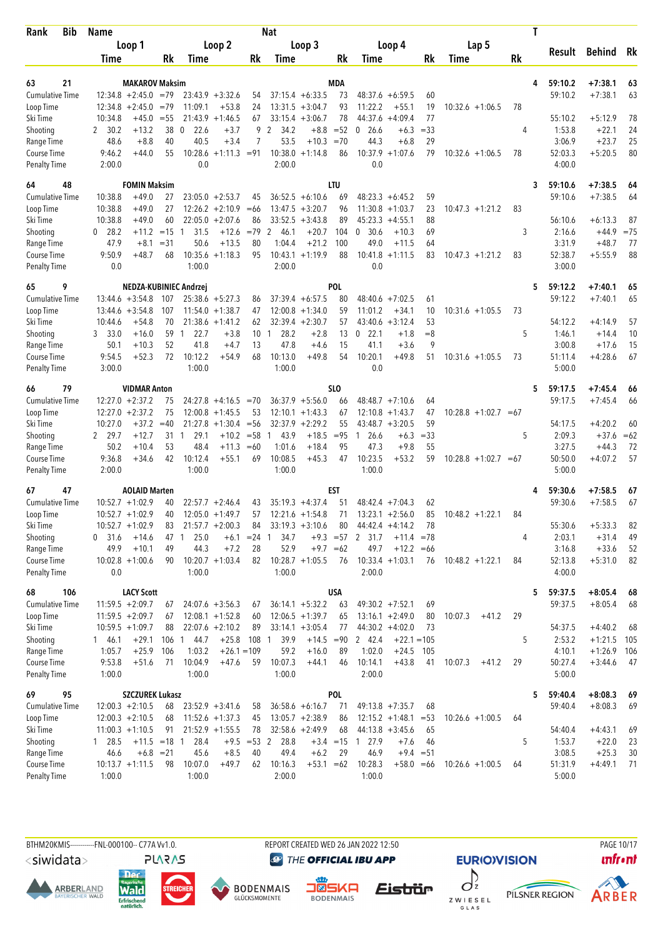| Bib<br>Rank                        | Name              |                                          |                 |                                 |                               |                     | Nat                  |                                          |                     |                                                      |                   |                         |           | Τ |                   |                      |              |
|------------------------------------|-------------------|------------------------------------------|-----------------|---------------------------------|-------------------------------|---------------------|----------------------|------------------------------------------|---------------------|------------------------------------------------------|-------------------|-------------------------|-----------|---|-------------------|----------------------|--------------|
|                                    |                   | Loop 1                                   |                 |                                 | Loop 2                        |                     |                      | Loop 3                                   |                     | Loop 4                                               |                   | Lap 5                   |           |   |                   |                      |              |
|                                    | Time              |                                          | Rk              | Time                            |                               | Rk                  | Time                 |                                          | Rk                  | Time                                                 | Rk                | Time                    | <b>Rk</b> |   | Result            | Behind               | Rk           |
|                                    |                   |                                          |                 |                                 |                               |                     |                      |                                          |                     |                                                      |                   |                         |           |   |                   |                      |              |
| 21<br>63                           |                   | <b>MAKAROV Maksim</b>                    |                 |                                 |                               |                     |                      | $37:15.4 + 6:33.5$                       | MDA                 |                                                      |                   |                         |           | 4 | 59:10.2           | $+7:38.1$            | 63           |
| <b>Cumulative Time</b>             |                   | $12:34.8 + 2:45.0$<br>$12:34.8 + 2:45.0$ | $=79$<br>$=79$  | 11:09.1                         | $23:43.9 + 3:32.6$<br>$+53.8$ | 54<br>24            |                      | $13:31.5 + 3:04.7$                       | 73<br>93            | $48:37.6 + 6:59.5$<br>11:22.2<br>$+55.1$             | 60<br>19          | $10:32.6 + 1:06.5$      | 78        |   | 59:10.2           | $+7:38.1$            | 63           |
| Loop Time<br>Ski Time              | 10:34.8           | $+45.0$                                  | $= 55$          |                                 | $21:43.9 + 1:46.5$            | 67                  |                      | $33:15.4 + 3:06.7$                       | 78                  | 44:37.6<br>$+4:09.4$                                 | 77                |                         |           |   | 55:10.2           | $+5:12.9$            | 78           |
| Shooting                           | 2 30.2            | $+13.2$                                  | 38              | $\mathbf 0$<br>22.6             | $+3.7$                        | 9                   | 34.2<br>2            | $+8.8$                                   | $= 52$              | 26.6<br>0<br>$+6.3$                                  | $= 33$            |                         | 4         |   | 1:53.8            | $+22.1$              | 24           |
| Range Time                         | 48.6              | $+8.8$                                   | 40              | 40.5                            | $+3.4$                        | 7                   | 53.5                 | $+10.3$                                  | $=70$               | 44.3<br>$+6.8$                                       | 29                |                         |           |   | 3:06.9            | $+23.7$              | 25           |
| Course Time                        | 9:46.2            | $+44.0$                                  | 55              | 10:28.6                         | $+1:11.3$                     | $= 91$              |                      | $10:38.0 +1:14.8$                        | 86                  | $10:37.9 + 1:07.6$                                   | 79                | $10:32.6 + 1:06.5$      | 78        |   | 52:03.3           | $+5:20.5$            | 80           |
| <b>Penalty Time</b>                | 2:00.0            |                                          |                 | 0.0                             |                               |                     | 2:00.0               |                                          |                     | 0.0                                                  |                   |                         |           |   | 4:00.0            |                      |              |
| 48<br>64                           |                   | <b>FOMIN Maksim</b>                      |                 |                                 |                               |                     |                      |                                          | LTU                 |                                                      |                   |                         |           | 3 | 59:10.6           | $+7:38.5$            | 64           |
| <b>Cumulative Time</b>             | 10:38.8           | $+49.0$                                  | 27              |                                 | $23:05.0 + 2:53.7$            | 45                  |                      | $36:52.5 + 6:10.6$                       | 69                  | $48:23.3 + 6:45.2$                                   | 59                |                         |           |   | 59:10.6           | $+7:38.5$            | 64           |
| Loop Time                          | 10:38.8           | $+49.0$                                  | 27              |                                 | $12:26.2 + 2:10.9$            | $=66$               |                      | $13:47.5 + 3:20.7$                       | 96                  | $11:30.8 + 1:03.7$                                   | 23                | $10:47.3 + 1:21.2$      | 83        |   |                   |                      |              |
| Ski Time                           | 10:38.8           | $+49.0$                                  | 60              | 22:05.0                         | $+2:07.6$                     | 86                  |                      | $33:52.5 + 3:43.8$                       | 89                  | 45:23.3<br>$+4:55.1$                                 | 88                |                         |           |   | 56:10.6           | $+6:13.3$            | 87           |
| Shooting                           | $0$ 28.2<br>47.9  | $+11.2$<br>$+8.1$                        | $=15$<br>$= 31$ | 31.5<br>$\mathbf{1}$<br>50.6    | $+12.6$<br>$+13.5$            | $=79$<br>80         | 2<br>46.1<br>1:04.4  | $+20.7$<br>$+21.2$                       | 104<br>100          | 30.6<br>$+10.3$<br>$\mathbf{0}$<br>49.0              | 69<br>64          |                         | 3         |   | 2:16.6<br>3:31.9  | $+44.9$<br>$+48.7$   | $= 75$<br>77 |
| Range Time<br>Course Time          | 9:50.9            | $+48.7$                                  | 68              | 10:35.6                         | $+1:18.3$                     | 95                  | 10:43.1              | $+1:19.9$                                | 88                  | $+11.5$<br>$10:41.8 + 1:11.5$                        | 83                | $10:47.3 +1:21.2$       | 83        |   | 52:38.7           | $+5:55.9$            | 88           |
| <b>Penalty Time</b>                | 0.0               |                                          |                 | 1:00.0                          |                               |                     | 2:00.0               |                                          |                     | 0.0                                                  |                   |                         |           |   | 3:00.0            |                      |              |
| 65<br>9                            |                   |                                          |                 | NEDZA-KUBINIEC Andrzej          |                               |                     |                      |                                          | POL                 |                                                      |                   |                         |           | 5 | 59:12.2           | $+7:40.1$            | 65           |
| Cumulative Time                    |                   | $13:44.6 + 3:54.8$                       | 107             |                                 | $25:38.6 + 5:27.3$            | 86                  |                      | $37:39.4 + 6:57.5$                       | 80                  | $48:40.6 + 7:02.5$                                   | 61                |                         |           |   | 59:12.2           | $+7:40.1$            | 65           |
| Loop Time                          |                   | $13:44.6 + 3:54.8$                       | 107             |                                 | $11:54.0 + 1:38.7$            | 47                  |                      | $12:00.8 + 1:34.0$                       | 59                  | 11:01.2<br>$+34.1$                                   | 10                | $10:31.6 + 1:05.5$      | 73        |   |                   |                      |              |
| Ski Time                           | 10:44.6           | $+54.8$                                  | 70              |                                 | $21:38.6 + 1:41.2$            | 62                  |                      | $32:39.4 + 2:30.7$                       | 57                  | $43:40.6 + 3:12.4$                                   | 53                |                         |           |   | 54:12.2           | $+4:14.9$            | 57           |
| Shooting                           | 3 33.0            | $+16.0$                                  | 59              | 22.7<br>$\mathbf{1}$            | $+3.8$                        | $10^{\circ}$        | 28.2<br>$\mathbf{1}$ | $+2.8$                                   | 13                  | 0<br>22.1<br>$+1.8$                                  | $= 8$             |                         | 5         |   | 1:46.1            | $+14.4$              | 10           |
| Range Time                         | 50.1              | $+10.3$                                  | 52              | 41.8                            | $+4.7$                        | 13                  | 47.8                 | $+4.6$                                   | 15                  | 41.1<br>$+3.6$                                       | 9                 |                         |           |   | 3:00.8            | $+17.6$              | 15           |
| Course Time                        | 9:54.5            | $+52.3$                                  | 72              | 10:12.2                         | $+54.9$                       | 68                  | 10:13.0              | $+49.8$                                  | 54                  | 10:20.1<br>$+49.8$                                   | 51                | $10:31.6 + 1:05.5$      | 73        |   | 51:11.4           | $+4:28.6$            | 67           |
| <b>Penalty Time</b>                | 3:00.0            |                                          |                 | 1:00.0                          |                               |                     | 1:00.0               |                                          |                     | 0.0                                                  |                   |                         |           |   | 5:00.0            |                      |              |
| 79<br>66                           |                   | <b>VIDMAR Anton</b>                      |                 |                                 |                               |                     |                      |                                          | SLO                 |                                                      |                   |                         |           | 5 | 59:17.5           | $+7:45.4$            | 66           |
| <b>Cumulative Time</b>             |                   | $12:27.0 + 2:37.2$                       | 75              | 24:27.8                         | $+4:16.5 = 70$                |                     |                      | $36:37.9 + 5:56.0$                       | 66                  | $48:48.7 +7:10.6$                                    | 64                |                         |           |   | 59:17.5           | $+7:45.4$            | 66           |
| Loop Time                          |                   | $12:27.0 + 2:37.2$                       | 75<br>$=40$     | 12:00.8                         | $+1:45.5$                     | 53                  |                      | $12:10.1 + 1:43.3$<br>$32:37.9 + 2:29.2$ | 67<br>55            | 12:10.8<br>$+1:43.7$                                 | 47<br>59          | $10:28.8 + 1:02.7 = 67$ |           |   |                   |                      |              |
| Ski Time<br>Shooting               | 10:27.0<br>2 29.7 | $+37.2$<br>$+12.7$                       | 31              | 21:27.8<br>29.1<br>$\mathbf{1}$ | $+1:30.4$<br>$+10.2$          | $=$ 56<br>$= 58$    | 43.9<br>1            | $+18.5$                                  | $= 95$              | $43:48.7 + 3:20.5$<br>26.6<br>$\mathbf{1}$<br>$+6.3$ | $= 33$            |                         | 5         |   | 54:17.5<br>2:09.3 | $+4:20.2$<br>$+37.6$ | 60<br>$=62$  |
| Range Time                         | 50.2              | $+10.4$                                  | 53              | 48.4                            | $+11.3$                       | $=60$               | 1:01.6               | $+18.4$                                  | 95                  | 47.3<br>$+9.8$                                       | 55                |                         |           |   | 3:27.5            | $+44.3$              | 72           |
| Course Time                        | 9:36.8            | $+34.6$                                  | 42              | 10:12.4                         | $+55.1$                       | 69                  | 10:08.5              | $+45.3$                                  | 47                  | 10:23.5<br>$+53.2$                                   | 59                | $10:28.8 + 1:02.7 = 67$ |           |   | 50:50.0           | $+4:07.2$            | 57           |
| Penalty Time                       | 2:00.0            |                                          |                 | 1:00.0                          |                               |                     | 1:00.0               |                                          |                     | 1:00.0                                               |                   |                         |           |   | 5:00.0            |                      |              |
| 67<br>47                           |                   | <b>AOLAID Marten</b>                     |                 |                                 |                               |                     |                      |                                          | EST                 |                                                      |                   |                         |           |   | 59:30.6           | $+7:58.5$            | 67           |
| <b>Cumulative Time</b>             |                   | $10:52.7 + 1:02.9$                       | 40              |                                 | $22:57.7 + 2:46.4$            | 43                  |                      | $35:19.3 + 4:37.4$                       | 51                  | $48:42.4 +7:04.3$                                    | 62                |                         |           |   | 59:30.6           | $+7:58.5$            | 67           |
| Loop Time                          |                   | $10:52.7 + 1:02.9$                       | 40              |                                 | $12:05.0 +1:49.7$             | 57                  |                      | $12:21.6 + 1:54.8$                       | 71                  | $13:23.1 + 2:56.0$                                   | 85                | $10:48.2 + 1:22.1$      | 84        |   |                   |                      |              |
| Ski Time                           |                   | $10:52.7 + 1:02.9$                       | 83              |                                 | $21:57.7 + 2:00.3$            | 84                  |                      | $33:19.3 + 3:10.6$                       | 80                  | $44:42.4 + 4:14.2$                                   | 78                |                         |           |   | 55:30.6           | $+5:33.3$            | 82           |
| Shooting                           | 0 31.6            | $+14.6$                                  | 47 1            | 25.0                            | $+6.1$                        | $= 24$              | 34.7<br>-1           |                                          | $+9.3 = 57$         | 2 31.7<br>$+11.4 = 78$                               |                   |                         | 4         |   | 2:03.1            | $+31.4$              | 49           |
| Range Time                         | 49.9              | $+10.1$                                  | 49              | 44.3                            | $+7.2$                        | 28                  | 52.9                 | $+9.7 = 62$                              |                     | 49.7<br>$+12.2 = 66$                                 |                   |                         |           |   | 3:16.8            | $+33.6$              | 52           |
| Course Time<br><b>Penalty Time</b> | 0.0               | $10:02.8 + 1:00.6$                       | 90              | 1:00.0                          | $10:20.7 + 1:03.4$            | 82                  | 1:00.0               | $10:28.7 + 1:05.5$                       | 76                  | $10:33.4 +1:03.1$<br>2:00.0                          | 76                | $10:48.2 + 1:22.1$      | 84        |   | 52:13.8<br>4:00.0 | $+5:31.0$            | 82           |
| 68<br>106                          |                   | <b>LACY Scott</b>                        |                 |                                 |                               |                     |                      |                                          | <b>USA</b>          |                                                      |                   |                         |           | 5 | 59:37.5           | $+8:05.4$            | 68           |
| <b>Cumulative Time</b>             |                   | $11:59.5 + 2:09.7$                       | 67              |                                 | $24:07.6 + 3:56.3$            | 67                  |                      | $36:14.1 + 5:32.2$                       | 63                  | $49:30.2 +7:52.1$                                    | 69                |                         |           |   | 59:37.5           | $+8:05.4$            | 68           |
| Loop Time                          |                   | $11:59.5 + 2:09.7$                       | 67              |                                 | $12:08.1 + 1:52.8$            | 60                  |                      | $12:06.5 + 1:39.7$                       | 65                  | $13:16.1 + 2:49.0$                                   | 80                | 10:07.3<br>$+41.2$      | 29        |   |                   |                      |              |
| Ski Time                           |                   | $10:59.5 + 1:09.7$                       | 88              |                                 | $22:07.6 +2:10.2$             | 89                  |                      | $33:14.1 + 3:05.4$                       | 77                  | $44:30.2 +4:02.0$                                    | 73                |                         |           |   | 54:37.5           | $+4:40.2$            | 68           |
| Shooting                           | 1 46.1            | $+29.1$                                  |                 | 106 1 44.7                      | $+25.8$                       | 108 1               | 39.9                 | $+14.5 = 90$                             |                     | 2 42.4<br>$+22.1 = 105$                              |                   |                         | 5         |   | 2:53.2            | $+1:21.5$            | 105          |
| Range Time                         | 1:05.7            | $+25.9$                                  | 106             | 1:03.2                          | $+26.1 = 109$                 |                     | 59.2                 | $+16.0$                                  | 89                  | 1:02.0<br>$+24.5$                                    | 105               |                         |           |   | 4:10.1            | $+1:26.9$            | - 106        |
| Course Time                        | 9:53.8            | $+51.6$                                  | 71              | 10:04.9                         | $+47.6$                       | 59                  | 10:07.3              | $+44.1$                                  | 46                  | 10:14.1<br>$+43.8$                                   | 41                | 10:07.3<br>$+41.2$      | 29        |   | 50:27.4           | $+3:44.6$            | 47           |
| <b>Penalty Time</b>                | 1:00.0            |                                          |                 | 1:00.0                          |                               |                     | 1:00.0               |                                          |                     | 2:00.0                                               |                   |                         |           |   | 5:00.0            |                      |              |
| 95<br>69                           |                   | <b>SZCZUREK Lukasz</b>                   |                 |                                 |                               |                     |                      |                                          | POL                 |                                                      |                   |                         |           | 5 | 59:40.4           | $+8:08.3$            | 69           |
| <b>Cumulative Time</b>             |                   | $12:00.3 + 2:10.5$                       | 68              |                                 | $23:52.9 + 3:41.6$            | 58                  |                      | $36:58.6 + 6:16.7$                       | 71                  | $49:13.8 + 7:35.7$                                   | 68                |                         |           |   | 59:40.4           | $+8:08.3$            | 69           |
| Loop Time                          |                   | $12:00.3 + 2:10.5$                       | 68              |                                 | $11:52.6 + 1:37.3$            | 45                  |                      | $13:05.7 + 2:38.9$                       | 86                  | $12:15.2 + 1:48.1$                                   | $= 53$            | $10:26.6 + 1:00.5$      | 64        |   |                   |                      |              |
| Ski Time                           |                   | $11:00.3 +1:10.5$                        | 91              |                                 | $21:52.9 + 1:55.5$            | 78                  |                      | $32:58.6 + 2:49.9$                       | 68                  | $44:13.8 + 3:45.6$                                   | 65                |                         |           |   | 54:40.4           | $+4:43.1$            | 69           |
| Shooting                           | 1 28.5<br>46.6    | $+11.5 = 18$ 1<br>$+6.8 = 21$            |                 | 28.4<br>45.6                    | $+8.5$                        | $+9.5 = 53$ 2<br>40 | 28.8<br>49.4         | $+6.2$                                   | $+3.4 = 15$ 1<br>29 | 27.9<br>$+7.6$<br>46.9                               | 46<br>$+9.4 = 51$ |                         | 5         |   | 1:53.7<br>3:08.5  | $+22.0$<br>$+25.3$   | 23           |
| Range Time<br>Course Time          |                   | $10:13.7 +1:11.5$                        | 98              | 10:07.0                         | $+49.7$                       | 62                  | 10:16.3              | $+53.1 = 62$                             |                     | 10:28.3<br>$+58.0 = 66$                              |                   | $10:26.6 + 1:00.5$      | 64        |   | 51:31.9           | $+4:49.1$            | 30<br>71     |
| <b>Penalty Time</b>                | 1:00.0            |                                          |                 | 1:00.0                          |                               |                     | 2:00.0               |                                          |                     | 1:00.0                                               |                   |                         |           |   | 5:00.0            |                      |              |
|                                    |                   |                                          |                 |                                 |                               |                     |                      |                                          |                     |                                                      |                   |                         |           |   |                   |                      |              |

<siwidata>

**ARBERLAND** 







**DENMAIS** Eistrür

REPORT CREATED WED 26 JAN 2022 12:50

**@** THE OFFICIAL IBU APP



**EURIOVISION** 



PAGE 10/17

**unfront**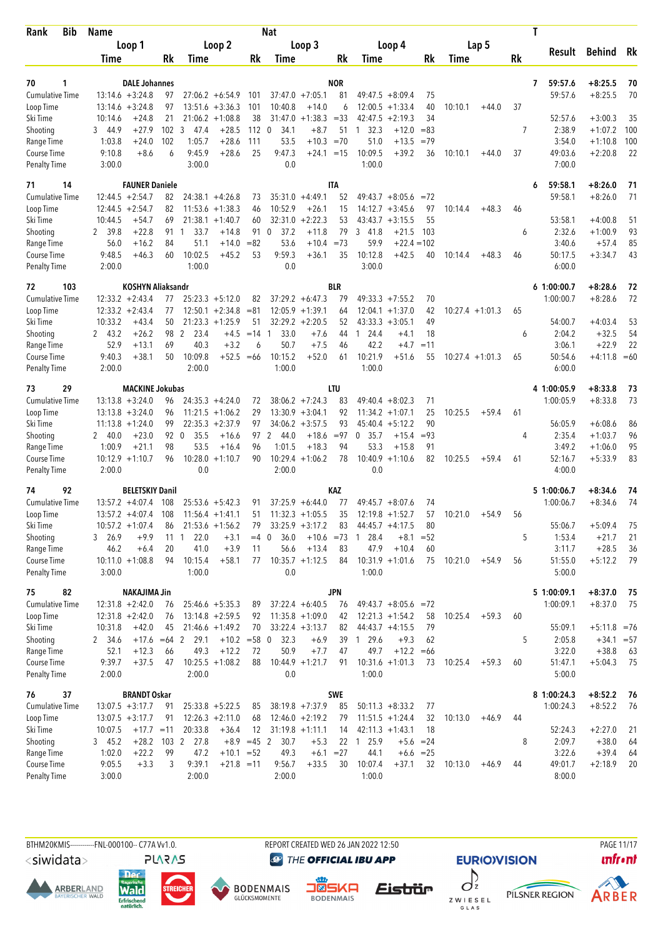| Rank<br>Bib                         | Name             |                                        |              |                        |                                          |              | Nat                  |                                          |             |                      |                         |          |         |                    |    | T                 |                    |           |
|-------------------------------------|------------------|----------------------------------------|--------------|------------------------|------------------------------------------|--------------|----------------------|------------------------------------------|-------------|----------------------|-------------------------|----------|---------|--------------------|----|-------------------|--------------------|-----------|
|                                     |                  | Loop 1                                 |              |                        | Loop 2                                   |              |                      | Loop 3                                   |             |                      | Loop 4                  |          |         | Lap 5              |    |                   |                    |           |
|                                     | Time             |                                        | Rk           | Time                   |                                          | Rk           | Time                 |                                          | Rk          | Time                 |                         | Rk       | Time    |                    | Rk | Result            | <b>Behind</b>      | Rk        |
|                                     |                  |                                        |              |                        |                                          |              |                      |                                          |             |                      |                         |          |         |                    |    |                   |                    |           |
| 70<br>1                             |                  | <b>DALE Johannes</b>                   |              |                        |                                          |              |                      |                                          | <b>NOR</b>  |                      |                         |          |         |                    |    | 59:57.6<br>7      | $+8:25.5$          | 70        |
| <b>Cumulative Time</b>              |                  | $13:14.6 + 3:24.8$                     | 97           |                        | $27:06.2 + 6:54.9$                       | 101          |                      | $37:47.0 +7:05.1$                        | 81          | 49:47.5              | $+8:09.4$               | 75       |         |                    |    | 59:57.6           | $+8:25.5$          | 70        |
| Loop Time                           | 10:14.6          | $13:14.6 + 3:24.8$                     | 97<br>21     |                        | $13:51.6 + 3:36.3$<br>$21:06.2 + 1:08.8$ | 101<br>38    | 10:40.8<br>31:47.0   | $+14.0$<br>$+1:38.3$                     | 6<br>$= 33$ | 12:00.5              | $+1:33.4$<br>$+2:19.3$  | 40<br>34 | 10:10.1 | $+44.0$            | 37 | 52:57.6           | $+3:00.3$          |           |
| Ski Time<br>Shooting                | 3 44.9           | $+24.8$<br>$+27.9$                     | 102          | 3<br>47.4              | $+28.5$                                  | $112 \ 0$    | 34.1                 | $+8.7$                                   | 51          | 42:47.5<br>32.3<br>1 | $+12.0$                 | $=83$    |         |                    | 7  | 2:38.9            | $+1:07.2$          | 35<br>100 |
| Range Time                          | 1:03.8           | $+24.0$                                | 102          | 1:05.7                 | $+28.6$                                  | 111          | 53.5                 | $+10.3 = 70$                             |             | 51.0                 | $+13.5$                 | $=79$    |         |                    |    | 3:54.0            | $+1:10.8$          | 100       |
| Course Time                         | 9:10.8           | $+8.6$                                 | 6            | 9:45.9                 | $+28.6$                                  | 25           | 9:47.3               | $+24.1 = 15$                             |             | 10:09.5              | $+39.2$                 | 36       | 10:10.1 | $+44.0$            | 37 | 49:03.6           | $+2:20.8$          | 22        |
| Penalty Time                        | 3:00.0           |                                        |              | 3:00.0                 |                                          |              | 0.0                  |                                          |             | 1:00.0               |                         |          |         |                    |    | 7:00.0            |                    |           |
| 71<br>14                            |                  | <b>FAUNER Daniele</b>                  |              |                        |                                          |              |                      |                                          | ITA         |                      |                         |          |         |                    |    | 59:58.1<br>6      | $+8:26.0$          | 71        |
| <b>Cumulative Time</b>              |                  | $12:44.5 + 2:54.7$                     | 82           |                        | $24:38.1 + 4:26.8$                       | 73           |                      | $35:31.0 +4:49.1$                        | 52          |                      | $49:43.7 + 8:05.6$      | $=72$    |         |                    |    | 59:58.1           | $+8:26.0$          | 71        |
| Loop Time                           |                  | $12:44.5 + 2:54.7$                     | 82           |                        | $11:53.6 + 1:38.3$                       | 46           | 10:52.9              | $+26.1$                                  | 15          | 14:12.7              | $+3:45.6$               | 97       | 10:14.4 | $+48.3$            | 46 |                   |                    |           |
| Ski Time                            | 10:44.5          | $+54.7$                                | 69           | 21:38.1                | $+1:40.7$                                | 60           | 32:31.0              | $+2:22.3$                                | 53          | 43:43.7              | $+3:15.5$               | 55       |         |                    |    | 53:58.1           | $+4:00.8$          | 51        |
| Shooting                            | 2 39.8           | $+22.8$                                | 91           | 33.7<br>$\mathbf{1}$   | $+14.8$                                  | 91           | 37.2<br>$\mathbf 0$  | $+11.8$                                  | 79          | 3<br>41.8            | $+21.5$                 | 103      |         |                    | 6  | 2:32.6            | $+1:00.9$          | 93        |
| Range Time                          | 56.0             | $+16.2$                                | 84           | 51.1                   | $+14.0$                                  | $= 82$       | 53.6                 | $+10.4$                                  | $= 73$      | 59.9                 | $+22.4 = 102$           |          |         |                    |    | 3:40.6            | $+57.4$            | 85        |
| Course Time                         | 9:48.5           | $+46.3$                                | 60           | 10:02.5                | $+45.2$                                  | 53           | 9:59.3               | $+36.1$                                  | 35          | 10:12.8              | $+42.5$                 | 40       | 10:14.4 | $+48.3$            | 46 | 50:17.5           | $+3:34.7$          | 43        |
| <b>Penalty Time</b>                 | 2:00.0           |                                        |              | 1:00.0                 |                                          |              | 0.0                  |                                          |             | 3:00.0               |                         |          |         |                    |    | 6:00.0            |                    |           |
| 103<br>72                           |                  | <b>KOSHYN Aliaksandr</b>               |              |                        |                                          |              |                      |                                          | <b>BLR</b>  |                      |                         |          |         |                    |    | 61:00:00.7        | $+8:28.6$          | 72        |
| <b>Cumulative Time</b>              |                  | $12:33.2 +2:43.4$                      | 77           |                        | $25:23.3 + 5:12.0$                       | 82           |                      | $37:29.2 + 6:47.3$                       | 79          | $49:33.3 +7:55.2$    |                         | 70       |         |                    |    | 1:00:00.7         | $+8:28.6$          | 72        |
| Loop Time                           |                  | $12:33.2 + 2:43.4$                     | 77           |                        | $12:50.1 + 2:34.8$                       | $= 81$       |                      | $12:05.9 +1:39.1$                        | 64          | $12:04.1 + 1:37.0$   |                         | 42       |         | $10:27.4 + 1:01.3$ | 65 |                   |                    |           |
| Ski Time                            | 10:33.2          | $+43.4$                                | 50           |                        | $21:23.3 +1:25.9$                        | 51           |                      | $32:29.2 + 2:20.5$                       | 52          | 43:33.3              | $+3:05.1$               | 49       |         |                    |    | 54:00.7           | $+4:03.4$          | 53        |
| Shooting                            | 2 43.2           | $+26.2$                                | 98           | 2<br>23.4              | $+4.5$                                   | $=14$        | 33.0<br>$\mathbf{1}$ | $+7.6$                                   | 44          | 24.4<br>$\mathbf{1}$ | $+4.1$                  | 18       |         |                    | 6  | 2:04.2            | $+32.5$            | 54        |
| Range Time                          | 52.9             | $+13.1$                                | 69           | 40.3                   | $+3.2$                                   | 6            | 50.7                 | $+7.5$                                   | 46          | 42.2                 | $+4.7$                  | $=11$    |         |                    |    | 3:06.1            | $+22.9$            | 22        |
| Course Time                         | 9:40.3           | $+38.1$                                | 50           | 10:09.8                | $+52.5$                                  | $=66$        | 10:15.2              | $+52.0$                                  | 61          | 10:21.9              | $+51.6$                 | 55       |         | $10:27.4 + 1:01.3$ | 65 | 50:54.6           | $+4:11.8 = 60$     |           |
| <b>Penalty Time</b>                 | 2:00.0           |                                        |              | 2:00.0                 |                                          |              | 1:00.0               |                                          |             | 1:00.0               |                         |          |         |                    |    | 6:00.0            |                    |           |
| 73<br>29                            |                  | <b>MACKINE Jokubas</b>                 |              |                        |                                          |              |                      |                                          | LTU         |                      |                         |          |         |                    |    | 4 1:00:05.9       | $+8:33.8$          | 73        |
| Cumulative Time                     |                  | $13:13.8 + 3:24.0$                     | 96           |                        | $24:35.3 +4:24.0$                        | 72           |                      | $38:06.2 +7:24.3$                        | 83          | $49:40.4 + 8:02.3$   |                         | 71       |         |                    |    | 1:00:05.9         | $+8:33.8$          | 73        |
| Loop Time                           |                  | $13:13.8 + 3:24.0$                     | 96           |                        | $11:21.5 + 1:06.2$                       | 29           |                      | $13:30.9 + 3:04.1$                       | 92          | 11:34.2              | $+1:07.1$               | 25       | 10:25.5 | $+59.4$            | 61 |                   |                    |           |
| Ski Time                            |                  | $11:13.8 + 1:24.0$                     | 99           |                        | $22:35.3 + 2:37.9$                       | 97           |                      | $34:06.2 + 3:57.5$                       | 93          | 45:40.4              | $+5:12.2$               | 90       |         |                    |    | 56:05.9           | $+6:08.6$          | 86        |
| Shooting                            | 2 40.0           | $+23.0$                                | 92           | 35.5<br>$\overline{0}$ | $+16.6$                                  | 97           | $\mathbf{2}$<br>44.0 | $+18.6$                                  | $= 97$      | 35.7<br>$\mathbf{0}$ | $+15.4$                 | $= 93$   |         |                    | 4  | 2:35.4            | $+1:03.7$          | 96        |
| Range Time<br>Course Time           | 1:00.9           | $+21.1$                                | 98           | 53.5                   | $+16.4$                                  | 96<br>90     | 1:01.5               | $+18.3$                                  | 94          | 53.3                 | $+15.8$                 | 91       |         |                    |    | 3:49.2            | $+1:06.0$          | 95        |
| Penalty Time                        | 2:00.0           | $10:12.9 + 1:10.7$                     | 96           | 10:28.0<br>0.0         | $+1:10.7$                                |              | 10:29.4<br>2:00.0    | $+1:06.2$                                | 78          | 10:40.9<br>0.0       | $+1:10.6$               | 82       | 10:25.5 | $+59.4$            | 61 | 52:16.7<br>4:00.0 | $+5:33.9$          | 83        |
|                                     |                  |                                        |              |                        |                                          |              |                      |                                          |             |                      |                         |          |         |                    |    |                   |                    |           |
| 74<br>92                            |                  | <b>BELETSKIY Danil</b>                 |              |                        |                                          |              |                      |                                          | KAZ         | $49:45.7 + 8:07.6$   |                         |          |         |                    |    | 5 1:00:06.7       | $+8:34.6$          | 74<br>74  |
| <b>Cumulative Time</b><br>Loop Time |                  | $13:57.2 +4:07.4$<br>$13:57.2 +4:07.4$ | 108<br>108   |                        | $25:53.6 + 5:42.3$<br>$11:56.4 + 1:41.1$ | 91<br>51     |                      | $37:25.9 + 6:44.0$<br>$11:32.3 + 1:05.5$ | 77<br>35    | $12:19.8 + 1:52.7$   |                         | 74<br>57 | 10:21.0 | $+54.9$            | 56 | 1:00:06.7         | $+8:34.6$          |           |
| Ski Time                            |                  | $10:57.2 + 1:07.4$                     | 86           |                        | $21:53.6 + 1:56.2$                       | 79           |                      | $33:25.9 + 3:17.2$                       | 83          | $44:45.7 + 4:17.5$   |                         | 80       |         |                    |    | 55:06.7           | $+5:09.4$          | 75        |
| Shooting                            | 3 26.9           | $+9.9$                                 | $11 \quad 1$ | 22.0                   | $+3.1$                                   | $=4$ 0       | 36.0                 |                                          |             | $+10.6$ =73 1 28.4   | $+8.1$                  | $= 52$   |         |                    | 5  | 1:53.4            | $+21.7$            | 21        |
| Range Time                          | 46.2             | $+6.4$                                 | 20           | 41.0                   | $+3.9$                                   | 11           | 56.6                 | $+13.4$                                  | 83          | 47.9                 | $+10.4$                 | 60       |         |                    |    | 3:11.7            | $+28.5$            | 36        |
| Course Time                         |                  | $10:11.0 + 1:08.8$                     | 94           | 10:15.4                | $+58.1$                                  | 77           | $10:35.7 +1:12.5$    |                                          | 84          | $10:31.9 + 1:01.6$   |                         | 75       | 10:21.0 | $+54.9$            | 56 | 51:55.0           | $+5:12.2$          | - 79      |
| Penalty Time                        | 3:00.0           |                                        |              | 1:00.0                 |                                          |              | 0.0                  |                                          |             | 1:00.0               |                         |          |         |                    |    | 5:00.0            |                    |           |
| 75<br>82                            |                  | <b>NAKAJIMA Jin</b>                    |              |                        |                                          |              |                      |                                          | <b>JPN</b>  |                      |                         |          |         |                    |    | 5 1:00:09.1       | $+8:37.0$          | - 75      |
| Cumulative Time                     |                  | $12:31.8 + 2:42.0$                     | 76           |                        | $25:46.6 + 5:35.3$                       | 89           |                      | $37:22.4 + 6:40.5$                       | 76          |                      | $49:43.7 + 8:05.6 = 72$ |          |         |                    |    | 1:00:09.1         | $+8:37.0$          | 75        |
| Loop Time                           |                  | $12:31.8 + 2:42.0$                     | 76           |                        | $13:14.8 + 2:59.5$                       | 92           |                      | $11:35.8 + 1:09.0$                       | 42          | $12:21.3 +1:54.2$    |                         | 58       | 10:25.4 | $+59.3$            | 60 |                   |                    |           |
| Ski Time                            | 10:31.8          | $+42.0$                                | 45           |                        | $21:46.6 + 1:49.2$                       | 70           |                      | $33:22.4 +3:13.7$                        | 82          | $44:43.7 +4:15.5$    |                         | 79       |         |                    |    | 55:09.1           | $+5:11.8 = 76$     |           |
| Shooting                            | 2 34.6           | $+17.6 = 64$ 2                         |              | 29.1                   | $+10.2 = 58$ 0                           |              | 32.3                 | $+6.9$                                   |             | 39 1 29.6            | $+9.3$                  | 62       |         |                    | 5  | 2:05.8            | $+34.1 = 57$       |           |
| Range Time                          | 52.1             | $+12.3$                                | 66           | 49.3                   | $+12.2$                                  | 72           | 50.9                 | $+7.7$                                   | 47          | 49.7                 | $+12.2 = 66$            |          |         |                    |    | 3:22.0            | $+38.8$            | 63        |
| Course Time                         | 9:39.7           | $+37.5$                                | 47           |                        | $10:25.5 +1:08.2$                        | 88           |                      | $10:44.9 + 1:21.7$                       | 91          | $10:31.6 + 1:01.3$   |                         | 73       | 10:25.4 | $+59.3$            | 60 | 51:47.1           | $+5:04.3$          | 75        |
| <b>Penalty Time</b>                 | 2:00.0           |                                        |              | 2:00.0                 |                                          |              | 0.0                  |                                          |             | 1:00.0               |                         |          |         |                    |    | 5:00.0            |                    |           |
| 76<br>37                            |                  | <b>BRANDT Oskar</b>                    |              |                        |                                          |              |                      |                                          | <b>SWE</b>  |                      |                         |          |         |                    |    | 8 1:00:24.3       | $+8:52.2$          | - 76      |
| <b>Cumulative Time</b>              |                  | $13:07.5 + 3:17.7$                     | 91           |                        | $25:33.8 + 5:22.5$                       | 85           |                      | $38:19.8 + 7:37.9$                       | 85          | $50:11.3 + 8:33.2$   |                         | 77       |         |                    |    | 1:00:24.3         | $+8:52.2$          | - 76      |
| Loop Time                           |                  | $13:07.5 + 3:17.7$                     | 91           |                        | $12:26.3 +2:11.0$                        | 68           |                      | $12:46.0 + 2:19.2$                       | 79          | $11:51.5 + 1:24.4$   |                         | 32       | 10:13.0 | $+46.9$            | 44 |                   |                    |           |
| Ski Time                            | 10:07.5          | $+17.7 = 11$                           |              | 20:33.8                | $+36.4$                                  | 12           |                      | $31:19.8 + 1:11.1$                       | 14          | $42:11.3 + 1:43.1$   |                         | 18       |         |                    |    | 52:24.3           | $+2:27.0$          | 21        |
| Shooting                            | 345.2            | $+28.2$<br>$+22.2$                     | 99           | 103 2 27.8<br>47.2     | $+10.1 = 52$                             | $+8.9$ =45 2 | 30.7<br>49.3         | $+5.3$<br>$+6.1 = 27$                    |             | 22 1 25.9<br>44.1    | $+5.6 = 24$             |          |         |                    | 8  | 2:09.7<br>3:22.6  | $+38.0$<br>$+39.4$ | 64        |
| Range Time<br>Course Time           | 1:02.0<br>9:05.5 | $+3.3$                                 | 3            | 9:39.1                 | $+21.8 = 11$                             |              | 9:56.7               | $+33.5$                                  | 30          | 10:07.4              | $+6.6 = 25$<br>$+37.1$  | 32       | 10:13.0 | $+46.9$            | 44 | 49:01.7           | $+2:18.9$          | 64<br>20  |
| <b>Penalty Time</b>                 | 3:00.0           |                                        |              | 2:00.0                 |                                          |              | 2:00.0               |                                          |             | 1:00.0               |                         |          |         |                    |    | 8:00.0            |                    |           |
|                                     |                  |                                        |              |                        |                                          |              |                      |                                          |             |                      |                         |          |         |                    |    |                   |                    |           |

<siwidata>

**ARBERLAND** 







REPORT CREATED WED 26 JAN 2022 12:50

**@** THE OFFICIAL IBU APP

Eistrür





PAGE 11/17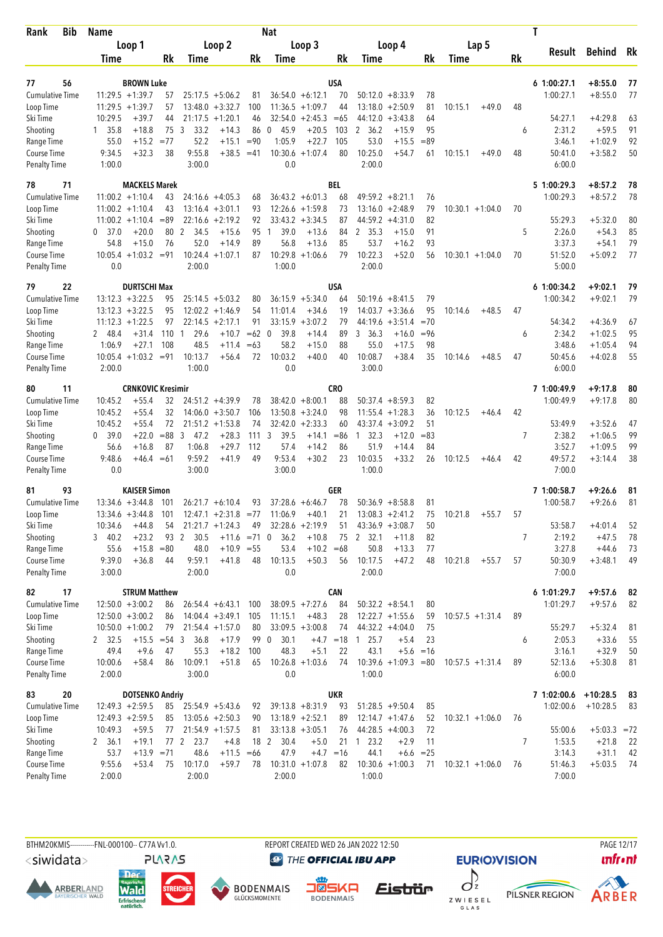| <b>Bib</b><br>Rank                 | Name                         |                                         |                  |                     |                        |             | <b>Nat</b>           |                    |              |                              |                        |             |         |                    |    | T                       |                        |          |
|------------------------------------|------------------------------|-----------------------------------------|------------------|---------------------|------------------------|-------------|----------------------|--------------------|--------------|------------------------------|------------------------|-------------|---------|--------------------|----|-------------------------|------------------------|----------|
|                                    |                              | Loop 1                                  |                  |                     | Loop 2                 |             |                      | Loop 3             |              |                              | Loop 4                 |             |         | Lap 5              |    |                         |                        |          |
|                                    | Time                         |                                         | Rk               | Time                |                        | Rk          | Time                 |                    | Rk           | Time                         |                        | Rk          | Time    |                    | Rk | Result                  | <b>Behind</b>          | Rk       |
|                                    |                              |                                         |                  |                     |                        |             |                      |                    |              |                              |                        |             |         |                    |    |                         |                        |          |
| 56<br>77<br><b>Cumulative Time</b> |                              | <b>BROWN Luke</b><br>$11:29.5 + 1:39.7$ | 57               |                     | $25:17.5 + 5:06.2$     | 81          |                      | $36:54.0 + 6:12.1$ | USA<br>70    | 50:12.0                      | $+8:33.9$              | 78          |         |                    |    | 61:00:27.1<br>1:00:27.1 | $+8:55.0$<br>$+8:55.0$ | 77<br>77 |
| Loop Time                          |                              | $11:29.5 + 1:39.7$                      | 57               |                     | $13:48.0 + 3:32.7$     | 100         |                      | $11:36.5 + 1:09.7$ | 44           |                              | $13:18.0 + 2:50.9$     | 81          | 10:15.1 | $+49.0$            | 48 |                         |                        |          |
| Ski Time                           | 10:29.5                      | $+39.7$                                 | 44               |                     | $21:17.5 + 1:20.1$     | 46          |                      | $32:54.0 + 2:45.3$ | $=65$        | 44:12.0                      | $+3:43.8$              | 64          |         |                    |    | 54:27.1                 | $+4:29.8$              | 63       |
| Shooting                           | 1, 35.8                      | $+18.8$                                 | 75 3             | 33.2                | $+14.3$                | 86          | 45.9<br>$\mathbf{0}$ | $+20.5$            | 103          | 2, 36.2                      | $+15.9$                | 95          |         |                    | 6  | 2:31.2                  | $+59.5$                | 91       |
| Range Time                         | 55.0                         | $+15.2$                                 | $= 77$           | 52.2                | $+15.1$                | $= 90$      | 1:05.9               | $+22.7$            | 105          | 53.0                         | $+15.5$                | $=89$       |         |                    |    | 3:46.1                  | $+1:02.9$              | 92       |
| Course Time                        | 9:34.5                       | $+32.3$                                 | 38               | 9:55.8              | $+38.5$                | $=41$       | 10:30.6              | $+1:07.4$          | 80           | 10:25.0                      | $+54.7$                | 61          | 10:15.1 | $+49.0$            | 48 | 50:41.0                 | $+3:58.2$              | 50       |
| <b>Penalty Time</b>                | 1:00.0                       |                                         |                  | 3:00.0              |                        |             | 0.0                  |                    |              | 2:00.0                       |                        |             |         |                    |    | 6:00.0                  |                        |          |
| 78<br>71                           |                              | <b>MACKELS Marek</b>                    |                  |                     |                        |             |                      |                    | BEL          |                              |                        |             |         |                    |    | 5 1:00:29.3             | $+8:57.2$              | 78       |
| <b>Cumulative Time</b>             |                              | $11:00.2 + 1:10.4$                      | 43               |                     | $24:16.6 + 4:05.3$     | 68          |                      | $36:43.2 + 6:01.3$ | 68           |                              | $49:59.2 + 8:21.1$     | 76          |         |                    |    | 1:00:29.3               | $+8:57.2$              | 78       |
| Loop Time                          |                              | $11:00.2 + 1:10.4$                      | 43               |                     | $13:16.4 + 3:01.1$     | 93          |                      | $12:26.6 + 1:59.8$ | 73           | 13:16.0                      | $+2:48.9$              | 79          |         | $10:30.1 + 1:04.0$ | 70 |                         |                        |          |
| Ski Time                           |                              | $11:00.2 +1:10.4$                       | $=89$            |                     | $22:16.6 + 2:19.2$     | 92          |                      | $33:43.2 + 3:34.5$ | 87           |                              | $44:59.2 +4:31.0$      | 82          |         |                    |    | 55:29.3                 | $+5:32.0$              | 80       |
| Shooting                           | 37.0<br>0                    | $+20.0$                                 | 80               | 2<br>34.5           | $+15.6$                | 95          | 39.0<br>1            | $+13.6$            | 84           | 2 35.3                       | $+15.0$                | 91          |         |                    | 5  | 2:26.0                  | $+54.3$                | 85       |
| Range Time                         | 54.8                         | $+15.0$                                 | 76               | 52.0                | $+14.9$                | 89          | 56.8                 | $+13.6$            | 85           | 53.7                         | $+16.2$                | 93          |         |                    |    | 3:37.3                  | $+54.1$                | 79       |
| Course Time                        |                              | $10:05.4 +1:03.2$                       | $= 91$           | 10:24.4             | $+1:07.1$              | 87          | 10:29.8              | $+1:06.6$          | 79           | 10:22.3                      | $+52.0$                | 56          |         | $10:30.1 + 1:04.0$ | 70 | 51:52.0                 | $+5:09.2$              | 77       |
| <b>Penalty Time</b>                | 0.0                          |                                         |                  | 2:00.0              |                        |             | 1:00.0               |                    |              | 2:00.0                       |                        |             |         |                    |    | 5:00.0                  |                        |          |
| 79<br>22                           |                              | <b>DURTSCHI Max</b>                     |                  |                     |                        |             |                      |                    | USA          |                              |                        |             |         |                    |    | 61:00:34.2              | $+9:02.1$              | 79       |
| <b>Cumulative Time</b>             |                              | $13:12.3 + 3:22.5$                      | 95               |                     | $25:14.5 + 5:03.2$     | 80          |                      | $36:15.9 + 5:34.0$ | 64           |                              | $50:19.6 + 8:41.5$     | 79          |         |                    |    | 1:00:34.2               | $+9:02.1$              | 79       |
| Loop Time                          |                              | $13:12.3 + 3:22.5$                      | 95               |                     | $12:02.2 +1:46.9$      | 54          | 11:01.4              | $+34.6$            | 19           |                              | $14:03.7 + 3:36.6$     | 95          | 10:14.6 | $+48.5$            | 47 |                         |                        |          |
| Ski Time                           |                              | $11:12.3 + 1:22.5$                      | 97               |                     | $22:14.5 + 2:17.1$     | 91          |                      | $33:15.9 + 3:07.2$ | 79           | 44:19.6                      | $+3:51.4$              | $=70$       |         |                    |    | 54:34.2                 | $+4:36.9$              | 67       |
| Shooting                           | 2 48.4                       | $+31.4$                                 | 110 <sub>1</sub> | 29.6                | $+10.7$                | $=62$ 0     | 39.8                 | $+14.4$            | 89           | 3<br>36.3                    | $+16.0$                | $= 96$      |         |                    | 6  | 2:34.2                  | $+1:02.5$              | 95       |
| Range Time                         | 1:06.9                       | $+27.1$                                 | 108              | 48.5                | $+11.4$                | $=63$<br>72 | 58.2                 | $+15.0$            | 88<br>40     | 55.0                         | $+17.5$                | 98<br>35    |         |                    |    | 3:48.6                  | $+1:05.4$              | 94       |
| Course Time<br><b>Penalty Time</b> | 2:00.0                       | $10:05.4 +1:03.2 = 91$                  |                  | 10:13.7<br>1:00.0   | $+56.4$                |             | 10:03.2<br>0.0       | $+40.0$            |              | 10:08.7<br>3:00.0            | $+38.4$                |             | 10:14.6 | $+48.5$            | 47 | 50:45.6<br>6:00.0       | $+4:02.8$              | 55       |
|                                    |                              |                                         |                  |                     |                        |             |                      |                    |              |                              |                        |             |         |                    |    |                         |                        |          |
| 11<br>80                           |                              | <b>CRNKOVIC Kresimir</b>                |                  |                     |                        |             |                      |                    | CRO          |                              |                        |             |         |                    |    | 7 1:00:49.9             | $+9:17.8$              | 80       |
| Cumulative Time                    | 10:45.2                      | $+55.4$                                 | 32               |                     | $24:51.2 +4:39.9$      | 78          |                      | $38:42.0 + 8:00.1$ | 88           |                              | $50:37.4 + 8:59.3$     | 82          |         |                    |    | 1:00:49.9               | $+9:17.8$              | 80       |
| Loop Time                          | 10:45.2                      | $+55.4$                                 | 32               |                     | $14:06.0 + 3:50.7$     | 106         |                      | $13:50.8 + 3:24.0$ | 98           | 11:55.4                      | $+1:28.3$              | 36          | 10:12.5 | $+46.4$            | 42 |                         |                        |          |
| Ski Time                           | 10:45.2                      | $+55.4$                                 | 72               |                     | $21:51.2 +1:53.8$      | 74          | 32:42.0              | $+2:33.3$          | 60           | 43:37.4                      | $+3:09.2$              | 51          |         |                    |    | 53:49.9                 | $+3:52.6$              | 47       |
| Shooting                           | 39.0<br>$\mathbf{0}$<br>56.6 | $+22.0$<br>$+16.8$                      | $= 88$<br>87     | 3<br>47.2<br>1:06.8 | $+28.3$<br>$+29.7$     | 111<br>112  | 3<br>39.5<br>57.4    | $+14.1$<br>$+14.2$ | $= 86$<br>86 | 32.3<br>$\mathbf{1}$<br>51.9 | $+12.0$<br>$+14.4$     | $=83$<br>84 |         |                    | 7  | 2:38.2<br>3:52.7        | $+1:06.5$<br>$+1:09.5$ | 99<br>99 |
| Range Time<br>Course Time          | 9:48.6                       | $+46.4 = 61$                            |                  | 9:59.2              | $+41.9$                | 49          | 9:53.4               | $+30.2$            | 23           | 10:03.5                      | $+33.2$                | 26          | 10:12.5 | $+46.4$            | 42 | 49:57.2                 | $+3:14.4$              | 38       |
| <b>Penalty Time</b>                | 0.0                          |                                         |                  | 3:00.0              |                        |             | 3:00.0               |                    |              | 1:00.0                       |                        |             |         |                    |    | 7:00.0                  |                        |          |
| 93<br>81                           |                              | <b>KAISER Simon</b>                     |                  |                     |                        |             |                      |                    | GER          |                              |                        |             |         |                    |    | 7 1:00:58.7             | $+9:26.6$              |          |
| <b>Cumulative Time</b>             |                              | $13:34.6 + 3:44.8$                      | 101              |                     | $26:21.7 + 6:10.4$     | 93          | 37:28.6              | $+6:46.7$          | 78           |                              | $50:36.9 + 8:58.8$     | 81          |         |                    |    | 1:00:58.7               | $+9:26.6$              | 81<br>81 |
| Loop Time                          |                              | $13:34.6 + 3:44.8$                      | 101              |                     | $12:47.1 + 2:31.8$     | $= 77$      | 11:06.9              | $+40.1$            | 21           |                              | $13:08.3 + 2:41.2$     | 75          | 10:21.8 | $+55.7$            | 57 |                         |                        |          |
| Ski Time                           | 10:34.6                      | $+44.8$                                 | 54               |                     | $21:21.7 +1:24.3$      | 49          |                      | $32:28.6 + 2:19.9$ | 51           |                              | $43:36.9 + 3:08.7$     | 50          |         |                    |    | 53:58.7                 | $+4:01.4$              | 52       |
| Shooting                           | 340.2                        | $+23.2$                                 |                  | 93 2<br>30.5        | $+11.6$ =71 0          |             | 36.2                 | $+10.8$            |              | 75 2 32.1                    | $+11.8$                | 82          |         |                    | 7  | 2:19.2                  | $+47.5$                | 78       |
| Range Time                         | 55.6                         | $+15.8$                                 | $=80$            | 48.0                | $+10.9 = 55$           |             | 53.4                 | $+10.2$            | $=68$        | 50.8                         | $+13.3$                | 77          |         |                    |    | 3:27.8                  | $+44.6$                | 73       |
| Course Time                        | 9:39.0                       | $+36.8$                                 | 44               | 9:59.1              | $+41.8$                | 48          | 10:13.5              | $+50.3$            | 56           | 10:17.5                      | $+47.2$                | 48          | 10:21.8 | $+55.7$            | 57 | 50:30.9                 | $+3:48.1$              | 49       |
| <b>Penalty Time</b>                | 3:00.0                       |                                         |                  | 2:00.0              |                        |             | 0.0                  |                    |              | 2:00.0                       |                        |             |         |                    |    | 7:00.0                  |                        |          |
| 17<br>82                           |                              | <b>STRUM Matthew</b>                    |                  |                     |                        |             |                      |                    | CAN          |                              |                        |             |         |                    |    | 6 1:01:29.7             | $+9:57.6$              | 82       |
| Cumulative Time                    |                              | $12:50.0 + 3:00.2$                      | 86               |                     | $26:54.4 + 6:43.1$ 100 |             |                      | $38:09.5 +7:27.6$  | 84           |                              | $50:32.2 + 8:54.1$     | 80          |         |                    |    | 1:01:29.7               | $+9:57.6$              | 82       |
| Loop Time                          |                              | $12:50.0 + 3:00.2$                      | 86               |                     | $14:04.4 + 3:49.1$     | 105         | 11:15.1              | $+48.3$            | 28           |                              | $12:22.7 + 1:55.6$     | 59          |         | $10:57.5 + 1:31.4$ | 89 |                         |                        |          |
| Ski Time                           |                              | $10:50.0 + 1:00.2$                      | 79               |                     | $21:54.4 + 1:57.0$     | 80          |                      | $33:09.5 + 3:00.8$ | 74           |                              | $44:32.2 +4:04.0$      | 75          |         |                    |    | 55:29.7                 | $+5:32.4$              | -81      |
| Shooting                           | 2 32.5                       | $+15.5 = 54$ 3                          |                  | 36.8                | $+17.9$                |             | 99 0<br>30.1         |                    | $+4.7 = 18$  | 125.7                        | $+5.4$                 | 23          |         |                    | 6  | 2:05.3                  | $+33.6$                | 55       |
| Range Time                         | 49.4                         | $+9.6$                                  | 47               | 55.3                | $+18.2$                | 100         | 48.3                 | $+5.1$             | 22           | 43.1                         |                        | $+5.6 = 16$ |         |                    |    | 3:16.1                  | $+32.9$                | 50       |
| Course Time                        | 10:00.6                      | $+58.4$                                 | 86               | 10:09.1             | $+51.8$                | 65          |                      | $10:26.8 + 1:03.6$ | 74           |                              | $10:39.6 +1:09.3 = 80$ |             |         | $10:57.5 + 1:31.4$ | 89 | 52:13.6                 | $+5:30.8$              | 81       |
| <b>Penalty Time</b>                | 2:00.0                       |                                         |                  | 3:00.0              |                        |             | 0.0                  |                    |              | 1:00.0                       |                        |             |         |                    |    | 6:00.0                  |                        |          |
| 83<br>20                           |                              | <b>DOTSENKO Andriy</b>                  |                  |                     |                        |             |                      |                    | UKR          |                              |                        |             |         |                    |    | 7 1:02:00.6             | $+10:28.5$             | - 83     |
| Cumulative Time                    |                              | $12:49.3 + 2:59.5$                      | 85               |                     | $25:54.9 + 5:43.6$     | 92          |                      | $39:13.8 + 8:31.9$ | 93           |                              | $51:28.5 +9:50.4$      | 85          |         |                    |    | 1:02:00.6               | $+10:28.5$             | 83       |
| Loop Time                          |                              | $12:49.3 + 2:59.5$                      | 85               |                     | $13:05.6 + 2:50.3$     | 90          |                      | $13:18.9 + 2:52.1$ | 89           |                              | $12:14.7 + 1:47.6$     | 52          |         | $10:32.1 + 1:06.0$ | 76 |                         |                        |          |
| Ski Time                           | 10:49.3                      | $+59.5$                                 | 77               |                     | $21:54.9 + 1:57.5$     | 81          |                      | $33:13.8 + 3:05.1$ | 76           |                              | $44:28.5 +4:00.3$      | 72          |         |                    |    | 55:00.6                 | $+5:03.3 = 72$         |          |
| Shooting                           | 2, 36.1                      | $+19.1$                                 |                  | 23.7<br>77 2        | $+4.8$                 |             | 18 2<br>30.4         | $+5.0$             | 21           | $1 \t23.2$                   | $+2.9$                 | 11          |         |                    | 7  | 1:53.5                  | $+21.8$                | -22      |
| Range Time                         | 53.7                         | $+13.9$                                 | $= 71$           | 48.6                | $+11.5$                | $=66$       | 47.9                 | $+4.7 = 16$        |              | 44.1                         | $+6.6$                 | $= 25$      |         |                    |    | 3:14.3                  | $+31.1$                | 42       |
| Course Time                        | 9:55.6                       | $+53.4$                                 | 75               | 10:17.0             | $+59.7$                | 78          |                      | $10:31.0 + 1:07.8$ | 82           |                              | $10:30.6 + 1:00.3$     | 71          |         | $10:32.1 + 1:06.0$ | 76 | 51:46.3                 | $+5:03.5$              | 74       |
| <b>Penalty Time</b>                | 2:00.0                       |                                         |                  | 2:00.0              |                        |             | 2:00.0               |                    |              | 1:00.0                       |                        |             |         |                    |    | 7:00.0                  |                        |          |

BTHM20KMIS-----------FNL-000100-- C77A Vv1.0. REPORT CREATED WED 26 JAN 2022 12:50 PAGE 12/17

<siwidata>

**ARBERLAND** 







**@** THE OFFICIAL IBU APP

 $\int$ Eistrür Z W I E S E L<br>G L A S

**EURIO)VISION** 

**unfront** 



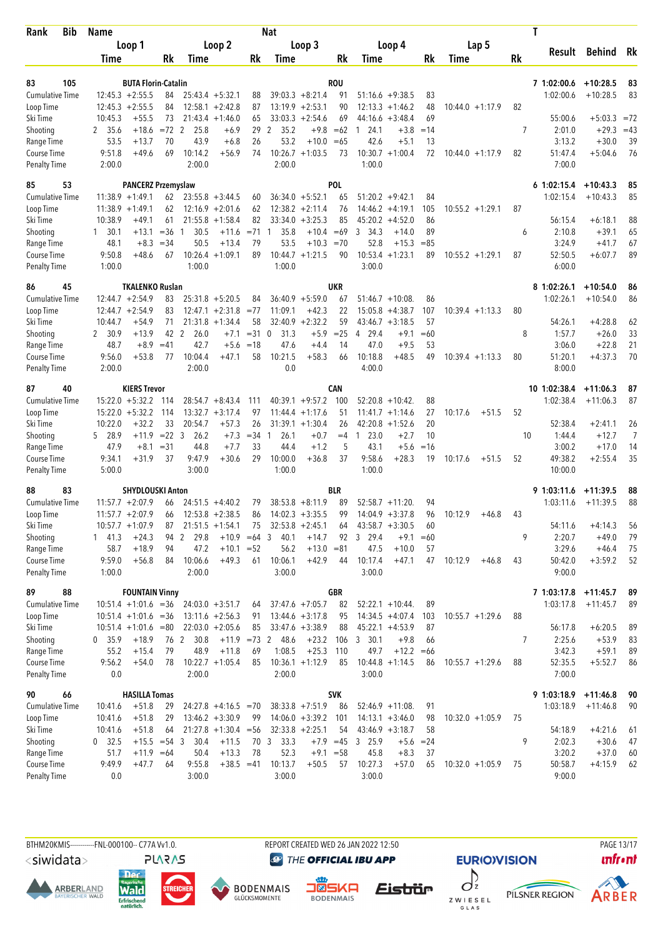| Bib<br><b>Rank</b>                 | <b>Name</b>        |                               | <b>Nat</b>     |                        |                                              |          |                   |                                          |                |                                          |             |                    | T  |                       |            |          |
|------------------------------------|--------------------|-------------------------------|----------------|------------------------|----------------------------------------------|----------|-------------------|------------------------------------------|----------------|------------------------------------------|-------------|--------------------|----|-----------------------|------------|----------|
|                                    |                    | Loop 1                        |                |                        | Loop 2                                       |          |                   | Loop 3                                   |                | Loop 4                                   |             | Lap 5              |    |                       |            |          |
|                                    | Time               |                               | Rk             | Time                   |                                              | Rk       | Time              |                                          | Rk             | Time                                     | Rk          | Time               | Rk | Result                | Behind     | Rk       |
|                                    |                    |                               |                |                        |                                              |          |                   |                                          |                |                                          |             |                    |    |                       |            |          |
| 83<br>105                          |                    | <b>BUTA Florin-Catalin</b>    |                |                        |                                              |          |                   |                                          | <b>ROU</b>     |                                          |             |                    |    | 7 1:02:00.6           | $+10:28.5$ | 83       |
| <b>Cumulative Time</b>             |                    | $12:45.3 + 2:55.5$            | 84             |                        | $25:43.4 + 5:32.1$                           | 88       |                   | $39:03.3 + 8:21.4$                       | 91             | $51:16.6 + 9:38.5$                       | 83          |                    |    | 1:02:00.6             | $+10:28.5$ | 83       |
| Loop Time                          |                    | $12:45.3 + 2:55.5$<br>$+55.5$ | 84<br>73       |                        | $12:58.1 + 2:42.8$<br>$21:43.4 +1:46.0$      | 87       |                   | $13:19.9 + 2:53.1$<br>$33:03.3 + 2:54.6$ | 90<br>69       | 12:13.3<br>$+1:46.2$<br>$+3:48.4$        | 48<br>69    | $10:44.0 + 1:17.9$ | 82 | 55:00.6               | $+5:03.3$  | $= 72$   |
| Ski Time                           | 10:45.3<br>2 35.6  | $+18.6$                       | $=72$ 2        | 25.8                   |                                              | 65<br>29 | 35.2              | $+9.8$                                   |                | 44:16.6<br>24.1<br>1                     | $=14$       |                    | 7  | 2:01.0                | $+29.3$    | $=43$    |
| Shooting<br>Range Time             | 53.5               | $+13.7$                       | 70             | 43.9                   | +6.9<br>$+6.8$                               | 26       | 2<br>53.2         | $+10.0$                                  | $=62$<br>$=65$ | $+3.8$<br>42.6<br>$+5.1$                 | 13          |                    |    | 3:13.2                | $+30.0$    | 39       |
| Course Time                        | 9:51.8             | $+49.6$                       | 69             | 10:14.2                | $+56.9$                                      | 74       |                   | $10:26.7 + 1:03.5$                       | 73             | $10:30.7 + 1:00.4$                       | 72          | $10:44.0 + 1:17.9$ | 82 | 51:47.4               | $+5:04.6$  | 76       |
| Penalty Time                       | 2:00.0             |                               |                | 2:00.0                 |                                              |          | 2:00.0            |                                          |                | 1:00.0                                   |             |                    |    | 7:00.0                |            |          |
| 53<br>85                           |                    | <b>PANCERZ Przemyslaw</b>     |                |                        |                                              |          |                   |                                          | <b>POL</b>     |                                          |             |                    |    | $6$ 1:02:15.4         | $+10:43.3$ | 85       |
| <b>Cumulative Time</b>             |                    | $11:38.9 + 1:49.1$            | 62             |                        | $23:55.8 + 3:44.5$                           | 60       |                   | $36:34.0 + 5:52.1$                       | 65             | $51:20.2 +9:42.1$                        | 84          |                    |    | 1:02:15.4             | $+10:43.3$ | 85       |
| Loop Time                          |                    | $11:38.9 + 1:49.1$            | 62             |                        | $12:16.9 + 2:01.6$                           | 62       |                   | $12:38.2 + 2:11.4$                       | 76             | 14:46.2<br>$+4:19.1$                     | 105         | $10:55.2 + 1:29.1$ | 87 |                       |            |          |
| Ski Time                           | 10:38.9            | $+49.1$                       | 61             | 21:55.8                | $+1:58.4$                                    | 82       | 33:34.0           | $+3:25.3$                                | 85             | 45:20.2<br>$+4:52.0$                     | 86          |                    |    | 56:15.4               | $+6:18.1$  | 88       |
| Shooting                           | $1 \quad 30.1$     | $+13.1$                       | $= 36$         | 30.5<br>-1             | $+11.6$                                      | $= 71$   | 35.8<br>1         | $+10.4 = 69$                             |                | 34.3<br>$+14.0$<br>3                     | 89          |                    | 6  | 2:10.8                | $+39.1$    | 65       |
| Range Time                         | 48.1               | $+8.3$                        | $=34$          | 50.5                   | $+13.4$                                      | 79       | 53.5              | $+10.3$                                  | $=70$          | 52.8<br>$+15.3$                          | $= 85$      |                    |    | 3:24.9                | $+41.7$    | 67       |
| Course Time                        | 9:50.8             | $+48.6$                       | 67             |                        | $10:26.4 + 1:09.1$                           | 89       |                   | $10:44.7 + 1:21.5$                       | 90             | $10:53.4 + 1:23.1$                       | 89          | $10:55.2 + 1:29.1$ | 87 | 52:50.5               | $+6:07.7$  | 89       |
| Penalty Time                       | 1:00.0             |                               |                | 1:00.0                 |                                              |          | 1:00.0            |                                          |                | 3:00.0                                   |             |                    |    | 6:00.0                |            |          |
| 86<br>45                           |                    | <b>TKALENKO Ruslan</b>        |                |                        |                                              |          |                   |                                          | <b>UKR</b>     |                                          |             |                    |    | 8 1:02:26.1           | $+10:54.0$ | 86       |
| <b>Cumulative Time</b>             |                    | $12:44.7 + 2:54.9$            | 83             |                        | $25:31.8 + 5:20.5$                           | 84       |                   | $36:40.9 + 5:59.0$                       | 67             | $51:46.7 + 10:08$                        | 86          |                    |    | 1:02:26.1             | $+10:54.0$ | 86       |
| Loop Time                          |                    | $12:44.7 + 2:54.9$            | 83             |                        | $12:47.1 + 2:31.8$                           | $= 77$   | 11:09.1           | $+42.3$                                  | 22             | 15:05.8<br>$+4:38.7$                     | 107         | $10:39.4 +1:13.3$  | 80 |                       |            |          |
| Ski Time                           | 10:44.7            | $+54.9$                       | 71             |                        | $21:31.8 + 1:34.4$                           | 58       |                   | $32:40.9 + 2:32.2$                       | 59             | $43:46.7 + 3:18.5$                       | 57          |                    |    | 54:26.1               | $+4:28.8$  | 62       |
| Shooting                           | 2 30.9             | $+13.9$                       | 42             | $\overline{2}$<br>26.0 | $+7.1$                                       | $=310$   | 31.3              | $+5.9$                                   | $=25$          | 29.4<br>$+9.1$<br>$\overline{4}$         | $=60$       |                    | 8  | 1:57.7                | $+26.0$    | 33       |
| Range Time                         | 48.7               | $+8.9$                        | $=41$          | 42.7                   | $+5.6$                                       | $=18$    | 47.6              | $+4.4$                                   | 14             | 47.0<br>$+9.5$                           | 53          |                    |    | 3:06.0                | $+22.8$    | 21       |
| Course Time                        | 9:56.0             | $+53.8$                       | 77             | 10:04.4                | $+47.1$                                      | 58       | 10:21.5           | $+58.3$                                  | 66             | 10:18.8<br>$+48.5$                       | 49          | $10:39.4 +1:13.3$  | 80 | 51:20.1               | $+4:37.3$  | 70       |
| <b>Penalty Time</b>                | 2:00.0             |                               |                | 2:00.0                 |                                              |          | 0.0               |                                          |                | 4:00.0                                   |             |                    |    | 8:00.0                |            |          |
| 87<br>40                           |                    | <b>KIERS Trevor</b>           |                |                        |                                              |          |                   |                                          | <b>CAN</b>     |                                          |             |                    |    | 10 1:02:38.4          | $+11:06.3$ | 87       |
| <b>Cumulative Time</b>             |                    | $15:22.0 + 5:32.2$            | 114            |                        | $28:54.7 + 8:43.4$                           | 111      |                   | $40:39.1 + 9:57.2$                       | 100            | 52:20.8<br>$+10:42.$                     | 88          |                    |    | 1:02:38.4             | $+11:06.3$ | 87       |
| Loop Time                          | 15:22.0            | $+5:32.2$                     | 114            |                        | $13:32.7 + 3:17.4$                           | 97       |                   | $11:44.4 + 1:17.6$                       | 51             | $+1:14.6$<br>11:41.7                     | 27          | 10:17.6<br>$+51.5$ | 52 |                       |            |          |
| Ski Time                           | 10:22.0            | $+32.2$                       | 33             | 20:54.7                | $+57.3$                                      | 26       |                   | $31:39.1 + 1:30.4$                       | 26             | 42:20.8<br>$+1:52.6$                     | 20          |                    |    | 52:38.4               | $+2:41.1$  | 26       |
| Shooting                           | 5 28.9             | $+11.9$                       | $= 22 \quad 3$ | 26.2                   | $+7.3$                                       | $= 34$   | 26.1<br>1         | $+0.7$                                   | $=4$           | 23.0<br>$+2.7$<br>$\mathbf{1}$           | 10          |                    | 10 | 1:44.4                | $+12.7$    | 7        |
| Range Time                         | 47.9               | $+8.1$                        | $=31$          | 44.8                   | $+7.7$                                       | 33       | 44.4              | $+1.2$                                   | 5              | 43.1<br>$+5.6$                           | $=16$       |                    |    | 3:00.2                | $+17.0$    | 14       |
| Course Time                        | 9:34.1             | $+31.9$                       | 37             | 9:47.9                 | $+30.6$                                      | 29       | 10:00.0           | $+36.8$                                  | 37             | 9:58.6<br>$+28.3$                        | 19          | 10:17.6<br>$+51.5$ | 52 | 49:38.2               | $+2:55.4$  | 35       |
| Penalty Time                       | 5:00.0             |                               |                | 3:00.0                 |                                              |          | 1:00.0            |                                          |                | 1:00.0                                   |             |                    |    | 10:00.0               |            |          |
| 83<br>88                           |                    | <b>SHYDLOUSKI Anton</b>       |                |                        |                                              |          |                   |                                          | BLR            |                                          |             |                    |    | 9 1:03:11.6           | $+11:39.5$ | 88       |
| <b>Cumulative Time</b>             |                    | $11:57.7 + 2:07.9$            | 66             |                        | $24:51.5 +4:40.2$                            | 79       |                   | $38:53.8 + 8:11.9$                       | 89             | 52:58.7 +11:20.                          | 94          |                    |    | 1:03:11.6             | $+11:39.5$ | 88       |
| Loop Time                          |                    | $11:57.7 + 2:07.9$            | 66             |                        | $12:53.8 + 2:38.5$                           | 86       |                   | $14:02.3 + 3:35.5$                       | 99             | $14:04.9 + 3:37.8$                       | 96          | 10:12.9<br>$+46.8$ | 43 |                       |            |          |
| Ski Time                           |                    | $10:57.7 + 1:07.9$            | 87             |                        | $21:51.5 + 1:54.1$                           | 75       |                   | $32:53.8 + 2:45.1$                       | 64             | $43:58.7 + 3:30.5$                       | 60          |                    |    | 54:11.6               | $+4:14.3$  | 56       |
| Shooting                           | $1 \quad 41.3$     | $+24.3$                       |                | 29.8<br>94 2           | $+10.9 = 64$ 3                               |          | 40.1              | $+14.7$                                  | 92             | 3 29.4<br>$+9.1$                         | $=60$       |                    | 9  | 2:20.7                | $+49.0$    | 79       |
| Range Time                         | 58.7               | $+18.9$                       | 94             | 47.2                   | $+10.1 = 52$                                 |          | 56.2              | $+13.0 = 81$                             |                | 47.5<br>$+10.0$                          | 57          |                    |    | 3:29.6                | $+46.4$    | 75       |
| Course Time<br><b>Penalty Time</b> | 9:59.0<br>1:00.0   | $+56.8$                       | 84             | 10:06.6<br>2:00.0      | $+49.3$                                      | 61       | 10:06.1<br>3:00.0 | $+42.9$                                  | 44             | 10:17.4<br>$+47.1$<br>3:00.0             | 47          | 10:12.9<br>$+46.8$ | 43 | 50:42.0<br>9:00.0     | $+3:59.2$  | 52       |
|                                    |                    |                               |                |                        |                                              |          |                   |                                          |                |                                          |             |                    |    |                       |            |          |
| 89<br>88                           |                    | <b>FOUNTAIN Vinny</b>         |                |                        |                                              |          |                   |                                          | GBR            |                                          |             |                    |    | 7 1:03:17.8 +11:45.7  |            | 89       |
| <b>Cumulative Time</b>             |                    | $10:51.4 +1:01.6 = 36$        |                |                        | $24:03.0 +3:51.7$                            | 64       |                   | $37:47.6 + 7:05.7$                       | 82             | $52:22.1 + 10:44$ .                      | 89          |                    |    | 1:03:17.8             | $+11:45.7$ | 89       |
| Loop Time                          |                    | $10:51.4 +1:01.6 = 36$        |                |                        | $13:11.6 + 2:56.3$                           | 91       |                   | $13:44.6 + 3:17.8$                       | 95             | $14:34.5 + 4:07.4$                       | 103         | $10:55.7 + 1:29.6$ | 88 |                       |            |          |
| Ski Time                           |                    | $10:51.4 +1:01.6 = 80$        |                |                        | $22:03.0 + 2:05.6$                           | 85       |                   | $33:47.6 + 3:38.9$                       | 88             | $45:22.1 +4:53.9$                        | 87          |                    |    | 56:17.8               | $+6:20.5$  | 89       |
| Shooting                           | 0 35.9             | $+18.9$                       | 76 2           | 30.8                   | $+11.9$ =73 2                                |          | 48.6              | $+23.2$                                  |                | 106 3 30.1<br>$+9.8$                     | 66          |                    | 7  | 2:25.6                | $+53.9$    | 83       |
| Range Time                         | 55.2<br>9:56.2     | $+15.4$                       | 79             | 48.9                   | $+11.8$                                      | 69       | 1:08.5            | $+25.3$                                  | 110            | 49.7<br>$+12.2 = 66$                     |             |                    | 88 | 3:42.3                | $+59.1$    | 89       |
| Course Time<br><b>Penalty Time</b> | 0.0                | $+54.0$                       | 78             | 2:00.0                 | $10:22.7 +1:05.4$                            | 85       | 2:00.0            | $10:36.1 + 1:12.9$                       | 85             | $10:44.8 + 1:14.5$<br>3:00.0             | 86          | $10:55.7 + 1:29.6$ |    | 52:35.5<br>7:00.0     | $+5:52.7$  | 86       |
|                                    |                    |                               |                |                        |                                              |          |                   |                                          |                |                                          |             |                    |    |                       |            |          |
| 90<br>66                           |                    | <b>HASILLA Tomas</b>          |                |                        |                                              |          |                   |                                          | <b>SVK</b>     |                                          |             |                    |    | $91:03:18.9 +11:46.8$ |            | 90       |
| <b>Cumulative Time</b>             | 10:41.6            | $+51.8$                       | 29             |                        | $24:27.8 +4:16.5 = 70$                       |          |                   | $38:33.8 + 7:51.9$                       | 86             | $52:46.9 +11:08$                         | 91          |                    |    | 1:03:18.9             | $+11:46.8$ | 90       |
| Loop Time<br>Ski Time              | 10:41.6<br>10:41.6 | $+51.8$<br>$+51.8$            | 29<br>64       |                        | $13:46.2 + 3:30.9$<br>$21:27.8 +1:30.4 = 56$ | 99       |                   | $14:06.0 + 3:39.2$<br>$32:33.8 + 2:25.1$ | 101<br>54      | $14:13.1 + 3:46.0$<br>$43:46.9 + 3:18.7$ | 98<br>58    | $10:32.0 + 1:05.9$ | 75 | 54:18.9               | $+4:21.6$  |          |
| Shooting                           | $0\quad 32.5$      | $+15.5 = 54$ 3                |                | 30.4                   | $+11.5$                                      | 70 3     | 33.3              |                                          |                | $+7.9$ =45 3 25.9                        | $+5.6 = 24$ |                    | 9  | 2:02.3                | $+30.6$    | 61<br>47 |
| Range Time                         | 51.7               | $+11.9 = 64$                  |                | 50.4                   | $+13.3$                                      | 78       | 52.3              | $+9.1 = 58$                              |                | 45.8<br>$+8.3$                           | 37          |                    |    | 3:20.2                | $+37.0$    | 60       |
| Course Time                        | 9:49.9             | $+47.7$                       | 64             | 9:55.8                 | $+38.5 = 41$                                 |          | 10:13.7           | $+50.5$                                  | 57             | 10:27.3<br>$+57.0$                       | 65          | $10:32.0 +1:05.9$  | 75 | 50:58.7               | $+4:15.9$  | 62       |
| <b>Penalty Time</b>                | 0.0                |                               |                | 3:00.0                 |                                              |          | 3:00.0            |                                          |                | 3:00.0                                   |             |                    |    | 9:00.0                |            |          |
|                                    |                    |                               |                |                        |                                              |          |                   |                                          |                |                                          |             |                    |    |                       |            |          |

BTHM20KMIS-----------FNL-000100-- C77A Vv1.0. REPORT CREATED WED 26 JAN 2022 12:50 PAGE 13/17

<siwidata>

**ARBERLAND** 







**@** THE OFFICIAL IBU APP

Eistrür



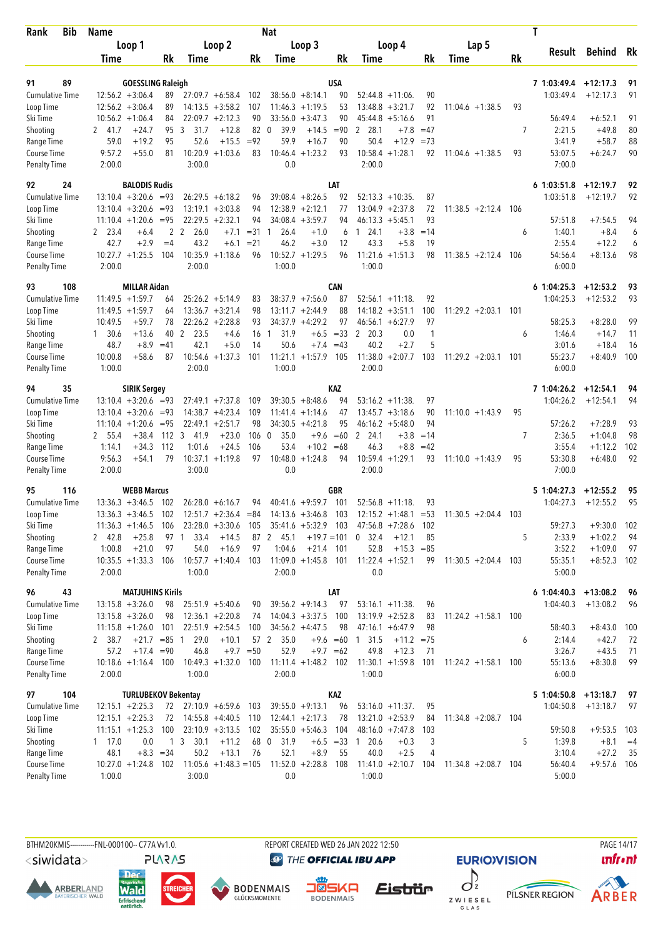| Bib<br>Rank                         | <b>Name</b>      |                                                |             |                         |                                          |             | <b>Nat</b>           |                                         |                     |                                                         |          |                        |     | T                      |                          |          |
|-------------------------------------|------------------|------------------------------------------------|-------------|-------------------------|------------------------------------------|-------------|----------------------|-----------------------------------------|---------------------|---------------------------------------------------------|----------|------------------------|-----|------------------------|--------------------------|----------|
|                                     |                  | Loop 1                                         |             |                         | Loop 2                                   |             |                      | Loop 3                                  |                     | Loop 4                                                  |          | Lap 5                  |     |                        |                          |          |
|                                     | Time             |                                                | Rk          | Time                    |                                          | Rk          | Time                 |                                         | Rk                  | Time                                                    | Rk       | <b>Time</b>            | Rk  | Result                 | Behind Rk                |          |
|                                     |                  |                                                |             |                         |                                          |             |                      |                                         |                     |                                                         |          |                        |     |                        |                          |          |
| 91<br>89                            |                  | <b>GOESSLING Raleigh</b><br>$12:56.2 + 3:06.4$ |             |                         |                                          |             |                      |                                         | USA                 |                                                         |          |                        |     | 7 1:03:49.4            | $+12:17.3$<br>$+12:17.3$ | 91       |
| <b>Cumulative Time</b><br>Loop Time |                  | $12:56.2 + 3:06.4$                             | 89<br>89    |                         | $27:09.7 + 6:58.4$<br>$14:13.5 + 3:58.2$ | 102<br>107  |                      | $38:56.0 + 8:14.1$<br>$11:46.3 +1:19.5$ | 90<br>53            | $52:44.8 + 11:06$<br>$13:48.8 + 3:21.7$                 | 90<br>92 | $11:04.6 + 1:38.5$     | 93  | 1:03:49.4              |                          | 91       |
| Ski Time                            |                  | $10:56.2 + 1:06.4$                             | 84          |                         | $22:09.7 + 2:12.3$                       | 90          |                      | $33:56.0 + 3:47.3$                      | 90                  | $45:44.8 + 5:16.6$                                      | 91       |                        |     | 56:49.4                | $+6:52.1$                | 91       |
| Shooting                            | 2 41.7           | $+24.7$                                        | 95          | 3<br>31.7               | $+12.8$                                  | 82          | 39.9<br>$\mathbf{0}$ | $+14.5$                                 | $= 90$              | 2 28.1<br>$+7.8$                                        | $=47$    |                        | 7   | 2:21.5                 | $+49.8$                  | 80       |
| Range Time                          | 59.0             | $+19.2$                                        | 95          | 52.6                    | $+15.5$                                  | $= 92$      | 59.9                 | $+16.7$                                 | 90                  | 50.4<br>$+12.9$                                         | $=73$    |                        |     | 3:41.9                 | $+58.7$                  | 88       |
| Course Time                         | 9:57.2           | $+55.0$                                        | 81          |                         | $10:20.9 + 1:03.6$                       | 83          |                      | $10:46.4 + 1:23.2$                      | 93                  | $10:58.4 + 1:28.1$                                      | 92       | $11:04.6 + 1:38.5$     | 93  | 53:07.5                | $+6:24.7$                | 90       |
| <b>Penalty Time</b>                 | 2:00.0           |                                                |             | 3:00.0                  |                                          |             | 0.0                  |                                         |                     | 2:00.0                                                  |          |                        |     | 7:00.0                 |                          |          |
| 92<br>24                            |                  | <b>BALODIS Rudis</b>                           |             |                         |                                          |             |                      |                                         | LAT                 |                                                         |          |                        |     | $6$ 1:03:51.8          | $+12:19.7$               | 92       |
| <b>Cumulative Time</b>              |                  | $13:10.4 + 3:20.6 = 93$                        |             |                         | $26:29.5 + 6:18.2$                       | 96          |                      | $39:08.4 + 8:26.5$                      | 92                  | $52:13.3 + 10:35$                                       | 87       |                        |     | 1:03:51.8              | $+12:19.7$               | 92       |
| Loop Time                           |                  | $13:10.4 + 3:20.6$                             | $= 93$      |                         | $13:19.1 + 3:03.8$                       | 94          |                      | $12:38.9 + 2:12.1$                      | 77                  | $13:04.9 + 2:37.8$                                      | 72       | $11:38.5 +2:12.4$      | 106 |                        |                          |          |
| Ski Time                            |                  | $11:10.4 + 1:20.6 = 95$                        |             |                         | $22:29.5 + 2:32.1$                       | 94          |                      | $34:08.4 + 3:59.7$                      | 94                  | $46:13.3 + 5:45.1$                                      | 93       |                        |     | 57:51.8                | $+7:54.5$                | 94       |
| Shooting                            | 2 23.4           | $+6.4$                                         |             | 2 <sub>2</sub><br>26.0  | $+7.1$                                   | $= 31$      | 26.4<br>1            | $+1.0$                                  | 6                   | 124.1<br>$+3.8$                                         | $=14$    |                        | 6   | 1:40.1                 | $+8.4$                   | 6        |
| Range Time                          | 42.7             | $+2.9$                                         | $=4$        | 43.2                    | $+6.1$                                   | $= 21$      | 46.2                 | $+3.0$                                  | 12                  | 43.3<br>$+5.8$                                          | 19       |                        |     | 2:55.4                 | $+12.2$                  | 6        |
| Course Time                         |                  | $10:27.7 + 1:25.5$                             | 104         |                         | $10:35.9 +1:18.6$                        | 96          | 10:52.7              | $+1:29.5$                               | 96                  | $11:21.6 + 1:51.3$                                      | 98       | $11:38.5 +2:12.4$      | 106 | 54:56.4                | $+8:13.6$                | 98       |
| <b>Penalty Time</b>                 | 2:00.0           |                                                |             | 2:00.0                  |                                          |             | 1:00.0               |                                         |                     | 1:00.0                                                  |          |                        |     | 6:00.0                 |                          |          |
| 93<br>108                           |                  | <b>MILLAR Aidan</b>                            |             |                         |                                          |             |                      |                                         | <b>CAN</b>          |                                                         |          |                        |     | 61:04:25.3             | $+12:53.2$               | 93       |
| <b>Cumulative Time</b>              |                  | $11:49.5 +1:59.7$                              | 64          |                         | $25:26.2 + 5:14.9$                       | 83          |                      | $38:37.9 +7:56.0$                       | 87                  | $52:56.1 + 11:18$ .                                     | 92       |                        |     | 1:04:25.3              | $+12:53.2$               | 93       |
| Loop Time                           |                  | $11:49.5 + 1:59.7$                             | 64          |                         | $13:36.7 + 3:21.4$                       | 98          |                      | $13:11.7 + 2:44.9$                      | 88                  | $14:18.2 + 3:51.1$                                      | 100      | $11:29.2 + 2:03.1$ 101 |     |                        |                          |          |
| Ski Time                            | 10:49.5          | $+59.7$                                        | 78          |                         | $22:26.2 +2:28.8$                        | 93          |                      | $34:37.9 + 4:29.2$                      | 97                  | $46:56.1 + 6:27.9$                                      | 97       |                        |     | 58:25.3                | $+8:28.0$                | 99       |
| Shooting                            | 1, 30.6          | $+13.6$                                        | 40          | 2<br>23.5               | $+4.6$                                   | 16          | 31.9<br>$\mathbf{1}$ | $+6.5$                                  | $=33$               | 2<br>20.3<br>0.0                                        | 1        |                        | 6   | 1:46.4                 | $+14.7$                  | 11       |
| Range Time                          | 48.7             | $+8.9$                                         | $=41$       | 42.1                    | $+5.0$                                   | 14          | 50.6                 |                                         | $+7.4 = 43$         | 40.2<br>$+2.7$                                          | 5        |                        |     | 3:01.6                 | $+18.4$                  | 16       |
| Course Time                         | 10:00.8          | $+58.6$                                        | 87          |                         | $10:54.6 + 1:37.3$                       | 101         |                      | $11:21.1 + 1:57.9$                      | 105                 | $11:38.0 + 2:07.7$                                      | 103      | $11:29.2 + 2:03.1$     | 101 | 55:23.7                | $+8:40.9$                | 100      |
| <b>Penalty Time</b>                 | 1:00.0           |                                                |             | 2:00.0                  |                                          |             | 1:00.0               |                                         |                     | 2:00.0                                                  |          |                        |     | 6:00.0                 |                          |          |
| 94<br>35                            |                  | <b>SIRIK Sergey</b>                            |             |                         |                                          |             |                      |                                         | KAZ                 |                                                         |          |                        |     | 7 1:04:26.2            | $+12:54.1$               | 94       |
| <b>Cumulative Time</b>              |                  | $13:10.4 + 3:20.6 = 93$                        |             |                         | $27:49.1 + 7:37.8$                       | 109         |                      | $39:30.5 + 8:48.6$                      | 94                  | $53:16.2 +11:38$                                        | 97       |                        |     | 1:04:26.2              | $+12:54.1$               | 94       |
| Loop Time                           |                  | $13:10.4 + 3:20.6 = 93$                        |             |                         | $14:38.7 + 4:23.4$                       | 109         |                      | $11:41.4 + 1:14.6$                      | 47                  | $13:45.7 + 3:18.6$                                      | 90       | $11:10.0 + 1:43.9$     | 95  |                        |                          |          |
| Ski Time                            |                  | $11:10.4 + 1:20.6$                             | $= 95$      |                         | $22:49.1 + 2:51.7$                       | 98          |                      | $34:30.5 +4:21.8$                       | 95                  | $46:16.2 + 5:48.0$                                      | 94       |                        |     | 57:26.2                | $+7:28.9$                | 93       |
| Shooting                            | 2 55.4           | $+38.4$                                        | 112         | $\overline{3}$<br>41.9  | $+23.0$                                  | 106         | 35.0<br>$\mathbf{0}$ | $+9.6$                                  | $=60$               | 2 24.1<br>$+3.8$                                        | $=14$    |                        | 7   | 2:36.5                 | $+1:04.8$                | 98       |
| Range Time                          | 1:14.1           | $+34.3$                                        | 112         | 1:01.6                  | $+24.5$                                  | 106         | 53.4                 | $+10.2 = 68$                            |                     | 46.3<br>$+8.8$                                          | $=42$    |                        |     | 3:55.4                 | $+1:12.2$                | 102      |
| Course Time<br>Penalty Time         | 9:56.3<br>2:00.0 | $+54.1$                                        | 79          | 3:00.0                  | $10:37.1 + 1:19.8$                       | 97          | 10:48.0<br>0.0       | $+1:24.8$                               | 94                  | $10:59.4 + 1:29.1$<br>2:00.0                            | 93       | $11:10.0 + 1:43.9$     | 95  | 53:30.8<br>7:00.0      | $+6:48.0$                | 92       |
|                                     |                  |                                                |             |                         |                                          |             |                      |                                         |                     |                                                         |          |                        |     |                        |                          |          |
| 95<br>116                           |                  | <b>WEBB Marcus</b>                             |             |                         |                                          |             |                      |                                         | GBR                 |                                                         |          |                        |     | 5 1:04:27.3            | $+12:55.2$               | 95       |
| <b>Cumulative Time</b>              |                  | $13:36.3 + 3:46.5$                             | 102         |                         | $26:28.0 + 6:16.7$                       | 94          |                      | $40:41.6 + 9:59.7$                      | 101                 | $52:56.8 + 11:18$                                       | 93       |                        |     | 1:04:27.3              | $+12:55.2$               | 95       |
| Loop Time                           |                  | $13:36.3 + 3:46.5$                             | 102         |                         | $12:51.7 + 2:36.4 = 84$                  |             |                      | $14:13.6 + 3:46.8$                      | 103                 | $12:15.2 +1:48.1 = 53$                                  |          | $11:30.5 +2:04.4$ 103  |     |                        |                          |          |
| Ski Time                            |                  | $11:36.3 + 1:46.5$                             | 106         |                         |                                          |             |                      |                                         |                     | 23:28.0 +3:30.6 105 35:41.6 +5:32.9 103 47:56.8 +7:28.6 | 102      |                        |     | 59:27.3                | $+9:30.0$                | 102      |
| Shooting<br>Range Time              | 2 42.8<br>1:00.8 | $+25.8$<br>$+21.0$                             | 97          | 33.4<br>97 1<br>54.0    | $+14.5$<br>$+16.9$                       | 97          | 87 2 45.1<br>1:04.6  | $+21.4$ 101                             |                     | $+19.7 = 101$ 0 32.4<br>$+12.1$<br>$+15.3 = 85$<br>52.8 | 85       |                        | 5   | 2:33.9<br>3:52.2       | $+1:02.2$<br>$+1:09.0$   | 94<br>97 |
| Course Time                         |                  | $10:35.5 + 1:33.3$ 106                         |             |                         | $10:57.7 + 1:40.4$ 103                   |             |                      | $11:09.0 + 1:45.8$ 101                  |                     | $11:22.4 +1:52.1$                                       | 99       | $11:30.5 +2:04.4$ 103  |     | 55:35.1                | $+8:52.3$ 102            |          |
| <b>Penalty Time</b>                 | 2:00.0           |                                                |             | 1:00.0                  |                                          |             | 2:00.0               |                                         |                     | 0.0                                                     |          |                        |     | 5:00.0                 |                          |          |
| 96<br>43                            |                  | <b>MATJUHINS Kirils</b>                        |             |                         |                                          |             |                      |                                         | LAT                 |                                                         |          |                        |     | $6$ 1:04:40.3 +13:08.2 |                          | 96       |
| <b>Cumulative Time</b>              |                  | $13:15.8 + 3:26.0$                             | 98          |                         | $25:51.9 + 5:40.6$                       | 90          |                      | $39:56.2 +9:14.3$                       | 97                  | $53:16.1 + 11:38$ .                                     | 96       |                        |     | 1:04:40.3              | $+13:08.2$               | - 96     |
| Loop Time                           |                  | $13:15.8 + 3:26.0$                             | 98          |                         | $12:36.1 + 2:20.8$                       | 74          |                      | $14:04.3 +3:37.5$                       | 100                 | $13:19.9 + 2:52.8$                                      | 83       | $11:24.2 + 1:58.1$ 100 |     |                        |                          |          |
| Ski Time                            |                  | $11:15.8 + 1:26.0$                             | 101         |                         | $22:51.9 + 2:54.5$                       | 100         |                      | $34:56.2 + 4:47.5$                      | 98                  | $47:16.1 + 6:47.9$                                      | 98       |                        |     | 58:40.3                | $+8:43.0$                | 100      |
| Shooting                            | 2 38.7           | $+21.7 = 85$ 1                                 |             | 29.0                    | $+10.1$                                  |             | 57 2<br>35.0         |                                         |                     | $+9.6 = 60 1 31.5$<br>$+11.2 = 75$                      |          |                        | 6   | 2:14.4                 | $+42.7$                  | 72       |
| Range Time                          | 57.2             | $+17.4 = 90$                                   |             | 46.8                    |                                          | $+9.7 = 50$ | 52.9                 | $+9.7 = 62$                             |                     | 49.8<br>$+12.3$                                         | 71       |                        |     | 3:26.7                 | $+43.5$                  | 71       |
| Course Time                         |                  | $10:18.6 + 1:16.4$ 100                         |             |                         | $10:49.3 + 1:32.0$ 100                   |             |                      | $11:11.4 + 1:48.2$ 102                  |                     | $11:30.1 + 1:59.8$ 101                                  |          | $11:24.2 + 1:58.1$ 100 |     | 55:13.6                | $+8:30.8$                | 99       |
| <b>Penalty Time</b>                 | 2:00.0           |                                                |             | 1:00.0                  |                                          |             | 2:00.0               |                                         |                     | 1:00.0                                                  |          |                        |     | 6:00.0                 |                          |          |
| 97<br>104                           |                  | <b>TURLUBEKOV Bekentay</b>                     |             |                         |                                          |             |                      |                                         | KAZ                 |                                                         |          |                        |     | $51:04:50.8 +13:18.7$  |                          | 97       |
| <b>Cumulative Time</b>              |                  | $12:15.1 + 2:25.3$                             |             | 72 27:10.9 +6:59.6 103  |                                          |             |                      | $39:55.0 + 9:13.1$                      | 96                  | $53:16.0 + 11:37$ .                                     | 95       |                        |     | 1:04:50.8              | $+13:18.7$               | 97       |
| Loop Time                           |                  | $12:15.1 + 2:25.3$                             |             | 72 14:55.8 +4:40.5 110  |                                          |             |                      | $12:44.1 + 2:17.3$                      | 78                  | $13:21.0 + 2:53.9$                                      | 84       | $11:34.8 + 2:08.7$ 104 |     |                        |                          |          |
| Ski Time                            |                  | $11:15.1 + 1:25.3$                             | 100         |                         | $23:10.9 + 3:13.5$ 102                   |             |                      | $35:55.0 + 5:46.3$                      | 104                 | $48:16.0 +7:47.8$                                       | 103      |                        |     | 59:50.8                | $+9:53.5$                | - 103    |
| Shooting                            | 1 17.0           | 0.0                                            |             | 1 <sub>3</sub><br>30.1  | $+11.2$                                  |             | 68 0<br>31.9         |                                         | $+6.5 = 33 \quad 1$ | 20.6<br>$+0.3$                                          | 3        |                        | 5   | 1:39.8                 | $+8.1$                   | $=4$     |
| Range Time                          | 48.1             |                                                | $+8.3 = 34$ | 50.2                    | $+13.1$                                  | 76          | 52.1                 | $+8.9$                                  | 55                  | 40.0<br>$+2.5$                                          | 4        |                        |     | 3:10.4                 | $+27.2$                  | -35      |
| Course Time                         |                  | $10:27.0 +1:24.8$ 102                          |             | $11:05.6 +1:48.3 = 105$ |                                          |             |                      | $11:52.0 +2:28.8$                       | 108                 | $11:41.0 + 2:10.7$ 104                                  |          | $11:34.8 + 2:08.7$ 104 |     | 56:40.4                | $+9:57.6$ 106            |          |
| <b>Penalty Time</b>                 | 1:00.0           |                                                |             | 3:00.0                  |                                          |             | 0.0                  |                                         |                     | 1:00.0                                                  |          |                        |     | 5:00.0                 |                          |          |
|                                     |                  |                                                |             |                         |                                          |             |                      |                                         |                     |                                                         |          |                        |     |                        |                          |          |

BTHM20KMIS-----------FNL-000100-- C77A Vv1.0. REPORT CREATED WED 26 JAN 2022 12:50 PAGE 14/17

<siwidata>

**ARBERLAND** 







**@** THE OFFICIAL IBU APP

Eistrür



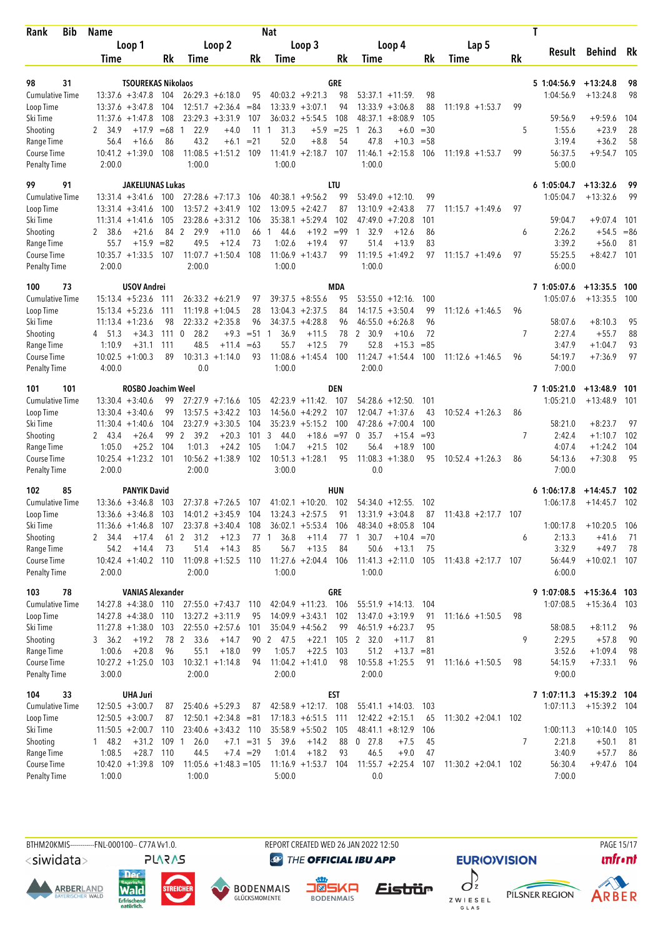| <b>Bib</b><br>Rank                  | Name                                            | <b>Nat</b> |                                                |                |                                              |            |                                           |           | T                      |     |                          |                          |          |  |  |
|-------------------------------------|-------------------------------------------------|------------|------------------------------------------------|----------------|----------------------------------------------|------------|-------------------------------------------|-----------|------------------------|-----|--------------------------|--------------------------|----------|--|--|
|                                     | Loop 1                                          |            | Loop 2                                         |                | Loop 3                                       |            | Loop 4                                    |           | Lap 5                  |     |                          |                          | - Rk     |  |  |
|                                     | Time                                            | Rk         | Time                                           | Rk             | Time                                         | Rk         | Time                                      | Rk        | Time                   | Rk  | Result                   | Behind                   |          |  |  |
|                                     |                                                 |            |                                                |                |                                              |            |                                           |           |                        |     |                          |                          |          |  |  |
| 98<br>31<br><b>Cumulative Time</b>  | <b>TSOUREKAS Nikolaos</b><br>$13:37.6 + 3:47.8$ | 104        | $26:29.3 + 6:18.0$                             | 95             | $40:03.2 +9:21.3$                            | GRE<br>98  | $53:37.1 + 11:59$                         | 98        |                        |     | 5 1:04:56.9<br>1:04:56.9 | $+13:24.8$<br>$+13:24.8$ | 98<br>98 |  |  |
| Loop Time                           | $13:37.6 + 3:47.8$                              | 104        | $12:51.7 + 2:36.4 = 84$                        |                | $13:33.9 + 3:07.1$                           | 94         | $13:33.9 + 3:06.8$                        | 88        | $11:19.8 + 1:53.7$     | 99  |                          |                          |          |  |  |
| Ski Time                            | $11:37.6 + 1:47.8$                              | 108        | $23:29.3 + 3:31.9$                             | 107            | $36:03.2 + 5:54.5$                           | 108        | 48:37.1<br>$+8:08.9$                      | 105       |                        |     | 59:56.9                  | $+9:59.6$                | 104      |  |  |
| Shooting                            | 2 34.9<br>$+17.9$                               | $=68$      | 22.9<br>$+4.0$<br>$\overline{1}$               | 11             | 31.3<br>$+5.9$<br>1                          | $=25$      | 26.3<br>$+6.0$<br>1                       | $=30$     |                        | 5   | 1:55.6                   | $+23.9$                  | 28       |  |  |
| Range Time                          | 56.4<br>$+16.6$                                 | 86         | 43.2<br>$+6.1$                                 | $= 21$         | 52.0<br>$+8.8$                               | 54         | 47.8<br>$+10.3$                           | $= 58$    |                        |     | 3:19.4                   | $+36.2$                  | 58       |  |  |
| Course Time                         | $10:41.2 +1:39.0$                               | 108        | $11:08.5 + 1:51.2$                             | 109            | 11:41.9<br>$+2:18.7$                         | 107        | $11:46.1 + 2:15.8$                        | 106       | $11:19.8 + 1:53.7$     | 99  | 56:37.5                  | $+9:54.7$                | 105      |  |  |
| <b>Penalty Time</b>                 | 2:00.0                                          |            | 1:00.0                                         |                | 1:00.0                                       |            | 1:00.0                                    |           |                        |     | 5:00.0                   |                          |          |  |  |
| 91<br>99                            | <b>JAKELIUNAS Lukas</b>                         |            |                                                |                |                                              | LTU        |                                           |           |                        |     | 6 1:05:04.7              | $+13:32.6$               | 99       |  |  |
| <b>Cumulative Time</b>              | $13:31.4 + 3:41.6$                              | 100        | $27:28.6 +7:17.3$                              | 106            | $40:38.1 + 9:56.2$                           | 99         | $53:49.0 + 12:10$                         | 99        |                        |     | 1:05:04.7                | $+13:32.6$               | 99       |  |  |
| Loop Time                           | $13:31.4 + 3:41.6$                              | 100        | $13:57.2 + 3:41.9$                             | 102            | $13:09.5 + 2:42.7$                           | 87         | $13:10.9 + 2:43.8$                        | 77        | $11:15.7 + 1:49.6$     | 97  |                          |                          |          |  |  |
| Ski Time                            | $11:31.4 + 1:41.6$                              | 105        | $23:28.6 + 3:31.2$                             | 106            | $35:38.1 + 5:29.4$                           | 102        | 47:49.0<br>$+7:20.8$                      | 101       |                        |     | 59:04.7                  | $+9:07.4$                | 101      |  |  |
| Shooting                            | $+21.6$<br>38.6<br>2                            | 84         | 2<br>29.9<br>$+11.0$                           | 66             | $+19.2$<br>44.6<br>1                         | $= 99$     | 32.9<br>$+12.6$<br>1                      | 86        |                        | 6   | 2:26.2                   | $+54.5$                  | $= 86$   |  |  |
| Range Time                          | 55.7<br>$+15.9$                                 | $= 82$     | 49.5<br>$+12.4$                                | 73             | 1:02.6<br>$+19.4$                            | 97         | 51.4<br>$+13.9$                           | 83        |                        |     | 3:39.2                   | $+56.0$                  | 81       |  |  |
| Course Time<br><b>Penalty Time</b>  | $10:35.7 +1:33.5$<br>2:00.0                     | 107        | $11:07.7 + 1:50.4$<br>2:00.0                   | 108            | $11:06.9 + 1:43.7$<br>1:00.0                 | 99         | $11:19.5 + 1:49.2$<br>1:00.0              | 97        | $11:15.7 + 1:49.6$     | 97  | 55:25.5<br>6:00.0        | $+8:42.7$                | 101      |  |  |
|                                     |                                                 |            |                                                |                |                                              |            |                                           |           |                        |     |                          |                          |          |  |  |
| 73<br>100                           | <b>USOV Andrei</b>                              |            |                                                |                |                                              | MDA        |                                           |           |                        |     | 7 1:05:07.6              | $+13:35.5$               | - 100    |  |  |
| <b>Cumulative Time</b><br>Loop Time | $15:13.4 + 5:23.6$<br>$15:13.4 + 5:23.6$        | 111<br>111 | $26:33.2 + 6:21.9$<br>$11:19.8 + 1:04.5$       | 97<br>28       | $39:37.5 + 8:55.6$<br>$13:04.3 + 2:37.5$     | 95<br>84   | $53:55.0 + 12:16$<br>$14:17.5 + 3:50.4$   | 100<br>99 | $11:12.6 + 1:46.5$     | 96  | 1:05:07.6                | $+13:35.5$               | 100      |  |  |
| Ski Time                            | $11:13.4 + 1:23.6$                              | 98         | $22:33.2 +2:35.8$                              | 96             | $34:37.5 +4:28.8$                            | 96         | $+6:26.8$<br>46:55.0                      | 96        |                        |     | 58:07.6                  | $+8:10.3$                | 95       |  |  |
| Shooting                            | 4 51.3<br>$+34.3$                               | 1110       | 28.2<br>$+9.3$                                 | $= 51 \quad 1$ | 36.9<br>$+11.5$                              | 78         | 2 30.9<br>$+10.6$                         | 72        |                        | 7   | 2:27.4                   | $+55.7$                  | 88       |  |  |
| Range Time                          | 1:10.9<br>$+31.1$                               | 111        | 48.5<br>$+11.4$                                | $=63$          | 55.7<br>$+12.5$                              | 79         | 52.8<br>$+15.3$                           | $= 85$    |                        |     | 3:47.9                   | $+1:04.7$                | 93       |  |  |
| Course Time                         | $10:02.5 + 1:00.3$                              | 89         | 10:31.3<br>$+1:14.0$                           | 93             | 11:08.6<br>$+1:45.4$                         | 100        | $11:24.7 + 1:54.4$                        | 100       | $11:12.6 + 1:46.5$     | 96  | 54:19.7                  | $+7:36.9$                | 97       |  |  |
| <b>Penalty Time</b>                 | 4:00.0                                          |            | 0.0                                            |                | 1:00.0                                       |            | 2:00.0                                    |           |                        |     | 7:00.0                   |                          |          |  |  |
| 101<br>101                          | <b>ROSBO Joachim Weel</b>                       |            |                                                |                |                                              | <b>DEN</b> |                                           |           |                        |     | 7 1:05:21.0              | $+13:48.9$               | 101      |  |  |
| <b>Cumulative Time</b>              | $13:30.4 + 3:40.6$                              | 99         | $27:27.9$ +7:16.6                              | 105            | $42:23.9 +11:42$ .                           | 107        | $54:28.6 + 12:50$ .                       | 101       |                        |     | 1:05:21.0                | $+13:48.9$               | 101      |  |  |
| Loop Time                           | $13:30.4 + 3:40.6$                              | 99         | $13:57.5 + 3:42.2$                             | 103            | $14:56.0 + 4:29.2$                           | 107        | $12:04.7 +1:37.6$                         | 43        | $10:52.4 + 1:26.3$     | 86  |                          |                          |          |  |  |
| Ski Time                            | $11:30.4 + 1:40.6$                              | 104        | $23:27.9 + 3:30.5$                             | 104            | $35:23.9 + 5:15.2$                           | 100        | 47:28.6<br>$+7:00.4$                      | 100       |                        |     | 58:21.0                  | $+8:23.7$                | 97       |  |  |
| Shooting                            | 2 43.4<br>$+26.4$                               | 99         | 2<br>39.2<br>$+20.3$                           | 101            | 3<br>44.0<br>$+18.6$                         | $= 97$     | 0<br>35.7<br>$+15.4$                      | $= 93$    |                        | 7   | 2:42.4                   | $+1:10.7$                | 102      |  |  |
| Range Time                          | $+25.2$<br>1:05.0                               | 104        | 1:01.3<br>$+24.2$                              | 105            | 1:04.7<br>$+21.5$                            | 102        | 56.4<br>$+18.9$                           | 100       |                        |     | 4:07.4                   | $+1:24.2$                | 104      |  |  |
| Course Time<br><b>Penalty Time</b>  | $10:25.4 + 1:23.2$<br>2:00.0                    | 101        | $10:56.2 +1:38.9$<br>2:00.0                    | 102            | $10:51.3 + 1:28.1$<br>3:00.0                 | 95         | $11:08.3 + 1:38.0$<br>0.0                 | 95        | $10:52.4 + 1:26.3$     | 86  | 54:13.6<br>7:00.0        | $+7:30.8$                | 95       |  |  |
|                                     |                                                 |            |                                                |                |                                              |            |                                           |           |                        |     |                          |                          |          |  |  |
| 102<br>85                           | <b>PANYIK David</b>                             |            |                                                |                |                                              | HUN        |                                           |           |                        |     | 61:06:17.8               | $+14:45.7$ 102           |          |  |  |
| <b>Cumulative Time</b><br>Loop Time | $13:36.6 + 3:46.8$<br>$13:36.6 + 3:46.8$        | 103<br>103 | $27:37.8$ +7:26.5<br>$14:01.2 +3:45.9$         | 107<br>104     | $41:02.1 + 10:20$ .<br>$13:24.3 + 2:57.5$    | 102<br>91  | $54:34.0 + 12:55$ .<br>$13:31.9 + 3:04.8$ | 102<br>87 | $11:43.8 + 2:17.7$     | 107 | 1:06:17.8                | $+14:45.7$               | 102      |  |  |
| Ski Time                            | $11:36.6 + 1:46.8$                              | 107        | $23:37.8 + 3:40.4$ 108                         |                | $36:02.1 + 5:53.4$ 106                       |            | $48:34.0 + 8:05.8$ 104                    |           |                        |     | 1:00:17.8                | $+10:20.5$               | - 106    |  |  |
| Shooting                            | $+17.4$<br>2 34.4                               |            | 61 2 31.2<br>$+12.3$                           | 77 1           | 36.8<br>$+11.4$                              | 77         | 30.7<br>$+10.4 = 70$<br>$\mathbf{1}$      |           |                        | 6   | 2:13.3                   | $+41.6$                  | 71       |  |  |
| Range Time                          | 54.2<br>$+14.4$                                 | 73         | 51.4<br>$+14.3$                                | 85             | 56.7<br>$+13.5$                              | 84         | 50.6<br>$+13.1$                           | 75        |                        |     | 3:32.9                   | $+49.7$                  | 78       |  |  |
| Course Time                         | $10:42.4 + 1:40.2$ 110                          |            | 11:09.8 +1:52.5 110                            |                | $11:27.6 + 2:04.4$ 106                       |            | $11:41.3 + 2:11.0$ 105                    |           | $11:43.8 + 2:17.7$ 107 |     | 56:44.9                  | $+10:02.1$ 107           |          |  |  |
| <b>Penalty Time</b>                 | 2:00.0                                          |            | 2:00.0                                         |                | 1:00.0                                       |            | 1:00.0                                    |           |                        |     | 6:00.0                   |                          |          |  |  |
| 78<br>103                           | <b>VANIAS Alexander</b>                         |            |                                                |                |                                              | GRE        |                                           |           |                        |     | 9 1:07:08.5 +15:36.4 103 |                          |          |  |  |
| Cumulative Time                     | $14:27.8 + 4:38.0$ 110                          |            | 27:55.0 +7:43.7 110                            |                | 42:04.9 +11:23. 106                          |            | $55:51.9 + 14:13$ . 104                   |           |                        |     | 1:07:08.5                | $+15:36.4$ 103           |          |  |  |
| Loop Time                           | $14:27.8 + 4:38.0$                              | 110        | $13:27.2 + 3:11.9$                             | 95             | $14:09.9 + 3:43.1$                           | 102        | $13:47.0 + 3:19.9$                        | 91        | $11:16.6 + 1:50.5$     | 98  |                          |                          |          |  |  |
| Ski Time                            | $11:27.8 + 1:38.0$                              | 103        | $22:55.0 + 2:57.6$                             | 101            | $35:04.9 + 4:56.2$                           | 99         | $46:51.9 + 6:23.7$                        | 95        |                        |     | 58:08.5                  | $+8:11.2$                | 96       |  |  |
| Shooting                            | 3, 36.2<br>$+19.2$                              | 78 2       | 33.6<br>$+14.7$                                |                | 90 2 47.5<br>$+22.1$                         | 105        | 2 32.0<br>$+11.7$                         | 81        |                        | 9   | 2:29.5                   | $+57.8$                  | 90       |  |  |
| Range Time                          | 1:00.6<br>$+20.8$                               | 96         | 55.1<br>$+18.0$                                | 99             | 1:05.7<br>$+22.5$                            | 103        | 51.2<br>$+13.7 = 81$                      |           |                        |     | 3:52.6                   | $+1:09.4$                | 98       |  |  |
| Course Time<br><b>Penalty Time</b>  | $10:27.2 + 1:25.0$<br>3:00.0                    | 103        | $10:32.1 + 1:14.8$<br>2:00.0                   | 94             | $11:04.2 +1:41.0$<br>2:00.0                  | 98         | $10:55.8 + 1:25.5$<br>2:00.0              | 91        | $11:16.6 + 1:50.5$     | 98  | 54:15.9<br>9:00.0        | $+7:33.1$                | 96       |  |  |
|                                     |                                                 |            |                                                |                |                                              |            |                                           |           |                        |     |                          |                          |          |  |  |
| 104<br>33                           | UHA Juri                                        |            |                                                |                |                                              | EST        |                                           |           |                        |     | 7 1:07:11.3 +15:39.2 104 |                          |          |  |  |
| <b>Cumulative Time</b>              | $12:50.5 + 3:00.7$                              | 87         | $25:40.6 + 5:29.3$                             | 87             | $42:58.9 +12:17$ . 108                       |            | $55:41.1 + 14:03$ .                       | 103       |                        |     | 1:07:11.3                | $+15:39.2$ 104           |          |  |  |
| Loop Time<br>Ski Time               | $12:50.5 + 3:00.7$<br>$11:50.5 + 2:00.7$ 110    | 87         | $12:50.1 + 2:34.8 = 81$<br>23:40.6 +3:43.2 110 |                | $17:18.3 + 6:51.5$ 111<br>$35:58.9 + 5:50.2$ | 105        | $12:42.2 + 2:15.1$<br>$48:41.1 + 8:12.9$  | 65<br>106 | $11:30.2 +2:04.1$ 102  |     | 1:00:11.3                | $+10:14.0$ 105           |          |  |  |
| Shooting                            | 148.2<br>$+31.2$                                | 109 1      | 26.0                                           | $+7.1 = 31.5$  | 39.6<br>$+14.2$                              | 88         | $0$ 27.8<br>$+7.5$                        | 45        |                        | 7   | 2:21.8                   | $+50.1$                  | 81       |  |  |
| Range Time                          | 1:08.5<br>$+28.7$ 110                           |            | 44.5<br>$+7.4 = 29$                            |                | 1:01.4<br>$+18.2$                            | 93         | 46.5<br>$+9.0$                            | 47        |                        |     | 3:40.9                   | $+57.7$                  | 86       |  |  |
| Course Time                         | $10:42.0 + 1:39.8$ 109                          |            | $11:05.6 +1:48.3 = 105$                        |                | $11:16.9 + 1:53.7$                           | - 104      | $11:55.7 + 2:25.4$                        | 107       | $11:30.2 +2:04.1$ 102  |     | 56:30.4                  | $+9:47.6$ 104            |          |  |  |
| <b>Penalty Time</b>                 | 1:00.0                                          |            | 1:00.0                                         |                | 5:00.0                                       |            | 0.0                                       |           |                        |     | 7:00.0                   |                          |          |  |  |
|                                     |                                                 |            |                                                |                |                                              |            |                                           |           |                        |     |                          |                          |          |  |  |

<siwidata>

**ARBERLAND** 







REPORT CREATED WED 26 JAN 2022 12:50

**@** THE OFFICIAL IBU APP

Eistrür





PAGE 15/17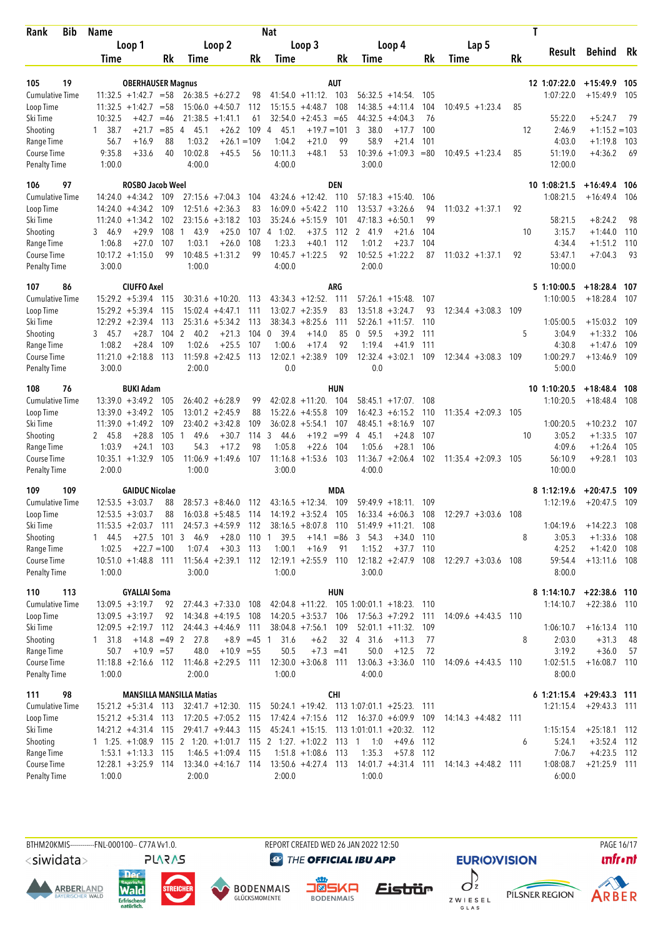| Bib<br>Rank                         | Name                                               |                       |                                                |           | <b>Nat</b>                                                           |                   |                                                 |            |                                         | T     |                            |                          |              |
|-------------------------------------|----------------------------------------------------|-----------------------|------------------------------------------------|-----------|----------------------------------------------------------------------|-------------------|-------------------------------------------------|------------|-----------------------------------------|-------|----------------------------|--------------------------|--------------|
|                                     | Loop 1                                             |                       | Loop 2                                         |           | Loop 3                                                               |                   | Loop 4                                          |            | Lap 5                                   |       |                            |                          |              |
|                                     | Time                                               | Rk                    | Time                                           | Rk        | Time                                                                 | Rk                | Time                                            | Rk         | Time                                    | Rk    | Result                     | Behind                   | - Rk         |
|                                     |                                                    |                       |                                                |           |                                                                      |                   |                                                 |            |                                         |       |                            |                          |              |
| 19<br>105<br><b>Cumulative Time</b> | <b>OBERHAUSER Magnus</b><br>$11:32.5 +1:42.7 = 58$ |                       |                                                |           | $41:54.0 + 11:12$ .                                                  | <b>AUT</b><br>103 | $56:32.5 + 14:54$                               | 105        |                                         |       | 12 1:07:22.0<br>1:07:22.0  | $+15:49.9$<br>$+15:49.9$ | - 105<br>105 |
| Loop Time                           | $11:32.5 +1:42.7$                                  | $= 58$                | $26:38.5 + 6:27.2$<br>$15:06.0 + 4:50.7$       | 98<br>112 | $15:15.5 + 4:48.7$                                                   | 108               | $14:38.5 +4:11.4$                               | 104        | $10:49.5 + 1:23.4$                      | 85    |                            |                          |              |
| Ski Time                            | $+42.7$<br>10:32.5                                 | $=46$                 | $21:38.5 +1:41.1$                              | 61        | $32:54.0 +2:45.3 = 65$                                               |                   | 44:32.5<br>$+4:04.3$                            | 76         |                                         |       | 55:22.0                    | $+5:24.7$                | 79           |
| Shooting                            | 1, 38.7<br>$+21.7$                                 | $= 85$<br>4           | 45.1<br>$+26.2$                                | 109       | 45.1<br>$+19.7 = 101$<br>4                                           |                   | 38.0<br>3<br>$+17.7$                            | 100        |                                         | 12    | 2:46.9                     | $+1:15.2 = 103$          |              |
| Range Time                          | 56.7<br>$+16.9$                                    | 88                    | 1:03.2<br>$+26.1 = 109$                        |           | 1:04.2<br>$+21.0$                                                    | 99                | 58.9<br>$+21.4$                                 | 101        |                                         |       | 4:03.0                     | $+1:19.8$                | 103          |
| Course Time                         | 9:35.8<br>$+33.6$                                  | 40                    | 10:02.8<br>$+45.5$                             | 56        | 10:11.3<br>$+48.1$                                                   | 53                | $10:39.6 + 1:09.3$                              | $=80$      | $10:49.5 + 1:23.4$                      | 85    | 51:19.0                    | $+4:36.2$                | -69          |
| <b>Penalty Time</b>                 | 1:00.0                                             |                       | 4:00.0                                         |           | 4:00.0                                                               |                   | 3:00.0                                          |            |                                         |       | 12:00.0                    |                          |              |
| 97<br>106                           | <b>ROSBO Jacob Weel</b>                            |                       |                                                |           |                                                                      | <b>DEN</b>        |                                                 |            |                                         |       | 10 1:08:21.5               | $+16:49.4$ 106           |              |
| <b>Cumulative Time</b>              | $14:24.0 +4:34.2$ 109                              |                       | $27:15.6 + 7:04.3$                             | 104       | $43:24.6 + 12:42$ .                                                  | 110               | $57:18.3 + 15:40$ .                             | 106        |                                         |       | 1:08:21.5                  | $+16:49.4$ 106           |              |
| Loop Time                           | $14:24.0 + 4:34.2$                                 | 109                   | $12:51.6 + 2:36.3$                             | 83        | $16:09.0 + 5:42.2$                                                   | 110               | $13:53.7 + 3:26.6$                              | 94         | $11:03.2 +1:37.1$                       | 92    |                            |                          |              |
| Ski Time                            | $11:24.0 + 1:34.2$                                 | 102                   | $23:15.6 + 3:18.2$                             | 103       | $35:24.6 + 5:15.9$                                                   | 101               | 47:18.3<br>$+6:50.1$                            | 99         |                                         |       | 58:21.5                    | $+8:24.2$                | 98           |
| Shooting                            | 3 46.9<br>$+29.9$                                  | 108<br>1              | 43.9<br>$+25.0$                                | 107       | 4 1:02.<br>$+37.5$                                                   | 112               | 2 41.9<br>$+21.6$                               | 104        |                                         | 10    | 3:15.7                     | $+1:44.0$                | 110          |
| Range Time                          | 1:06.8<br>$+27.0$                                  | 107                   | 1:03.1<br>$+26.0$                              | 108       | 1:23.3<br>$+40.1$                                                    | 112               | 1:01.2<br>$+23.7$                               | 104        |                                         |       | 4:34.4                     | $+1:51.2$                | 110          |
| Course Time                         | $10:17.2 +1:15.0$                                  | 99                    | $10:48.5 + 1:31.2$                             | 99        | $10:45.7 + 1:22.5$                                                   | 92                | $10:52.5 + 1:22.2$                              | 87         | $11:03.2 +1:37.1$                       | 92    | 53:47.1                    | $+7:04.3$                | 93           |
| <b>Penalty Time</b>                 | 3:00.0                                             |                       | 1:00.0                                         |           | 4:00.0                                                               |                   | 2:00.0                                          |            |                                         |       | 10:00.0                    |                          |              |
| 86<br>107                           | <b>CIUFFO Axel</b>                                 |                       |                                                |           |                                                                      | <b>ARG</b>        |                                                 |            |                                         |       | 5 1:10:00.5                | $+18:28.4$ 107           |              |
| <b>Cumulative Time</b>              | $15:29.2 + 5:39.4$                                 | -115                  | $30:31.6 + 10:20$ .                            | - 113     | $43:34.3 +12:52$ .                                                   | 111               | $57:26.1 + 15:48$ .                             | 107        |                                         |       | 1:10:00.5                  | $+18:28.4$               | -107         |
| Loop Time                           | $15:29.2 + 5:39.4$                                 | 115                   | $15:02.4 +4:47.1$                              | 111       | $13:02.7 + 2:35.9$                                                   | 83                | $13:51.8 + 3:24.7$                              | 93         | $12:34.4 + 3:08.3$                      | 109   |                            |                          |              |
| Ski Time                            | $12:29.2 + 2:39.4$                                 | 113                   | $25:31.6 + 5:34.2$                             | 113       | $38:34.3 + 8:25.6$                                                   | 111               | $52:26.1 + 11:57$ .                             | 110        |                                         |       | 1:05:00.5                  | $+15:03.2$               | 109          |
| Shooting                            | $+28.7$<br>3, 45.7                                 | 104<br>$\overline{2}$ | 40.2<br>$+21.3$                                | 104       | 39.4<br>$+14.0$<br>$\overline{0}$                                    | 85                | 0, 59.5<br>$+39.2$                              | 111        |                                         | 5     | 3:04.9                     | $+1:33.2$                | 106          |
| Range Time                          | 1:08.2<br>$+28.4$                                  | 109                   | 1:02.6<br>$+25.5$                              | 107       | 1:00.6<br>$+17.4$                                                    | 92                | 1:19.4<br>$+41.9$                               | 111        |                                         |       | 4:30.8                     | $+1:47.6$                | 109          |
| Course Time<br><b>Penalty Time</b>  | $11:21.0 + 2:18.8$<br>3:00.0                       | - 113                 | $11:59.8 + 2:42.5$<br>2:00.0                   | 113       | $12:02.1 + 2:38.9$<br>0.0                                            | 109               | $12:32.4 + 3:02.1$<br>0.0                       | 109        | $12:34.4 + 3:08.3$                      | 109   | 1:00:29.7<br>5:00.0        | $+13:46.9$ 109           |              |
|                                     |                                                    |                       |                                                |           |                                                                      |                   |                                                 |            |                                         |       |                            |                          |              |
| 108<br>76                           | <b>BUKI Adam</b>                                   |                       |                                                |           |                                                                      | HUN               |                                                 |            |                                         |       | 10 1:10:20.5               | $+18:48.4$ 108           |              |
| <b>Cumulative Time</b><br>Loop Time | $13:39.0 + 3:49.2$<br>$13:39.0 + 3:49.2$           | 105<br>105            | $26:40.2 + 6:28.9$<br>$13:01.2 +2:45.9$        | 99<br>88  | $42:02.8 +11:20$ .<br>$15:22.6 + 4:55.8$                             | 104<br>109        | $58:45.1 + 17:07$ .<br>$16:42.3 + 6:15.2$       | 108<br>110 | $11:35.4 + 2:09.3$                      | 105   | 1:10:20.5                  | $+18:48.4$               | 108          |
| Ski Time                            | $11:39.0 + 1:49.2$                                 | 109                   | $23:40.2 + 3:42.8$                             | 109       | $36:02.8 + 5:54.1$                                                   | 107               | $48:45.1 + 8:16.9$                              | 107        |                                         |       | 1:00:20.5                  | $+10:23.2$               | - 107        |
| Shooting                            | $+28.8$<br>2 45.8                                  | 105<br>1              | 49.6<br>$+30.7$                                | 114       | 3<br>$+19.2$<br>44.6                                                 | $= 99$            | 4 45.1<br>$+24.8$                               | 107        |                                         | 10    | 3:05.2                     | $+1:33.5$                | 107          |
| Range Time                          | 1:03.9<br>$+24.1$                                  | 103                   | 54.3<br>$+17.2$                                | 98        | 1:05.8<br>$+22.6$                                                    | 104               | 1:05.6<br>$+28.1$                               | 106        |                                         |       | 4:09.6                     | $+1:26.4$                | 105          |
| Course Time                         | $10:35.1 + 1:32.9$                                 | 105                   | $11:06.9 + 1:49.6$                             | 107       | 11:16.8<br>$+1:53.6$                                                 | 103               | $11:36.7 + 2:06.4$                              | 102        | $11:35.4 + 2:09.3$                      | 105   | 56:10.9                    | $+9:28.1$                | 103          |
| <b>Penalty Time</b>                 | 2:00.0                                             |                       | 1:00.0                                         |           | 3:00.0                                                               |                   | 4:00.0                                          |            |                                         |       | 10:00.0                    |                          |              |
| 109<br>109                          | <b>GAIDUC Nicolae</b>                              |                       |                                                |           |                                                                      | <b>MDA</b>        |                                                 |            |                                         |       | 81:12:19.6                 | $+20:47.5$ 109           |              |
| <b>Cumulative Time</b>              | $12:53.5 + 3:03.7$                                 | 88                    | $28:57.3 + 8:46.0$                             | 112       | $43:16.5 + 12:34.$                                                   | 109               | $59:49.9 + 18:11$ .                             | 109        |                                         |       | 1:12:19.6                  | $+20:47.5$               | - 109        |
| Loop Time                           | $12:53.5 + 3:03.7$                                 | 88                    | $16:03.8 + 5:48.5$                             | 114       | $14:19.2 + 3:52.4$                                                   | 105               | $16:33.4 + 6:06.3$                              | 108        | $12:29.7 + 3:03.6$                      | - 108 |                            |                          |              |
| Ski Time                            |                                                    |                       |                                                |           | $11:53.5 + 2:03.7$ 111 $24:57.3 + 4:59.9$ 112 $38:16.5 + 8:07.8$ 110 |                   | 51:49.9 +11:21. 108                             |            |                                         |       | 1:04:19.6                  | $+14:22.3$ 108           |              |
| Shooting                            | 1 44.5                                             | $+27.5$ 101 3 46.9    | $+28.0$ 110 1                                  |           | 39.5<br>$+14.1$                                                      | $=86$             | 3, 54.3<br>$+34.0$                              | 110        |                                         | 8     | 3:05.3                     | $+1:33.6$ 108            |              |
| Range Time                          | 1:02.5<br>$+22.7=100$                              |                       | 1:07.4<br>$+30.3$ 113                          |           | 1:00.1<br>$+16.9$                                                    | 91                | $+37.7$ 110<br>1:15.2                           |            |                                         |       | 4:25.2                     | $+1:42.0$ 108            |              |
| Course Time                         | $10:51.0 + 1:48.8$ 111                             |                       | $11:56.4 +2:39.1$ 112<br>3:00.0                |           | $12:19.1 + 2:55.9$ 110<br>1:00.0                                     |                   | $12:18.2 + 2:47.9$ 108<br>3:00.0                |            | $12:29.7 + 3:03.6$ 108                  |       | 59:54.4                    | $+13:11.6$ 108           |              |
| <b>Penalty Time</b>                 | 1:00.0                                             |                       |                                                |           |                                                                      |                   |                                                 |            |                                         |       | 8:00.0                     |                          |              |
| 110<br>113                          | <b>GYALLAI Soma</b>                                |                       |                                                |           |                                                                      | <b>HUN</b>        |                                                 |            |                                         |       | 8 1:14:10.7 +22:38.6 110   |                          |              |
| <b>Cumulative Time</b>              | $13:09.5 + 3:19.7$                                 | 92                    | $27:44.3 + 7:33.0$ 108                         |           |                                                                      |                   | $42:04.8 +11:22$ . 105 1:00:01.1 +18:23. 110    |            |                                         |       | 1:14:10.7                  | $+22:38.6$ 110           |              |
| Loop Time                           | $13:09.5 + 3:19.7$                                 | 92                    | 14:34.8 +4:19.5 108                            |           | $14:20.5 + 3:53.7$                                                   | 106               | $17:56.3 + 7:29.2$ 111                          |            | $14:09.6 + 4:43.5$                      | 110   |                            |                          |              |
| Ski Time                            | $12:09.5 + 2:19.7$ 112                             |                       | $24:44.3 +4:46.9$                              | - 111     | $38:04.8$ +7:56.1                                                    | 109               | $52:01.1 + 11:32$ .                             | 109        |                                         |       | 1:06:10.7                  | $+16:13.4$ 110           |              |
| Shooting<br>Range Time              | 1 31.8<br>50.7<br>$+10.9 = 57$                     | $+14.8$ =49 2         | 27.8<br>$+8.9$ $=45$ 1<br>48.0<br>$+10.9 = 55$ |           | 31.6<br>$+6.2$<br>50.5<br>$+7.3 = 41$                                |                   | 32 4 31.6<br>$+11.3$<br>50.0<br>$+12.5$         | 77<br>72   |                                         | 8     | 2:03.0<br>3:19.2           | $+31.3$<br>$+36.0$       | -48<br>-57   |
| Course Time                         | $11:18.8 + 2:16.6$ 112 11:46.8 +2:29.5 111         |                       |                                                |           | $12:30.0 + 3:06.8$ 111                                               |                   | $13:06.3 + 3:36.0$ 110                          |            | $14:09.6 + 4:43.5$ 110                  |       | 1:02:51.5                  | $+16:08.7$ 110           |              |
| <b>Penalty Time</b>                 | 1:00.0                                             |                       | 2:00.0                                         |           | 1:00.0                                                               |                   | 4:00.0                                          |            |                                         |       | 8:00.0                     |                          |              |
| 98<br>111                           | <b>MANSILLA MANSILLA Matias</b>                    |                       |                                                |           |                                                                      | CHI               |                                                 |            |                                         |       | $6$ 1:21:15.4 +29:43.3 111 |                          |              |
| <b>Cumulative Time</b>              | $15:21.2 + 5:31.4$ 113                             |                       | $32:41.7 +12:30$ . 115                         |           |                                                                      |                   | $50:24.1 + 19:42$ . 113 1:07:01.1 +25:23. 111   |            |                                         |       | 1:21:15.4                  | $+29:43.3$ 111           |              |
| Loop Time                           | $15:21.2 + 5:31.4$ 113                             |                       | $17:20.5 +7:05.2$ 115                          |           |                                                                      |                   | $17:42.4 + 7:15.6$ $112$ $16:37.0 + 6:09.9$ 109 |            | $14:14.3 + 4:48.2$ 111                  |       |                            |                          |              |
| Ski Time                            | $14:21.2 + 4:31.4$ 115                             |                       | 29:41.7 +9:44.3 115                            |           |                                                                      |                   | 45:24.1 +15:15. 113 1:01:01.1 +20:32. 112       |            |                                         |       | 1:15:15.4                  | $+25:18.1$ 112           |              |
| Shooting                            |                                                    |                       |                                                |           | 1 1:25. +1:08.9 115 2 1:20. +1:01.7 115 2 1:27. +1:02.2              |                   | $113 \quad 1 \quad 1:0$<br>$+49.6$ 112          |            |                                         | 6     | 5:24.1                     | $+3:52.4$ 112            |              |
| Range Time                          | $1:53.1 + 1:13.3$ 115                              |                       | $1:46.5 + 1:09.4$ 115                          |           | $1:51.8 + 1:08.6$                                                    | -113              | 1:35.3<br>$+57.8$                               | - 112      |                                         |       | 7:06.7                     | $+4:23.5$ 112            |              |
| Course Time                         | $12:28.1 + 3:25.9$ 114                             |                       | $13:34.0 +4:16.7$ 114                          |           | $13:50.6 + 4:27.4$ 113                                               |                   |                                                 |            | 14:01.7 +4:31.4 111 14:14.3 +4:48.2 111 |       | 1:08:08.7                  | $+21:25.9$ 111           |              |
| <b>Penalty Time</b>                 | 1:00.0                                             |                       | 2:00.0                                         |           | 2:00.0                                                               |                   | 1:00.0                                          |            |                                         |       | 6:00.0                     |                          |              |
|                                     |                                                    |                       |                                                |           |                                                                      |                   |                                                 |            |                                         |       |                            |                          |              |

<siwidata>

**ARBERLAND** 



**BODENMAIS** 



REPORT CREATED WED 26 JAN 2022 12:50



**EURIO)VISION** 





PAGE 16/17